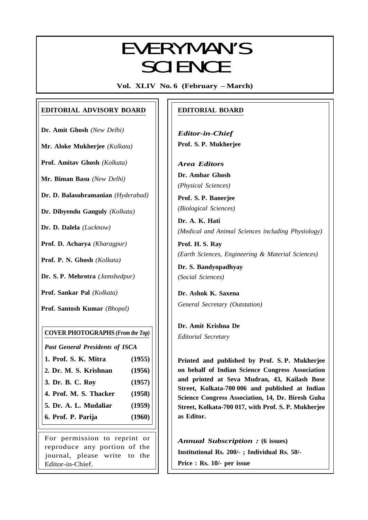# **EVEDVAANIC** EVERYMAN'S SCIENCE

**Vol. XLIV No. 6 (February – March)**

# **EDITORIAL ADVISORY BOARD**

**Dr. Amit Ghosh** *(New Delhi)*

**Mr. Aloke Mukherjee** *(Kolkata)*

**Prof. Amitav Ghosh** *(Kolkata)*

**Mr. Biman Basu** *(New Delhi)*

**Dr. D. Balasubramanian** *(Hyderabad)*

**Dr. Dibyendu Ganguly** *(Kolkata)*

**Dr. D. Dalela** *(Lucknow)*

**Prof. D. Acharya** *(Kharagpur)*

**Prof. P. N. Ghosh** *(Kolkata)*

**Dr. S. P. Mehrotra** *(Jamshedpur)*

**Prof. Sankar Pal** *(Kolkata)*

**Prof. Santosh Kumar** *(Bhopal)*

# **COVER PHOTOGRAPHS** *(From the Top)*

*Past General Presidents of ISCA*

- **1. Prof. S. K. Mitra (1955)**
- **2. Dr. M. S. Krishnan (1956)**
- **3. Dr. B. C. Roy (1957)**
- **4. Prof. M. S. Thacker (1958)**
- **5. Dr. A. L. Mudaliar (1959)**
- **6. Prof. P. Parija (1960)**

For permission to reprint or reproduce any portion of the journal, please write to the Editor-in-Chief.

# **EDITORIAL BOARD**

*Editor-in-Chief* **Prof. S. P. Mukherjee**

*Area Editors* **Dr. Ambar Ghosh** *(Physical Sciences)*

**Prof. S. P. Banerjee** *(Biological Sciences)*

**Dr. A. K. Hati** *(Medical and Animal Sciences including Physiology)*

**Prof. H. S. Ray** *(Earth Sciences, Engineering & Material Sciences)*

**Dr. S. Bandyopadhyay** *(Social Sciences)*

**Dr. Ashok K. Saxena** *General Secretary (Outstation)*

**Dr. Amit Krishna De** *Editorial Secretary*

337

**Printed and published by Prof. S. P. Mukherjee on behalf of Indian Science Congress Association and printed at Seva Mudran, 43, Kailash Bose Street, Kolkata-700 006 and published at Indian Science Congress Association, 14, Dr. Biresh Guha Street, Kolkata-700 017, with Prof. S. P. Mukherjee as Editor.**

*Annual Subscription :* **(6 issues) Institutional Rs. 200/- ; Individual Rs. 50/- Price : Rs. 10/- per issue**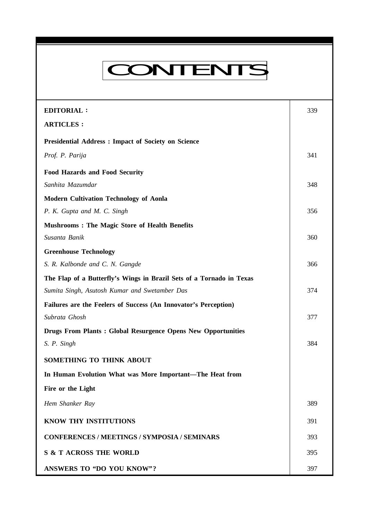# CONTENTS

**Everyman's Science VOL. XLIV NO. 6, Feb. '10 — March. '10**

| <b>EDITORIAL:</b>                                                    | 339 |
|----------------------------------------------------------------------|-----|
| <b>ARTICLES:</b>                                                     |     |
| <b>Presidential Address : Impact of Society on Science</b>           |     |
| Prof. P. Parija                                                      | 341 |
| <b>Food Hazards and Food Security</b>                                |     |
| Sanhita Mazumdar                                                     | 348 |
| <b>Modern Cultivation Technology of Aonla</b>                        |     |
| P. K. Gupta and M. C. Singh                                          | 356 |
| <b>Mushrooms: The Magic Store of Health Benefits</b>                 |     |
| Susanta Banik                                                        | 360 |
| <b>Greenhouse Technology</b>                                         |     |
| S. R. Kalbonde and C. N. Gangde                                      | 366 |
| The Flap of a Butterfly's Wings in Brazil Sets of a Tornado in Texas |     |
| Sumita Singh, Asutosh Kumar and Swetamber Das                        | 374 |
| Failures are the Feelers of Success (An Innovator's Perception)      |     |
| Subrata Ghosh                                                        | 377 |
| <b>Drugs From Plants: Global Resurgence Opens New Opportunities</b>  |     |
| S. P. Singh                                                          | 384 |
| SOMETHING TO THINK ABOUT                                             |     |
| In Human Evolution What was More Important-The Heat from             |     |
| Fire or the Light                                                    |     |
| Hem Shanker Ray                                                      | 389 |
| KNOW THY INSTITUTIONS                                                | 391 |
| <b>CONFERENCES / MEETINGS / SYMPOSIA / SEMINARS</b>                  | 393 |
| <b>S &amp; T ACROSS THE WORLD</b>                                    | 395 |
| <b>ANSWERS TO "DO YOU KNOW"?</b>                                     | 397 |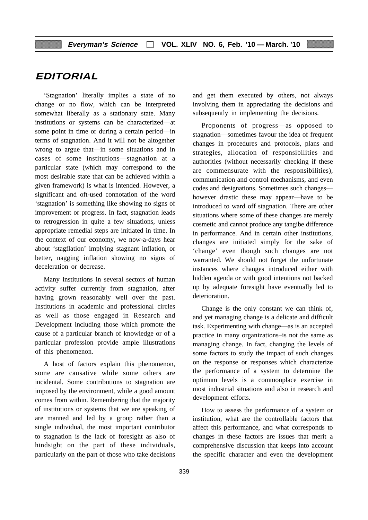# **EDITORIAL**

'Stagnation' literally implies a state of no change or no flow, which can be interpreted somewhat liberally as a stationary state. Many institutions or systems can be characterized—at some point in time or during a certain period—in terms of stagnation. And it will not be altogether wrong to argue that—in some situations and in cases of some institutions—stagnation at a particular state (which may correspond to the most desirable state that can be achieved within a given framework) is what is intended. However, a significant and oft-used connotation of the word 'stagnation' is something like showing no signs of improvement or progress. In fact, stagnation leads to retrogression in quite a few situations, unless appropriate remedial steps are initiated in time. In the context of our economy, we now-a-days hear about 'stagflation' implying stagnant inflation, or better, nagging inflation showing no signs of deceleration or decrease.

Many institutions in several sectors of human activity suffer currently from stagnation, after having grown reasonably well over the past. Institutions in academic and professional circles as well as those engaged in Research and Development including those which promote the cause of a particular branch of knowledge or of a particular profession provide ample illustrations of this phenomenon.

A host of factors explain this phenomenon, some are causative while some others are incidental. Some contributions to stagnation are imposed by the environment, while a good amount comes from within. Remembering that the majority of institutions or systems that we are speaking of are manned and led by a group rather than a single individual, the most important contributor to stagnation is the lack of foresight as also of hindsight on the part of these individuals, particularly on the part of those who take decisions

and get them executed by others, not always involving them in appreciating the decisions and subsequently in implementing the decisions.

Proponents of progress—as opposed to stagnation—sometimes favour the idea of frequent changes in procedures and protocols, plans and strategies, allocation of responsibilities and authorities (without necessarily checking if these are commensurate with the responsibilities), communication and control mechanisms, and even codes and designations. Sometimes such changes however drastic these may appear—have to be introduced to ward off stagnation. There are other situations where some of these changes are merely cosmetic and cannot produce any tangibe difference in performance. And in certain other institutions, changes are initiated simply for the sake of 'change' even though such changes are not warranted. We should not forget the unfortunate instances where changes introduced either with hidden agenda or with good intentions not backed up by adequate foresight have eventually led to deterioration.

Change is the only constant we can think of, and yet managing change is a delicate and difficult task. Experimenting with change—as is an accepted practice in many organizations–is not the same as managing change. In fact, changing the levels of some factors to study the impact of such changes on the response or responses which characterize the performance of a system to determine the optimum levels is a commonplace exercise in most industrial situations and also in research and development efforts.

How to assess the performance of a system or institution, what are the controllable factors that affect this performance, and what corresponds to changes in these factors are issues that merit a comprehensive discussion that keeps into account the specific character and even the development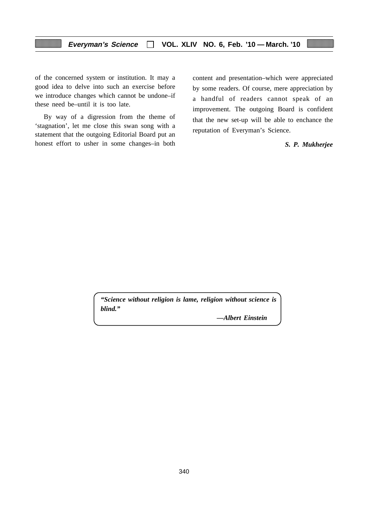of the concerned system or institution. It may a good idea to delve into such an exercise before we introduce changes which cannot be undone–if these need be–until it is too late.

By way of a digression from the theme of 'stagnation', let me close this swan song with a statement that the outgoing Editorial Board put an honest effort to usher in some changes–in both

content and presentation–which were appreciated by some readers. Of course, mere appreciation by a handful of readers cannot speak of an improvement. The outgoing Board is confident that the new set-up will be able to enchance the reputation of Everyman's Science.

# *S. P. Mukherjee*

*"Science without religion is lame, religion without science is blind."*

*—Albert Einstein*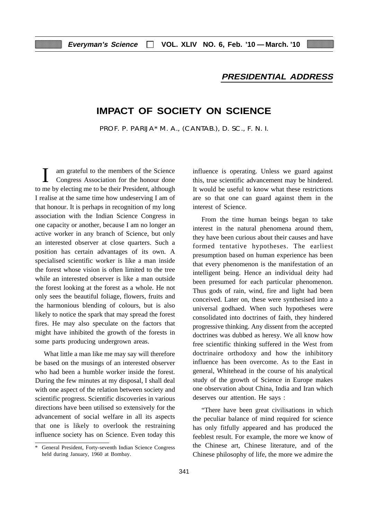# **PRESIDENTIAL ADDRESS**

# **IMPACT OF SOCIETY ON SCIENCE**

PROF. P. PARIJA\* M. A., (CANTAB.), D. SC., F. N. I.

am grateful to the members of the Science Congress Association for the honour done to me by electing me to be their President, although I realise at the same time how undeserving I am of that honour. It is perhaps in recognition of my long association with the Indian Science Congress in one capacity or another, because I am no longer an active worker in any branch of Science, but only an interested observer at close quarters. Such a position has certain advantages of its own. A specialised scientific worker is like a man inside the forest whose vision is often limited to the tree while an interested observer is like a man outside the forest looking at the forest as a whole. He not only sees the beautiful foliage, flowers, fruits and the harmonious blending of colours, but is also likely to notice the spark that may spread the forest fires. He may also speculate on the factors that might have inhibited the growth of the forests in some parts producing undergrown areas.

What little a man like me may say will therefore be based on the musings of an interested observer who had been a humble worker inside the forest. During the few minutes at my disposal, I shall deal with one aspect of the relation between society and scientific progress. Scientific discoveries in various directions have been utilised so extensively for the advancement of social welfare in all its aspects that one is likely to overlook the restraining influence society has on Science. Even today this influence is operating. Unless we guard against this, true scientific advancement may be hindered. It would be useful to know what these restrictions are so that one can guard against them in the interest of Science.

From the time human beings began to take interest in the natural phenomena around them, they have been curious about their causes and have formed tentative hypotheses. The earliest presumption based on human experience has been that every phenomenon is the manifestation of an intelligent being. Hence an individual deity had been presumed for each particular phenomenon. Thus gods of rain, wind, fire and light had been conceived. Later on, these were synthesised into a universal godhaed. When such hypotheses were consolidated into doctrines of faith, they hindered progressive thinking. Any dissent from the accepted doctrines was dubbed as heresy. We all know how free scientific thinking suffered in the West from doctrinaire orthodoxy and how the inhibitory influence has been overcome. As to the East in general, Whitehead in the course of his analytical study of the growth of Science in Europe makes one observation about China, India and Iran which deserves our attention. He says :

"There have been great civilisations in which the peculiar balance of mind required for science has only fitfully appeared and has produced the feeblest result. For example, the more we know of the Chinese art, Chinese literature, and of the Chinese philosophy of life, the more we admire the

General President, Forty-seventh Indian Science Congress held during January, 1960 at Bombay.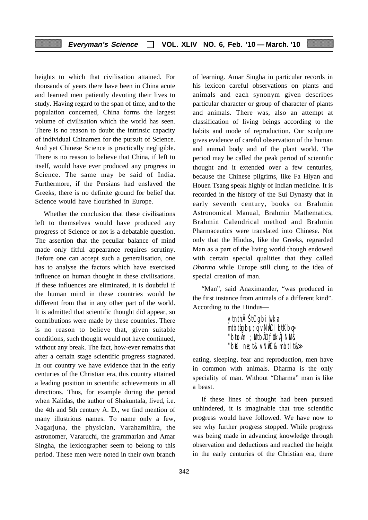heights to which that civilisation attained. For thousands of years there have been in China acute and learned men patiently devoting their lives to study. Having regard to the span of time, and to the population concerned, China forms the largest volume of civilisation which the world has seen. There is no reason to doubt the intrinsic capacity of individual Chinamen for the pursuit of Science. And yet Chinese Science is practically negligible. There is no reason to believe that China, if left to itself, would have ever produced any progress in Science. The same may be said of India. Furthermore, if the Persians had enslaved the Greeks, there is no definite ground for belief that Science would have flourished in Europe.

Whether the conclusion that these civilisations left to themselves would have produced any progress of Science or not is a debatable question. The assertion that the peculiar balance of mind made only fitful appearance requires scrutiny. Before one can accept such a generalisation, one has to analyse the factors which have exercised influence on human thought in these civilisations. If these influences are eliminated, it is doubtful if the human mind in these countries would be different from that in any other part of the world. It is admitted that scientific thought did appear, so contributions were made by these countries. There is no reason to believe that, given suitable conditions, such thought would not have continued, without any break. The fact, how-ever remains that after a certain stage scientific progress stagnated. In our country we have evidence that in the early centuries of the Christian era, this country attained a leading position in scientific achievements in all directions. Thus, for example during the period when Kalidas, the author of Shakuntala, lived, i.e. the 4th and 5th century A. D., we find mention of many illustrious names. To name only a few, Nagarjuna, the physician, Varahamihira, the astronomer, Vararuchi, the grammarian and Amar Singha, the lexicographer seem to belong to this period. These men were noted in their own branch

of learning. Amar Singha in particular records in his lexicon careful observations on plants and animals and each synonym given describes particular character or group of character of plants and animals. There was, also an attempt at classification of living beings according to the habits and mode of reproduction. Our sculpture gives evidence of careful observation of the human and animal body and of the plant world. The period may be called the peak period of scientific thought and it extended over a few centuries, because the Chinese pilgrims, like Fa Hiyan and Houen Tsang speak highly of Indian medicine. It is recorded in the history of the Sui Dynasty that in early seventh century, books on Brahmin Astronomical Manual, Brahmin Mathematics, Brahmin Calendrical method and Brahmin Pharmaceutics were translated into Chinese. Not only that the Hindus, like the Greeks, regrarded Man as a part of the living world though endowed with certain special qualities that they called *Dharma* while Europe still clung to the idea of special creation of man.

"Man", said Anaximander, "was produced in the first instance from animals of a different kind". According to the Hindus—

> ytnthÂl StCgbi: which a  $m$ tbtàgbu; q v $N$  $N$ Cl $b$ t $K$ b $\phi$  $"$ btu Ân $~:$  MtbÂDfutk ÂJNM& "b $\mathbb K$  ne;t& vN $\mathring{\mathbb R}$ C& mbtlt& $\gg$

eating, sleeping, fear and reproduction, men have in common with animals. Dharma is the only speciality of man. Without "Dharma" man is like a beast.

If these lines of thought had been pursued unhindered, it is imaginable that true scientific progress would have followed. We have now to see why further progress stopped. While progress was being made in advancing knowledge through observation and deductions and reached the height in the early centuries of the Christian era, there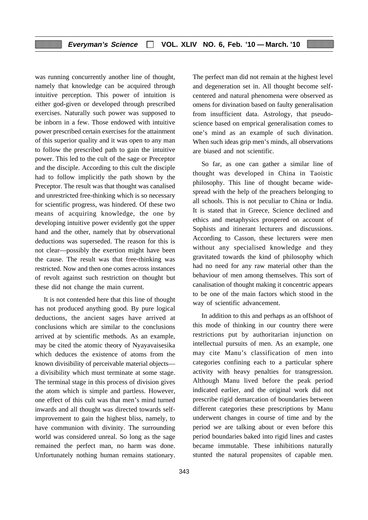was running concurrently another line of thought, namely that knowledge can be acquired through intuitive perception. This power of intuition is either god-given or developed through prescribed exercises. Naturally such power was supposed to be inborn in a few. Those endowed with intuitive power prescribed certain exercises for the attainment of this superior quality and it was open to any man to follow the prescribed path to gain the intuitive power. This led to the cult of the sage or Preceptor and the disciple. According to this cult the disciple had to follow implicitly the path shown by the Preceptor. The result was that thought was canalised and unrestricted free-thinking which is so necessary for scientific progress, was hindered. Of these two means of acquiring knowledge, the one by developing intuitive power evidently got the upper hand and the other, namely that by observational deductions was superseded. The reason for this is not clear—possibly the exertion might have been the cause. The result was that free-thinking was restricted. Now and then one comes across instances of revolt against such restriction on thought but these did not change the main current.

It is not contended here that this line of thought has not produced anything good. By pure logical deductions, the ancient sages have arrived at conclusions which are similar to the conclusions arrived at by scientific methods. As an example, may be cited the atomic theory of Nyayavaisesika which deduces the existence of atoms from the known divisibility of perceivable material objects a divisibility which must terminate at some stage. The terminal stage in this process of division gives the atom which is simple and partless. However, one effect of this cult was that men's mind turned inwards and all thought was directed towards selfimprovement to gain the highest bliss, namely, to have communion with divinity. The surrounding world was considered unreal. So long as the sage remained the perfect man, no harm was done. Unfortunately nothing human remains stationary. The perfect man did not remain at the highest level and degeneration set in. All thought become selfcentered and natural phenomena were observed as omens for divination based on faulty generalisation from insufficient data. Astrology, that pseudoscience based on emprical generalisation comes to one's mind as an example of such divination. When such ideas grip men's minds, all observations are biased and not scientific.

So far, as one can gather a similar line of thought was developed in China in Taoistic philosophy. This line of thought became widespread with the help of the preachers belonging to all schools. This is not peculiar to China or India. It is stated that in Greece, Science declined and ethics and metaphysics prospered on account of Sophists and itinerant lecturers and discussions. According to Casson, these lecturers were men without any specialised knowledge and they gravitated towards the kind of philosophy which had no need for any raw material other than the behaviour of men among themselves. This sort of canalisation of thought making it concentric appears to be one of the main factors which stood in the way of scientific advancement.

In addition to this and perhaps as an offshoot of this mode of thinking in our country there were restrictions put by authoritarian injunction on intellectual pursuits of men. As an example, one may cite Manu's classification of men into categories confining each to a particular sphere activity with heavy penalties for transgression. Although Manu lived before the peak period indicated earlier, and the original work did not prescribe rigid demarcation of boundaries between different categories these prescriptions by Manu underwent changes in course of time and by the period we are talking about or even before this period boundaries baked into rigid lines and castes became immutable. These inhibitions naturally stunted the natural propensites of capable men.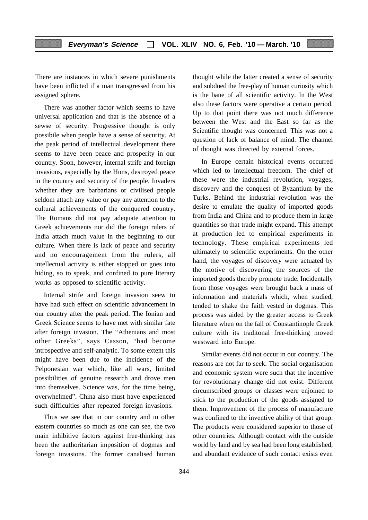There are instances in which severe punishments have been inflicted if a man transgressed from his assigned sphere.

There was another factor which seems to have universal application and that is the absence of a sewse of security. Progressive thought is only possibile when people have a sense of security. At the peak period of intellectual development there seems to have been peace and prosperity in our country. Soon, however, internal strife and foreign invasions, especially by the Huns, destroyed peace in the country and security of the people. Invaders whether they are barbarians or civilised people seldom attach any value or pay any attention to the cultural achievements of the conquered country. The Romans did not pay adequate attention to Greek achievements nor did the foreign rulers of India attach much value in the beginning to our culture. When there is lack of peace and security and no encouragement from the rulers, all intellectual activity is either stopped or goes into hiding, so to speak, and confined to pure literary works as opposed to scientific activity.

Internal strife and foreign invasion seew to have had such effect on scientific advancement in our country after the peak period. The Ionian and Greek Science seems to have met with similar fate after foreign invasion. The "Athenians and most other Greeks", says Casson, "had become introspective and self-analytic. To some extent this might have been due to the incidence of the Pelponesian war which, like all wars, limited possibilities of genuine research and drove men into themselves. Science was, for the time being, overwhelmed". China also must have experienced such difficulties after repeated foreign invasions.

Thus we see that in our country and in other eastern countries so much as one can see, the two main inhibitive factors against free-thinking has been the authoritarian imposition of dogmas and foreign invasions. The former canalised human

thought while the latter created a sense of security and subdued the free-play of human curiosity which is the bane of all scientific activity. In the West also these factors were operative a certain period. Up to that point there was not much difference between the West and the East so far as the Scientific thought was concerned. This was not a question of lack of balance of mind. The channel of thought was directed by external forces.

In Europe certain historical events occurred which led to intellectual freedom. The chief of these were the industrial revolution, voyages, discovery and the conquest of Byzantium by the Turks. Behind the industrial revolution was the desire to emulate the quality of imported goods from India and China and to produce them in large quantities so that trade might expand. This attempt at production led to empirical experiments in technology. These empirical experiments led ultimately to scientific experiments. On the other hand, the voyages of discovery were actuated by the motive of discovering the sources of the imported goods thereby promote trade. Incidentally from those voyages were brought back a mass of information and materials which, when studied, tended to shake the faith vested in dogmas. This process was aided by the greater access to Greek literature when on the fall of Constantinople Greek culture with its traditonal free-thinking moved westward into Europe.

Similar events did not occur in our country. The reasons are not far to seek. The social organisation and economic system were such that the incentive for revolutionary change did not exist. Different circumscribed groups or classes were enjoined to stick to the production of the goods assigned to them. Improvement of the process of manufacture was confined to the inventive ability of that group. The products were considered superior to those of other countries. Although contact with the outside world by land and by sea had been long established, and abundant evidence of such contact exists even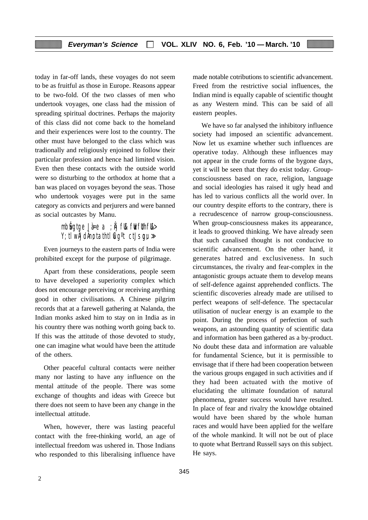today in far-off lands, these voyages do not seem to be as fruitful as those in Europe. Reasons appear to be two-fold. Of the two classes of men who undertook voyages, one class had the mission of spreading spiritual doctrines. Perhaps the majority of this class did not come back to the homeland and their experiences were lost to the country. The other must have belonged to the class which was tradionally and religiously enjoined to follow their particular profession and hence had limited vision. Even then these contacts with the outside world were so disturbing to the orthodox at home that a ban was placed on voyages beyond the seas. Those who undertook voyages were put in the same category as convicts and perjurers and were banned as social outcastes by Manu.

# mb $\mathbf{\hat{g}}$ gtge Jà=e a ;  $\mathbf{\hat{h}}$ j f $\mathbf{\hat{k}}$  f $\mathbf{\hat{k}}$ f $\mathbf{\hat{f}}$ thf $\mathbf{\hat{k}}$ >  $Y$ ; tlw ÅJdÅno; tathtl $\mathbb{C}$ q<sup>o</sup>t ctJsqu $\gg$

Even journeys to the eastern parts of India were prohibited except for the purpose of pilgrimage.

Apart from these considerations, people seem to have developed a superiority complex which does not encourage perceiving or receiving anything good in other civilisations. A Chinese pilgrim records that at a farewell gathering at Nalanda, the Indian monks asked him to stay on in India as in his country there was nothing worth going back to. If this was the attitude of those devoted to study, one can imagine what would have been the attitude of the others.

Other peaceful cultural contacts were neither many nor lasting to have any influence on the mental attitude of the people. There was some exchange of thoughts and ideas with Greece but there does not seem to have been any change in the intellectual attitude.

When, however, there was lasting peaceful contact with the free-thinking world, an age of intellectual freedom was ushered in. Those Indians who responded to this liberalising influence have made notable cotributions to scientific advancement. Freed from the restrictive social influences, the Indian mind is equally capable of scientific thought as any Western mind. This can be said of all eastern peoples.

We have so far analysed the inhibitory influence society had imposed an scientific advancement. Now let us examine whether such influences are operative today. Although these influences may not appear in the crude forms of the bygone days, yet it will be seen that they do exist today. Groupconsciousness based on race, religion, language and social ideologies has raised it ugly head and has led to various conflicts all the world over. In our country despite efforts to the contrary, there is a recrudescence of narrow group-consciousness. When group-consciousness makes its appearance, it leads to grooved thinking. We have already seen that such canalised thought is not conducive to scientific advancement. On the other hand, it generates hatred and exclusiveness. In such circumstances, the rivalry and fear-complex in the antagonistic groups actuate them to develop means of self-defence against apprehended conflicts. The scientific discoveries already made are utilised to perfect weapons of self-defence. The spectacular utilisation of nuclear energy is an example to the point. During the process of perfection of such weapons, an astounding quantity of scientific data and information has been gathered as a by-product. No doubt these data and information are valuable for fundamental Science, but it is permissible to envisage that if there had been cooperation between the various groups engaged in such activities and if they had been actuated with the motive of elucidating the ultimate foundation of natural phenomena, greater success would have resulted. In place of fear and rivalry the knowldge obtained would have been shared by the whole human races and would have been applied for the welfare of the whole mankind. It will not be out of place to quote what Bertrand Russell says on this subject. He says.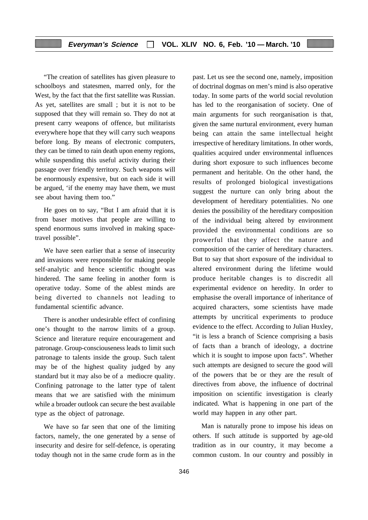"The creation of satellites has given pleasure to schoolboys and statesmen, marred only, for the West, by the fact that the first satellite was Russian. As yet, satellites are small ; but it is not to be supposed that they will remain so. They do not at present carry weapons of offence, but militarists everywhere hope that they will carry such weapons before long. By means of electronic computers, they can be timed to rain death upon enemy regions, while suspending this useful activity during their passage over friendly territory. Such weapons will be enormously expensive, but on each side it will be argued, 'if the enemy may have them, we must see about having them too."

He goes on to say, "But I am afraid that it is from baser motives that people are willing to spend enormous sums involved in making spacetravel possible".

We have seen earlier that a sense of insecurity and invasions were responsible for making people self-analytic and hence scientific thought was hindered. The same feeling in another form is operative today. Some of the ablest minds are being diverted to channels not leading to fundamental scientific advance.

There is another undesirable effect of confining one's thought to the narrow limits of a group. Science and literature require encouragement and patronage. Group-consciouseness leads to limit such patronage to talents inside the group. Such talent may be of the highest quality judged by any standard but it may also be of a mediocre quality. Confining patronage to the latter type of talent means that we are satisfied with the minimum while a broader outlook can secure the best available type as the object of patronage.

We have so far seen that one of the limiting factors, namely, the one generated by a sense of insecurity and desire for self-defence, is operating today though not in the same crude form as in the past. Let us see the second one, namely, imposition of doctrinal dogmas on men's mind is also operative today. In some parts of the world social revolution has led to the reorganisation of society. One of main arguments for such reorganisation is that, given the same nurtural environment, every human being can attain the same intellectual height irrespective of hereditary limitations. In other words, qualities acquired under environmental influences during short exposure to such influences become permanent and heritable. On the other hand, the results of prolonged biological investigations suggest the nurture can only bring about the development of hereditary potentialities. No one denies the possibility of the hereditary composition of the individual being altered by environment provided the environmental conditions are so prowerful that they affect the nature and composition of the carrier of hereditary characters. But to say that short exposure of the individual to altered environment during the lifetime would produce heritable changes is to discredit all experimental evidence on heredity. In order to emphasise the overall importance of inheritance of acquired characters, some scientists have made attempts by uncritical experiments to produce evidence to the effect. According to Julian Huxley, "it is less a branch of Science comprising a basis of facts than a branch of ideology, a doctrine which it is sought to impose upon facts". Whether such attempts are designed to secure the good will of the powers that be or they are the result of directives from above, the influence of doctrinal imposition on scientific investigation is clearly indicated. What is happening in one part of the world may happen in any other part.

Man is naturally prone to impose his ideas on others. If such attitude is supported by age-old tradition as in our country, it may become a common custom. In our country and possibly in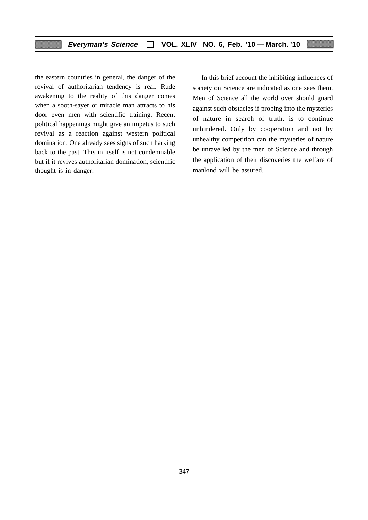the eastern countries in general, the danger of the revival of authoritarian tendency is real. Rude awakening to the reality of this danger comes when a sooth-sayer or miracle man attracts to his door even men with scientific training. Recent political happenings might give an impetus to such revival as a reaction against western political domination. One already sees signs of such harking back to the past. This in itself is not condemnable but if it revives authoritarian domination, scientific thought is in danger.

In this brief account the inhibiting influences of society on Science are indicated as one sees them. Men of Science all the world over should guard against such obstacles if probing into the mysteries of nature in search of truth, is to continue unhindered. Only by cooperation and not by unhealthy competition can the mysteries of nature be unravelled by the men of Science and through the application of their discoveries the welfare of mankind will be assured.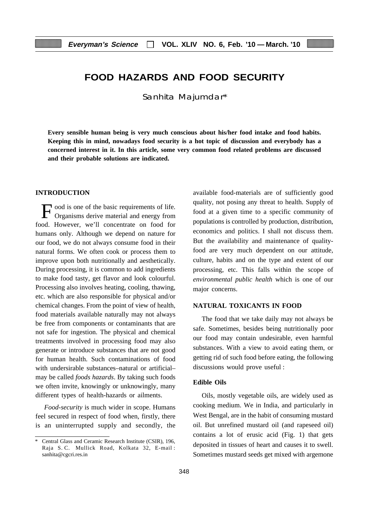# **FOOD HAZARDS AND FOOD SECURITY**

Sanhita Majumdar\*

**Every sensible human being is very much conscious about his/her food intake and food habits. Keeping this in mind, nowadays food security is a hot topic of discussion and everybody has a concerned interest in it. In this article, some very common food related problems are discussed and their probable solutions are indicated.**

#### **INTRODUCTION**

Food is one of the basic requirements of life. Organisms derive material and energy from food. However, we'll concentrate on food for humans only. Although we depend on nature for our food, we do not always consume food in their natural forms. We often cook or process them to improve upon both nutritionally and aesthetically. During processing, it is common to add ingredients to make food tasty, get flavor and look colourful. Processing also involves heating, cooling, thawing, etc. which are also responsible for physical and/or chemical changes. From the point of view of health, food materials available naturally may not always be free from components or contaminants that are not safe for ingestion. The physical and chemical treatments involved in processing food may also generate or introduce substances that are not good for human health. Such contaminations of food with undersirable substances–natural or artificial– may be called *foods hazards*. By taking such foods we often invite, knowingly or unknowingly, many different types of health-hazards or ailments.

*Food-security* is much wider in scope. Humans feel secured in respect of food when, firstly, there is an uninterrupted supply and secondly, the

available food-materials are of sufficiently good quality, not posing any threat to health. Supply of food at a given time to a specific community of populations is controlled by production, distribution, economics and politics. I shall not discuss them. But the availability and maintenance of qualityfood are very much dependent on our attitude, culture, habits and on the type and extent of our processing, etc. This falls within the scope of *environmental public health* which is one of our major concerns.

# **NATURAL TOXICANTS IN FOOD**

The food that we take daily may not always be safe. Sometimes, besides being nutritionally poor our food may contain undesirable, even harmful substances. With a view to avoid eating them, or getting rid of such food before eating, the following discussions would prove useful :

## **Edible Oils**

Oils, mostly vegetable oils, are widely used as cooking medium. We in India, and particularly in West Bengal, are in the habit of consuming mustard oil. But unrefined mustard oil (and rapeseed oil) contains a lot of erusic acid (Fig. 1) that gets deposited in tissues of heart and causes it to swell. Sometimes mustard seeds get mixed with argemone

Central Glass and Ceramic Research Institute (CSIR), 196, Raja S. C. Mullick Road, Kolkata 32, E-mail : sanhita@cgcri.res.in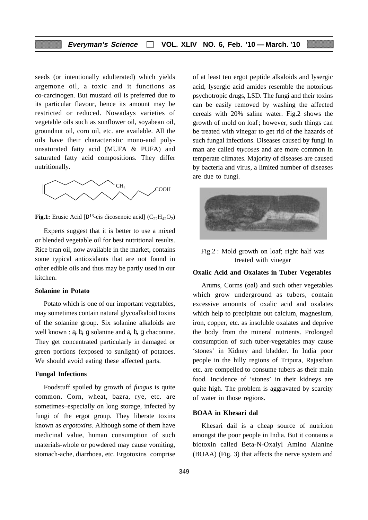seeds (or intentionally adulterated) which yields argemone oil, a toxic and it functions as co-carcinogen. But mustard oil is preferred due to its particular flavour, hence its amount may be restricted or reduced. Nowadays varieties of vegetable oils such as sunflower oil, soyabean oil, groundnut oil, corn oil, etc. are available. All the oils have their characteristic mono-and polyunsaturated fatty acid (MUFA & PUFA) and saturated fatty acid compositions. They differ nutritionally.



**Fig.1:** Erusic Acid  $[D^{13}$ -cis dicosenoic acid]  $(C_{22}H_4, O_2)$ 

Experts suggest that it is better to use a mixed or blended vegetable oil for best nutritional results. Rice bran oil, now available in the market, contains some typical antioxidants that are not found in other edible oils and thus may be partly used in our kitchen.

#### **Solanine in Potato**

Potato which is one of our important vegetables, may sometimes contain natural glycoalkaloid toxins of the solanine group. Six solanine alkaloids are well known :  $a, b, g$  solanine and  $a, b, g$  chaconine. They get concentrated particularly in damaged or green portions (exposed to sunlight) of potatoes. We should avoid eating these affected parts.

### **Fungal Infections**

Foodstuff spoiled by growth of *fungus* is quite common. Corn, wheat, bazra, rye, etc. are sometimes–especially on long storage, infected by fungi of the ergot group. They liberate toxins known as *ergotoxins.* Although some of them have medicinal value, human consumption of such materials-whole or powdered may cause vomiting, stomach-ache, diarrhoea, etc. Ergotoxins comprise of at least ten ergot peptide alkaloids and lysergic acid, lysergic acid amides resemble the notorious psychotropic drugs, LSD. The fungi and their toxins can be easily removed by washing the affected cereals with 20% saline water. Fig.2 shows the growth of mold on loaf ; however, such things can be treated with vinegar to get rid of the hazards of such fungal infections. Diseases caused by fungi in man are called *mycoses* and are more common in temperate climates. Majority of diseases are caused by bacteria and virus, a limited number of diseases are due to fungi.



Fig.2 : Mold growth on loaf; right half was treated with vinegar

#### **Oxalic Acid and Oxalates in Tuber Vegetables**

Arums, Corms (oal) and such other vegetables which grow underground as tubers, contain excessive amounts of oxalic acid and oxalates which help to precipitate out calcium, magnesium, iron, copper, etc. as insoluble oxalates and deprive the body from the mineral nutrients. Prolonged consumption of such tuber-vegetables may cause 'stones' in Kidney and bladder. In India poor people in the hilly regions of Tripura, Rajasthan etc. are compelled to consume tubers as their main food. Incidence of 'stones' in their kidneys are quite high. The problem is aggravated by scarcity of water in those regions.

#### **BOAA in Khesari dal**

Khesari dail is a cheap source of nutrition amongst the poor people in India. But it contains a biotoxin called Beta-N-Oxalyl Amino Alanine (BOAA) (Fig. 3) that affects the nerve system and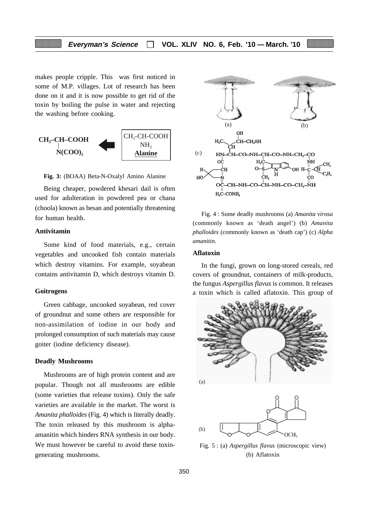makes people cripple. This was first noticed in some of M.P. villages. Lot of research has been done on it and it is now possible to get rid of the toxin by boiling the pulse in water and rejecting the washing before cooking.



**Fig. 3:** (BOAA) Beta-N-Oxalyl Amino Alanine

Being cheaper, powdered khesari dail is often used for adulteration in powdered pea or chana (choola) known as besan and potentially threatening for human health.

# **Antivitamin**

Some kind of food materials, e.g., certain vegetables and uncooked fish contain materials which destroy vitamins. For example, soyabean contains antivitamin D, which destroys vitamin D.

#### **Goitrogens**

Green cabbage, uncooked soyabean, red cover of groundnut and some others are responsible for non-assimilation of iodine in our body and prolonged consumption of such materials may cause goiter (iodine deficiency disease).

#### **Deadly Mushrooms**

Mushrooms are of high protein content and are popular. Though not all mushrooms are edible (some varieties that release toxins). Only the safe varieties are available in the market. The worst is *Amanita phalloides* (Fig. 4) which is literally deadly. The toxin released by this mushroom is alphaamanitin which hinders RNA synthesis in our body. We must however be careful to avoid these toxingenerating mushrooms.



Fig. 4 : Some deadly mushrooms (a) *Amanita virosa* (commonly known as 'death angel') (b) *Amanita phalloides* (commonly known as 'death cap') (c) *Alpha amanitin.*

#### **Aflatoxin**

In the fungi, grown on long-stored cereals, red covers of groundnut, containers of milk-products, the fungus *Aspergillus flavus* is common. It releases a toxin which is called aflatoxin. This group of



Fig. 5 : (a) *Aspergillus flavus* (microscopic view) (b) Aflatoxin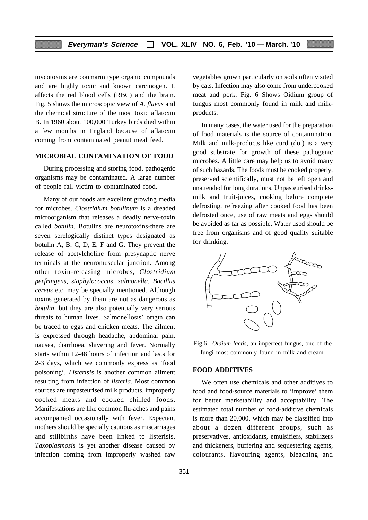mycotoxins are coumarin type organic compounds and are highly toxic and known carcinogen. It affects the red blood cells (RBC) and the brain. Fig. 5 shows the microscopic view of *A. flavus* and the chemical structure of the most toxic aflatoxin B. In 1960 about 100,000 Turkey birds died within a few months in England because of aflatoxin coming from contaminated peanut meal feed.

# **MICROBIAL CONTAMINATION OF FOOD**

During processing and storing food, pathogenic organisms may be contaminated. A large number of people fall victim to contaminated food.

Many of our foods are excellent growing media for microbes. *Clostridium botulinum* is a dreaded microorganism that releases a deadly nerve-toxin called *botulin.* Botulins are neurotoxins-there are seven serelogically distinct types designated as botulin A, B, C, D, E, F and G. They prevent the release of acetylcholine from presynaptic nerve terminals at the neuromuscular junction. Among other toxin-releasing microbes, *Clostridium perfringens, staphylococcus, salmonella, Bacillus cereus* etc. may be specially mentioned. Although toxins generated by them are not as dangerous as *botulin,* but they are also potentially very serious threats to human lives. Salmonellosis' origin can be traced to eggs and chicken meats. The ailment is expressed through headache, abdominal pain, nausea, diarrhoea, shivering and fever. Normally starts within 12-48 hours of infection and lasts for 2-3 days, which we commonly express as 'food poisoning'. *Listerisis* is another common ailment resulting from infection of *listeria*. Most common sources are unpasteurised milk products, improperly cooked meats and cooked chilled foods. Manifestations are like common flu-aches and pains accompanied occasionally with fever. Expectant mothers should be specially cautious as miscarriages and stillbirths have been linked to listerisis. *Taxoplasmosis* is yet another disease caused by infection coming from improperly washed raw vegetables grown particularly on soils often visited by cats. Infection may also come from undercooked meat and pork. Fig. 6 Shows Oidium group of fungus most commonly found in milk and milkproducts.

In many cases, the water used for the preparation of food materials is the source of contamination. Milk and milk-products like curd (doi) is a very good substrate for growth of these pathogenic microbes. A little care may help us to avoid many of such hazards. The foods must be cooked properly, preserved scientifically, must not be left open and unattended for long durations. Unpasteurised drinksmilk and fruit-juices, cooking before complete defrosting, refreezing after cooked food has been defrosted once, use of raw meats and eggs should be avoided as far as possible. Water used should be free from organisms and of good quality suitable for drinking.



Fig.6 : *Oidium lactis*, an imperfect fungus, one of the fungi most commonly found in milk and cream.

## **FOOD ADDITIVES**

We often use chemicals and other additives to food and food-source materials to 'improve' them for better marketability and acceptability. The estimated total number of food-additive chemicals is more than 20,000, which may be classified into about a dozen different groups, such as preservatives, antioxidants, emulsifiers, stabilizers and thickeners, buffering and sequestering agents, colourants, flavouring agents, bleaching and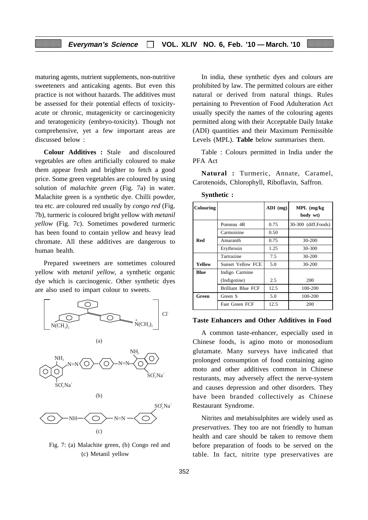maturing agents, nutrient supplements, non-nutritive sweeteners and anticaking agents. But even this practice is not without hazards. The additives must be assessed for their potential effects of toxicityacute or chronic, mutagenicity or carcinogenicity and teratogenicity (embryo-toxicity). Though not comprehensive, yet a few important areas are discussed below :

**Colour Additives :** Stale and discoloured vegetables are often artificially coloured to make them appear fresh and brighter to fetch a good price. Some green vegetables are coloured by using solution of *malachite green* (Fig. 7a) in water. Malachite green is a synthetic dye. Chilli powder, tea etc. are coloured red usually by *congo red* (Fig. 7b), turmeric is coloured bright yellow with *metanil yellow* (Fig. 7c). Sometimes powdered turmeric has been found to contain yellow and heavy lead chromate. All these additives are dangerous to human health.

Prepared sweetners are sometimes coloured yellow with *metanil yellow*, a synthetic organic dye which is carcinogenic. Other synthetic dyes are also used to impart colour to sweets.



Fig. 7: (a) Malachite green, (b) Congo red and (c) Metanil yellow

In india, these synthetic dyes and colours are prohibited by law. The permitted colours are either natural or derived from natural things. Rules pertaining to Prevention of Food Adulteration Act usually specify the names of the colouring agents permitted along with their Acceptable Daily Intake (ADI) quantities and their Maximum Permissible Levels (MPL). **Table** below summarises them.

Table : Colours permitted in India under the PFA Act

**Natural :** Turmeric, Annate, Caramel, Carotenoids, Chlorophyll, Riboflavin, Saffron.

| <b>Colouring</b> |                           | $ADI$ (mg) | $MPL$ (mg/kg)<br>body wt) |
|------------------|---------------------------|------------|---------------------------|
|                  | Ponseau 4R                | 0.75       | 30-300 (diff.Foods)       |
|                  | Carmoisine                | 0.50       |                           |
| Red              | Amaranth                  | 0.75       | 30-200                    |
|                  | Erythrosin                |            | 30-300                    |
|                  | Tartrazine                | 7.5        | $30 - 200$                |
| Yellow           | <b>Sunset Yellow FCE</b>  | 5.0        | $30 - 200$                |
| Blue             | Indigo Carmine            |            |                           |
|                  | (Indigotine)              | 2.5        | 200                       |
|                  | <b>Brilliant Blue FCF</b> | 12.5       | 100-200                   |
| Green            | Green S                   | 5.0        | 100-200                   |
|                  | <b>Fast Green FCF</b>     | 12.5       | 200                       |

**Synthetic :**

#### **Taste Enhancers and Other Additives in Food**

A common taste-enhancer, especially used in Chinese foods, is agino moto or monosodium glutamate. Many surveys have indicated that prolonged consumption of food containing agino moto and other additives common in Chinese resturants, may adversely affect the nerve-system and causes depression and other disorders. They have been branded collectively as Chinese Restaurant Syndrome.

Nitrites and metabisulphites are widely used as *preservatives*. They too are not friendly to human health and care should be taken to remove them before preparation of foods to be served on the table. In fact, nitrite type preservatives are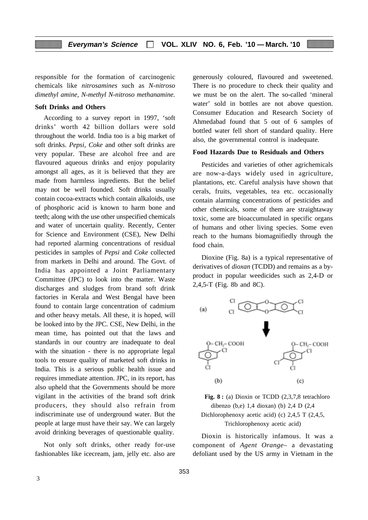responsible for the formation of carcinogenic chemicals like *nitrosamines* such as *N-nitroso dimethyl amine, N-methyl N-nitroso methanamine.*

#### **Soft Drinks and Others**

According to a survey report in 1997, 'soft drinks' worth 42 billion dollars were sold throughout the world. India too is a big market of soft drinks. *Pepsi, Coke* and other soft drinks are very popular. These are alcohol free and are flavoured aqueous drinks and enjoy popularity amongst all ages, as it is believed that they are made from harmless ingredients. But the belief may not be well founded. Soft drinks usually contain cocoa-extracts which contain alkaloids, use of phosphoric acid is known to harm bone and teeth; along with the use other unspecified chemicals and water of uncertain quality. Recently, Center for Science and Environment (CSE), New Delhi had reported alarming concentrations of residual pesticides in samples of *Pepsi* and *Coke* collected from markets in Delhi and around. The Govt. of India has appointed a Joint Parliamentary Committee (JPC) to look into the matter. Waste discharges and sludges from brand soft drink factories in Kerala and West Bengal have been found to contain large concentration of cadmium and other heavy metals. All these, it is hoped, will be looked into by the JPC. CSE, New Delhi, in the mean time, has pointed out that the laws and standards in our country are inadequate to deal with the situation - there is no appropriate legal tools to ensure quality of marketed soft drinks in India. This is a serious public health issue and requires immediate attention. JPC, in its report, has also upheld that the Governments should be more vigilant in the activities of the brand soft drink producers, they should also refrain from indiscriminate use of underground water. But the people at large must have their say. We can largely avoid drinking beverages of questionable quality.

Not only soft drinks, other ready for-use fashionables like icecream, jam, jelly etc. also are generously coloured, flavoured and sweetened. There is no procedure to check their quality and we must be on the alert. The so-called 'mineral water' sold in bottles are not above question. Consumer Education and Research Society of Ahmedabad found that 5 out of 6 samples of bottled water fell short of standard quality. Here also, the governmental control is inadequate.

# **Food Hazards Due to Residuals and Others**

Pesticides and varieties of other agrichemicals are now-a-days widely used in agriculture, plantations, etc. Careful analysis have shown that cerals, fruits, vegetables, tea etc. occasionally contain alarming concentrations of pesticides and other chemicals, some of them are straightaway toxic, some are bioaccumulated in specific organs of humans and other living species. Some even reach to the humans biomagnifiedly through the food chain.

Dioxine (Fig. 8a) is a typical representative of derivatives of *dioxan* (TCDD) and remains as a byproduct in popular weedicides such as 2,4-D or 2,4,5-T (Fig. 8b and 8C).





Dioxin is historically infamous. It was a component of *Agent Orange–* a devastating defoliant used by the US army in Vietnam in the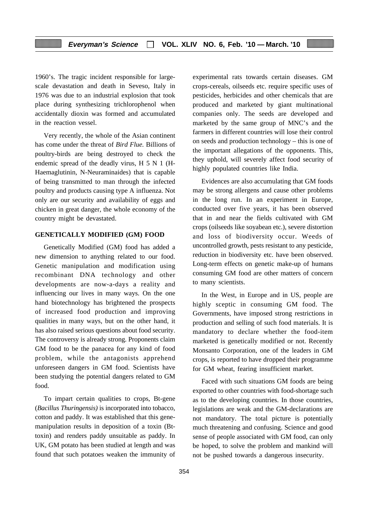1960's. The tragic incident responsible for largescale devastation and death in Seveso, Italy in 1976 was due to an industrial explosion that took place during synthesizing trichlorophenol when accidentally dioxin was formed and accumulated in the reaction vessel.

Very recently, the whole of the Asian continent has come under the threat of *Bird Flue.* Billions of poultry-birds are being destroyed to check the endemic spread of the deadly virus, H 5 N 1 (H-Haemaglutinin, N-Neuraminaides) that is capable of being transmitted to man through the infected poultry and products causing type A influenza. Not only are our security and availability of eggs and chicken in great danger, the whole economy of the country might be devastated.

# **GENETICALLY MODIFIED (GM) FOOD**

Genetically Modified (GM) food has added a new dimension to anything related to our food. Genetic manipulation and modification using recombinant DNA technology and other developments are now-a-days a reality and influencing our lives in many ways. On the one hand biotechnology has brightened the prospects of increased food production and improving qualities in many ways, but on the other hand, it has also raised serious questions about food security. The controversy is already strong. Proponents claim GM food to be the panacea for any kind of food problem, while the antagonists apprehend unforeseen dangers in GM food. Scientists have been studying the potential dangers related to GM food.

To impart certain qualities to crops, Bt-gene (*Bacillus Thuringensis)* is incorporated into tobacco, cotton and paddy. It was established that this genemanipulation results in deposition of a toxin (Bttoxin) and renders paddy unsuitable as paddy. In UK, GM potato has been studied at length and was found that such potatoes weaken the immunity of experimental rats towards certain diseases. GM crops-cereals, oilseeds etc. require specific uses of pesticides, herbicides and other chemicals that are produced and marketed by giant multinational companies only. The seeds are developed and marketed by the same group of MNC's and the farmers in different countries will lose their control on seeds and production technology – this is one of the important allegations of the opponents. This, they uphold, will severely affect food security of highly populated countries like India.

Evidences are also accumulating that GM foods may be strong allergens and cause other problems in the long run. In an experiment in Europe, conducted over five years, it has been observed that in and near the fields cultivated with GM crops (oilseeds like soyabean etc.), severe distortion and loss of biodiversity occur. Weeds of uncontrolled growth, pests resistant to any pesticide, reduction in biodiversity etc. have been observed. Long-term effects on genetic make-up of humans consuming GM food are other matters of concern to many scientists.

In the West, in Europe and in US, people are highly sceptic in consuming GM food. The Governments, have imposed strong restrictions in production and selling of such food materials. It is mandatory to declare whether the food-item marketed is genetically modified or not. Recently Monsanto Corporation, one of the leaders in GM crops, is reported to have dropped their programme for GM wheat, fearing insufficient market.

Faced with such situations GM foods are being exported to other countries with food-shortage such as to the developing countries. In those countries, legislations are weak and the GM-declarations are not mandatory. The total picture is potentially much threatening and confusing. Science and good sense of people associated with GM food, can only be hoped, to solve the problem and mankind will not be pushed towards a dangerous insecurity.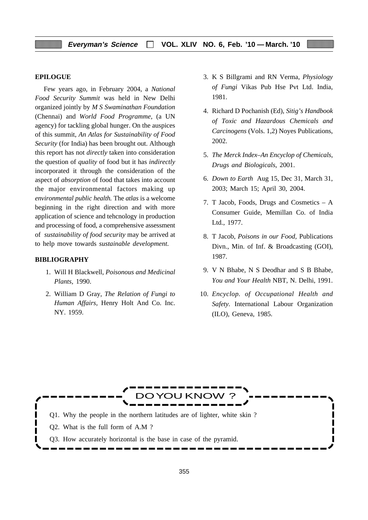#### **EPILOGUE**

Few years ago, in February 2004, a *National Food Security Summit* was held in New Delhi organized jointly by *M S Swaminathan Foundation* (Chennai) and *World Food Programme,* (a UN agency) for tackling global hunger. On the auspices of this summit, *An Atlas for Sustainability of Food Security* (for India) has been brought out. Although this report has not *directly* taken into consideration the question of *quality* of food but it has *indirectly* incorporated it through the consideration of the aspect of *absorption* of food that takes into account the major environmental factors making up *environmental public health.* The *atlas* is a welcome beginning in the right direction and with more application of science and tehcnology in production and processing of food, a comprehensive assessment of *sustainability of food security* may be arrived at to help move towards *sustainable development*.

## **BIBLIOGRAPHY**

- 1. Will H Blackwell, *Poisonous and Medicinal Plants,* 1990.
- 2. William D Gray, *The Relation of Fungi to Human Affairs,* Henry Holt And Co. Inc. NY. 1959.
- 3. K S Billgrami and RN Verma, *Physiology of Fungi* Vikas Pub Hse Pvt Ltd. India, 1981.
- 4. Richard D Pochanish (Ed), *Sitig's Handbook of Toxic and Hazardous Chemicals and Carcinogens* (Vols. 1,2) Noyes Publications, 2002.
- 5. *The Merck Index*–*An Encyclop of Chemicals, Drugs and Biologicals,* 2001.
- 6. *Down to Earth* Aug 15, Dec 31, March 31, 2003; March 15; April 30, 2004.
- 7. T Jacob, Foods, Drugs and Cosmetics A Consumer Guide, Memillan Co. of India Ltd., 1977.
- 8. T Jacob, *Poisons in our Food,* Publications Divn., Min. of Inf. & Broadcasting (GOI), 1987.
- 9. V N Bhabe, N S Deodhar and S B Bhabe, *You and Your Health* NBT, N. Delhi, 1991.
- 10. *Encyclop. of Occupational Health and Safety.* International Labour Organization (ILO), Geneva, 1985.

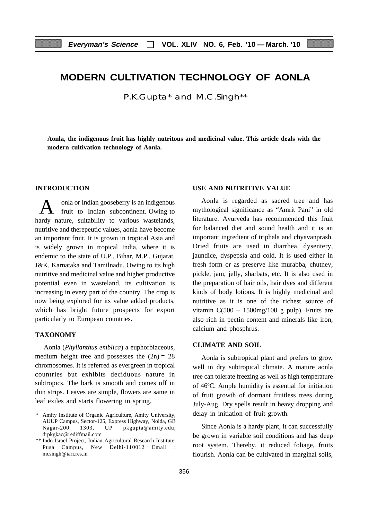# **MODERN CULTIVATION TECHNOLOGY OF AONLA**

P.K.Gupta\* and M.C.Singh\*\*

**Aonla, the indigenous fruit has highly nutritous and medicinal value. This article deals with the modern cultivation technology of Aonla.**

#### **INTRODUCTION**

A onla or Indian gooseberry is an indigenous<br>fruit to Indian subcontinent. Owing to hardy nature, suitability to various wastelands, nutritive and therepeutic values, aonla have become an important fruit. It is grown in tropical Asia and is widely grown in tropical India, where it is endemic to the state of U.P., Bihar, M.P., Gujarat, J&K, Karnataka and Tamilnadu. Owing to its high nutritive and medicinal value and higher productive potential even in wasteland, its cultivation is increasing in every part of the country. The crop is now being explored for its value added products, which has bright future prospects for export particularly to European countries.

#### **TAXONOMY**

Aonla (*Phyllanthus emblica*) a euphorbiaceous, medium height tree and possesses the  $(2n) = 28$ chromosomes. It is referred as evergreen in tropical countries but exhibits deciduous nature in subtropics. The bark is smooth and comes off in thin strips. Leaves are simple, flowers are same in leaf exiles and starts flowering in spring.

## **USE AND NUTRITIVE VALUE**

Aonla is regarded as sacred tree and has mythological significance as "Amrit Pani" in old literature. Ayurveda has recommended this fruit for balanced diet and sound health and it is an important ingredient of triphala and chyavanprash. Dried fruits are used in diarrhea, dysentery, jaundice, dyspepsia and cold. It is used either in fresh form or as preserve like murabba, chutney, pickle, jam, jelly, sharbats, etc. It is also used in the preparation of hair oils, hair dyes and different kinds of body lotions. It is highly medicinal and nutritive as it is one of the richest source of vitamin  $C(500 - 1500mg/100g$  pulp). Fruits are also rich in pectin content and minerals like iron, calcium and phosphrus.

#### **CLIMATE AND SOIL**

Aonla is subtropical plant and prefers to grow well in dry subtropical climate. A mature aonla tree can tolerate freezing as well as high temperature of 46ºC. Ample humidity is essential for initiation of fruit growth of dormant fruitless trees during July-Aug. Dry spells result in heavy dropping and delay in initiation of fruit growth.

Since Aonla is a hardy plant, it can successfully be grown in variable soil conditions and has deep root system. Thereby, it reduced foliage, fruits flourish. Aonla can be cultivated in marginal soils,

Amity Institute of Organic Agriculture, Amity University, AUUP Campus, Sector-125, Express Highway, Noida, GB Nagar-200 1303, UP pkgupta@amity.edu, drpkgkac@rediffmail.com

<sup>\*\*</sup> Indo Israel Project, Indian Agricultural Research Institute, Pusa Campus, New Delhi-110012 Email : mcsingh@iari.res.in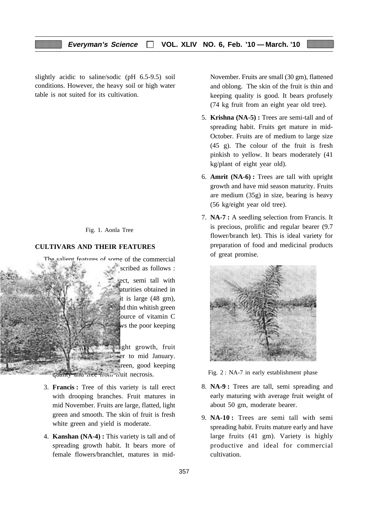slightly acidic to saline/sodic (pH 6.5-9.5) soil conditions. However, the heavy soil or high water table is not suited for its cultivation.

## Fig. 1. Aonla Tree

# **CULTIVARS AND THEIR FEATURES**

The salient features of some of the commercial scribed as follows :



ect, semi tall with aturities obtained in it is large  $(48 \text{ gm})$ , hd thin whitish green ource of vitamin C vs the poor keeping

**ight growth, fruit**  $\equiv$ er to mid January.  $\equiv$  reen, good keeping quanty and free from fruit necrosis.

- 3. **Francis :** Tree of this variety is tall erect with drooping branches. Fruit matures in mid November. Fruits are large, flatted, light green and smooth. The skin of fruit is fresh white green and yield is moderate.
- 4. **Kanshan (NA-4) :** This variety is tall and of spreading growth habit. It bears more of female flowers/branchlet, matures in mid-

November. Fruits are small (30 gm), flattened and oblong. The skin of the fruit is thin and keeping quality is good. It bears profusely (74 kg fruit from an eight year old tree).

- 5. **Krishna (NA-5) :** Trees are semi-tall and of spreading habit. Fruits get mature in mid-October. Fruits are of medium to large size (45 g). The colour of the fruit is fresh pinkish to yellow. It bears moderately (41 kg/plant of eight year old).
- 6. **Amrit (NA-6) :** Trees are tall with upright growth and have mid season maturity. Fruits are medium (35g) in size, bearing is heavy (56 kg/eight year old tree).
- 7. **NA-7 :** A seedling selection from Francis. It is precious, prolific and regular bearer (9.7 flower/branch let). This is ideal variety for preparation of food and medicinal products of great promise.



Fig. 2 : NA-7 in early establishment phase

- 8. **NA-9 :** Trees are tall, semi spreading and early maturing with average fruit weight of about 50 gm, moderate bearer.
- 9. **NA-10 :** Trees are semi tall with semi spreading habit. Fruits mature early and have large fruits (41 gm). Variety is highly productive and ideal for commercial cultivation.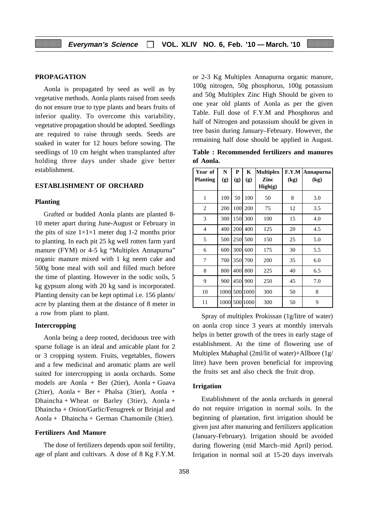#### **PROPAGATION**

Aonla is propagated by seed as well as by vegetative methods. Aonla plants raised from seeds do not ensure true to type plants and bears fruits of inferior quality. To overcome this variability, vegetative propagation should be adopted. Seedlings are required to raise through seeds. Seeds are soaked in water for 12 hours before sowing. The seedlings of 10 cm height when transplanted after holding three days under shade give better establishment.

# **ESTABLISHMENT OF ORCHARD**

#### **Planting**

Grafted or budded Aonla plants are planted 8- 10 meter apart during June-August or February in the pits of size  $1\times1\times1$  meter dug 1-2 months prior to planting. In each pit 25 kg well rotten farm yard manure (FYM) or 4-5 kg "Multiplex Annapurna" organic manure mixed with 1 kg neem cake and 500g bone meal with soil and filled much before the time of planting. However in the sodic soils, 5 kg gypsum along with 20 kg sand is incorporated. Planting density can be kept optimal i.e. 156 plants/ acre by planting them at the distance of 8 meter in a row from plant to plant.

#### **Intercropping**

Aonla being a deep rooted, deciduous tree with sparse foliage is an ideal and amicable plant for 2 or 3 cropping system. Fruits, vegetables, flowers and a few medicinal and aromatic plants are well suited for intercropping in aonla orchards. Some models are Aonla + Ber (2tier), Aonla + Guava (2tier), Aonla + Ber + Phalsa (3tier), Aonla + Dhaincha + Wheat or Barley (3tier), Aonla + Dhaincha + Onion/Garlic/Fenugreek or Brinjal and Aonla + Dhaincha + German Chamomile (3tier).

#### **Fertilizers And Manure**

The dose of fertilizers depends upon soil fertility, age of plant and cultivars. A dose of 8 Kg F.Y.M. or 2-3 Kg Multiplex Annapurna organic manure, 100g nitrogen, 50g phosphorus, 100g potassium and 50g Multiplex Zinc High Should be given to one year old plants of Aonla as per the given Table. Full dose of F.Y.M and Phosphorus and half of Nitrogen and potassium should be given in tree basin during January–February. However, the remaining half dose should be applied in August.

**Table : Recommended fertilizers and manures of Aonla.**

| Year of         | N    | P   | K        | <b>Multiplex</b> | F.Y.M | Annapurna |
|-----------------|------|-----|----------|------------------|-------|-----------|
| <b>Planting</b> | (g)  | (g) | (g)      | Zinc<br>High(g)  | (kg)  | (kg)      |
| $\mathbf{1}$    | 100  | 50  | 100      | 50               | 8     | 3.0       |
| 2               | 200  | 100 | 200      | 75               | 12    | 3.5       |
| 3               | 300  | 150 | 300      | 100              | 15    | 4.0       |
| 4               | 400  | 200 | 400      | 125              | 20    | 4.5       |
| 5               | 500  | 250 | 500      | 150              | 25    | 5.0       |
| 6               | 600  | 300 | 600      | 175              | 30    | 5.5       |
| 7               | 700  | 350 | 700      | 200              | 35    | 6.0       |
| 8               | 800  | 400 | 800      | 225              | 40    | 6.5       |
| 9               | 900  | 450 | 900      | 250              | 45    | 7.0       |
| 10              | 1000 |     | 500 1000 | 300              | 50    | 8         |
| 11              | 1000 |     | 500 1000 | 300              | 50    | 9         |

Spray of multiplex Prokissan (1g/litre of water) on aonla crop since 3 years at monthly intervals helps in better growth of the trees in early stage of establishment. At the time of flowering use of Multiplex Mahaphal (2ml/lit of water)+Allbore (1g/ litre) have been proven beneficial for improving the fruits set and also check the fruit drop.

#### **Irrigation**

Establishment of the aonla orchards in general do not require irrigation in normal soils. In the beginning of plantation, first irrigation should be given just after manuring and fertilizers application (January-February). Irrigation should be avoided during flowering (mid March–mid April) period. Irrigation in normal soil at 15-20 days invervals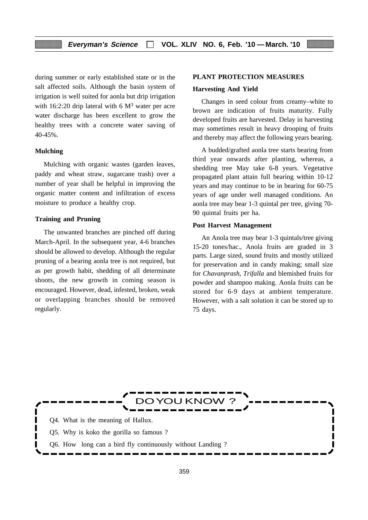during summer or early established state or in the salt affected soils. Although the basin system of irrigation is well suited for aonla but drip irrigation with 16:2:20 drip lateral with  $6 \text{ M}^3$  water per acre water discharge has been excellent to grow the healthy trees with a concrete water saving of 40-45%.

#### **Mulching**

Mulching with organic wastes (garden leaves, paddy and wheat straw, sugarcane trash) over a number of year shall be helpful in improving the organic matter content and infiltration of excess moisture to produce a healthy crop.

#### **Training and Pruning**

The unwanted branches are pinched off during March-April. In the subsequent year, 4-6 branches should be allowed to develop. Although the regular pruning of a bearing aonla tree is not required, but as per growth habit, shedding of all determinate shoots, the new growth in coming season is encouraged. However, dead, infested, broken, weak or overlapping branches should be removed regularly.

#### **PLANT PROTECTION MEASURES**

#### **Harvesting And Yield**

Changes in seed colour from creamy–white to brown are indication of fruits maturity. Fully developed fruits are harvested. Delay in harvesting may sometimes result in heavy drooping of fruits and thereby may affect the following years bearing.

A budded/grafted aonla tree starts bearing from third year onwards after planting, whereas, a shedding tree May take 6-8 years. Vegetative propagated plant attain full bearing within 10-12 years and may continue to be in bearing for 60-75 years of age under well managed conditions. An aonla tree may bear 1-3 quintal per tree, giving 70- 90 quintal fruits per ha.

#### **Post Harvest Management**

An Anola tree may bear 1-3 quintals/tree giving 15-20 tones/hac., Anola fruits are graded in 3 parts. Large sized, sound fruits and mostly utilized for preservation and in candy making; small size for *Chavanprash*, *Trifalla* and blemished fruits for powder and shampoo making. Aonla fruits can be stored for 6-9 days at ambient temperature. However, with a salt solution it can be stored up to 75 days.

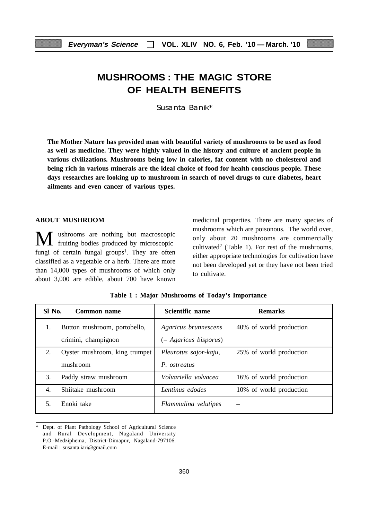# **MUSHROOMS : THE MAGIC STORE OF HEALTH BENEFITS**

Susanta Banik\*

**The Mother Nature has provided man with beautiful variety of mushrooms to be used as food as well as medicine. They were highly valued in the history and culture of ancient people in various civilizations. Mushrooms being low in calories, fat content with no cholesterol and being rich in various minerals are the ideal choice of food for health conscious people. These days researches are looking up to mushroom in search of novel drugs to cure diabetes, heart ailments and even cancer of various types.**

#### **ABOUT MUSHROOM**

M ushrooms are nothing but macroscopic fruiting bodies produced by microscopic fungi of certain fungal groups<sup>1</sup>. They are often classified as a vegetable or a herb. There are more than 14,000 types of mushrooms of which only about 3,000 are edible, about 700 have known medicinal properties. There are many species of mushrooms which are poisonous. The world over, only about 20 mushrooms are commercially cultivated2 (Table 1). For rest of the mushrooms, either appropriate technologies for cultivation have not been developed yet or they have not been tried to cultivate.

| SI No. | Common name                   | Scientific name         | <b>Remarks</b>          |
|--------|-------------------------------|-------------------------|-------------------------|
| 1.     | Button mushroom, portobello,  | Agaricus brunnescens    | 40% of world production |
|        | crimini, champignon           | $(= Agaricus bisporus)$ |                         |
| 2.     | Oyster mushroom, king trumpet | Pleurotus sajor-kaju,   | 25% of world production |
|        | mushroom                      | P. ostreatus            |                         |
| 3.     | Paddy straw mushroom          | Volvariella volvacea    | 16% of world production |
| 4.     | Shiitake mushroom             | Lentinus edodes         | 10% of world production |
| .5.    | Enoki take                    | Flammulina velutipes    |                         |

**Table 1 : Major Mushrooms of Today's Importance**

Dept. of Plant Pathology School of Agricultural Science and Rural Development, Nagaland University P.O.-Medziphema, District-Dimapur, Nagaland-797106. E-mail : susanta.iari@gmail.com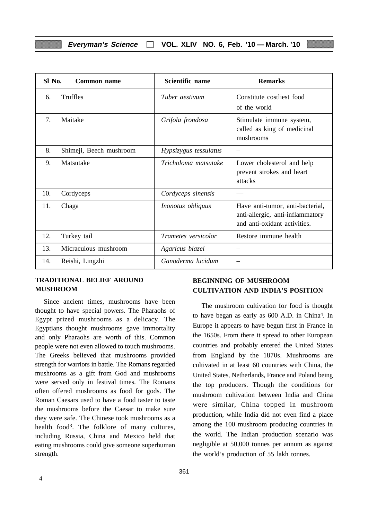| Sl No.<br>Common name |                         | Scientific name            | <b>Remarks</b>                                                                                       |
|-----------------------|-------------------------|----------------------------|------------------------------------------------------------------------------------------------------|
| 6.                    | Truffles                | Tuber aestivum             | Constitute costliest food<br>of the world                                                            |
| 7.                    | Maitake                 | Grifola frondosa           | Stimulate immune system,<br>called as king of medicinal<br>mushrooms                                 |
| 8.                    | Shimeji, Beech mushroom | Hypsizygus tessulatus      |                                                                                                      |
| 9.                    | Matsutake               | Tricholoma matsutake       | Lower cholesterol and help<br>prevent strokes and heart<br>attacks                                   |
| 10.                   | Cordyceps               | Cordyceps sinensis         |                                                                                                      |
| 11.                   | Chaga                   | Inonotus obliquus          | Have anti-tumor, anti-bacterial,<br>anti-allergic, anti-inflammatory<br>and anti-oxidant activities. |
| 12.                   | Turkey tail             | <i>Trametes</i> versicolor | Restore immune health                                                                                |
| 13.                   | Micraculous mushroom    | Agaricus blazei            |                                                                                                      |
| 14.                   | Reishi, Lingzhi         | Ganoderma lucidum          |                                                                                                      |

# **TRADITIONAL BELIEF AROUND MUSHROOM**

Since ancient times, mushrooms have been thought to have special powers. The Pharaohs of Egypt prized mushrooms as a delicacy. The Egyptians thought mushrooms gave immortality and only Pharaohs are worth of this. Common people were not even allowed to touch mushrooms. The Greeks believed that mushrooms provided strength for warriors in battle. The Romans regarded mushrooms as a gift from God and mushrooms were served only in festival times. The Romans often offered mushrooms as food for gods. The Roman Caesars used to have a food taster to taste the mushrooms before the Caesar to make sure they were safe. The Chinese took mushrooms as a health food<sup>3</sup>. The folklore of many cultures, including Russia, China and Mexico held that eating mushrooms could give someone superhuman strength.

4

# **BEGINNING OF MUSHROOM CULTIVATION AND INDIA'S POSITION**

The mushroom cultivation for food is thought to have began as early as 600 A.D. in China4. In Europe it appears to have begun first in France in the 1650s. From there it spread to other European countries and probably entered the United States from England by the 1870s. Mushrooms are cultivated in at least 60 countries with China, the United States, Netherlands, France and Poland being the top producers. Though the conditions for mushroom cultivation between India and China were similar, China topped in mushroom production, while India did not even find a place among the 100 mushroom producing countries in the world. The Indian production scenario was negligible at 50,000 tonnes per annum as against the world's production of 55 lakh tonnes.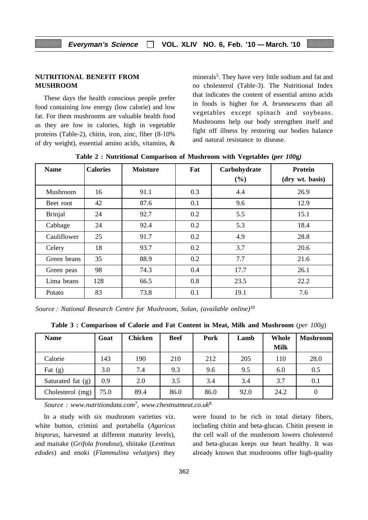# **NUTRITIONAL BENEFIT FROM MUSHROOM**

These days the health conscious people prefer food containing low energy (low calorie) and low fat. For them mushrooms are valuable health food as they are low in calories, high in vegetable proteins (Table-2), chitin, iron, zinc, fiber (8-10% of dry weight), essential amino acids, vitamins, & minerals<sup>5</sup>. They have very little sodium and fat and no cholesterol (Table-3). The Nutritional Index that indicates the content of essential amino acids in foods is higher for *A. brunnescens* than all vegetables except spinach and soybeans. Mushrooms help our body strengthen itself and fight off illness by restoring our bodies balance and natural resistance to disease.

| <b>Name</b>    | <b>Calories</b> | <b>Moisture</b> | Fat | Carbohydrate<br>(%) | Protein<br>(dry wt. basis) |
|----------------|-----------------|-----------------|-----|---------------------|----------------------------|
| Mushroom       | 16              | 91.1            | 0.3 | 4.4                 | 26.9                       |
| Beet root      | 42              | 87.6            | 0.1 | 9.6                 | 12.9                       |
| <b>Brinjal</b> | 24              | 92.7            | 0.2 | 5.5                 | 15.1                       |
| Cabbage        | 24              | 92.4            | 0.2 | 5.3                 | 18.4                       |
| Cauliflower    | 25              | 91.7            | 0.2 | 4.9                 | 28.8                       |
| Celery         | 18              | 93.7            | 0.2 | 3.7                 | 20.6                       |
| Green beans    | 35              | 88.9            | 0.2 | 7.7                 | 21.6                       |
| Green peas     | 98              | 74.3            | 0.4 | 17.7                | 26.1                       |
| Lima beans     | 128             | 66.5            | 0.8 | 23.5                | 22.2                       |
| Potato         | 83              | 73.8            | 0.1 | 19.1                | 7.6                        |

**Table 2 : Nutritional Comparison of Mushroom with Vegetables (***per 100***g***)*

*Source : National Research Centre for Mushroom, Solan, (available online)*<sup>10</sup>

| Table 3: Comparison of Calorie and Fat Content in Meat, Milk and Mushroom (per 100g) |  |  |  |
|--------------------------------------------------------------------------------------|--|--|--|
|--------------------------------------------------------------------------------------|--|--|--|

| <b>Name</b>       | Goat | <b>Chicken</b> | <b>Beef</b> | Pork | Lamb | Whole       | <b>Mushroom</b> |
|-------------------|------|----------------|-------------|------|------|-------------|-----------------|
|                   |      |                |             |      |      | <b>Milk</b> |                 |
| Calorie           | 143  | 190            | 210         | 212  | 205  | 110         | 28.0            |
| Fat $(g)$         | 3.0  | 7.4            | 9.3         | 9.6  | 9.5  | 6.0         | 0.5             |
| Saturated fat (g) | 0.9  | 2.0            | 3.5         | 3.4  | 3.4  | 3.7         | 0.1             |
| Cholesterol (mg)  | 75.0 | 89.4           | 86.0        | 86.0 | 92.0 | 24.2        | $\theta$        |

*Source : www.nutritiondata.com7, www.chestnutmeat.co.uk8.*

In a study with six mushroom varieties viz. white button, crimini and portabella (*Agaricus bisporus*, harvested at different maturity levels), and maitake (*Grifola frondosa*), shiitake (*Lentinus edodes*) and enoki (*Flammulina velutipes*) they were found to be rich in total dietary fibers, including chitin and beta-glucan. Chitin present in the cell wall of the mushroom lowers cholesterol and beta-glucan keeps our heart healthy. It was already known that mushrooms offer high-quality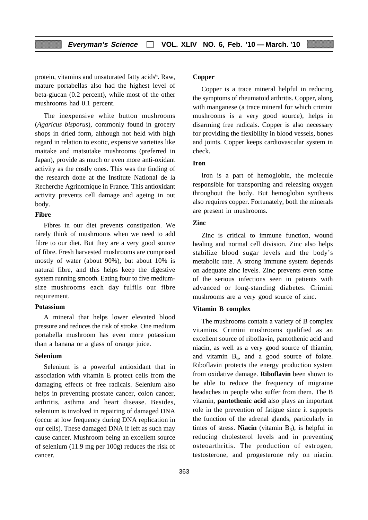protein, vitamins and unsaturated fatty acids<sup>6</sup>. Raw, mature portabellas also had the highest level of beta-glucan (0.2 percent), while most of the other mushrooms had 0.1 percent.

The inexpensive white button mushrooms (*Agaricus bisporus*), commonly found in grocery shops in dried form, although not held with high regard in relation to exotic, expensive varieties like maitake and matsutake mushrooms (preferred in Japan), provide as much or even more anti-oxidant activity as the costly ones. This was the finding of the research done at the Institute National de la Recherche Agrinomique in France. This antioxidant activity prevents cell damage and ageing in out body.

## **Fibre**

Fibres in our diet prevents constipation. We rarely think of mushrooms when we need to add fibre to our diet. But they are a very good source of fibre. Fresh harvested mushrooms are comprised mostly of water (about 90%), but about 10% is natural fibre, and this helps keep the digestive system running smooth. Eating four to five mediumsize mushrooms each day fulfils our fibre requirement.

#### **Potassium**

A mineral that helps lower elevated blood pressure and reduces the risk of stroke. One medium portabella mushroom has even more potassium than a banana or a glass of orange juice.

#### **Selenium**

Selenium is a powerful antioxidant that in association with vitamin E protect cells from the damaging effects of free radicals. Selenium also helps in preventing prostate cancer, colon cancer, arthritis, asthma and heart disease. Besides, selenium is involved in repairing of damaged DNA (occur at low frequency during DNA replication in our cells). These damaged DNA if left as such may cause cancer. Mushroom being an excellent source of selenium (11.9 mg per 100g) reduces the risk of cancer.

#### **Copper**

Copper is a trace mineral helpful in reducing the symptoms of rheumatoid arthritis. Copper, along with manganese (a trace mineral for which crimini mushrooms is a very good source), helps in disarming free radicals. Copper is also necessary for providing the flexibility in blood vessels, bones and joints. Copper keeps cardiovascular system in check.

# **Iron**

Iron is a part of hemoglobin, the molecule responsible for transporting and releasing oxygen throughout the body. But hemoglobin synthesis also requires copper. Fortunately, both the minerals are present in mushrooms.

#### **Zinc**

Zinc is critical to immune function, wound healing and normal cell division. Zinc also helps stabilize blood sugar levels and the body's metabolic rate. A strong immune system depends on adequate zinc levels. Zinc prevents even some of the serious infections seen in patients with advanced or long-standing diabetes. Crimini mushrooms are a very good source of zinc.

#### **Vitamin B complex**

The mushrooms contain a variety of B complex vitamins. Crimini mushrooms qualified as an excellent source of riboflavin, pantothenic acid and niacin, as well as a very good source of thiamin, and vitamin  $B_6$ , and a good source of folate. Riboflavin protects the energy production system from oxidative damage. **Riboflavin** been shown to be able to reduce the frequency of migraine headaches in people who suffer from them. The B vitamin, **pantothenic acid** also plays an important role in the prevention of fatigue since it supports the function of the adrenal glands, particularly in times of stress. **Niacin** (vitamin  $B_3$ ), is helpful in reducing cholesterol levels and in preventing osteoarthritis. The production of estrogen, testosterone, and progesterone rely on niacin.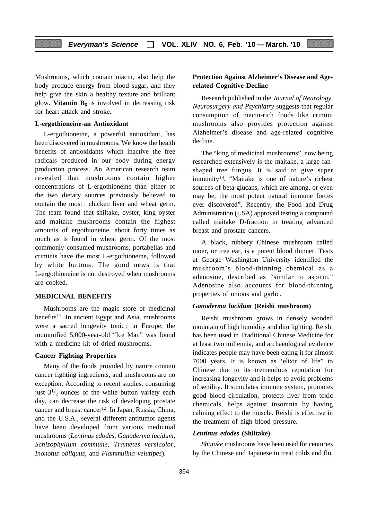Mushrooms, which contain niacin, also help the body produce energy from blood sugar, and they help give the skin a healthy texture and brilliant glow. **Vitamin**  $B_6$  is involved in decreasing risk for heart attack and stroke.

#### **L-ergothioneine-an Antioxidant**

L-ergothioneine, a powerful antioxidant, has been discovered in mushrooms. We know the health benefits of antioxidants which inactive the free radicals produced in our body during energy production process. An American research team revealed that mushrooms contain higher concentrations of L-ergothioneine than either of the two dietary sources previously believed to contain the most : chicken liver and wheat germ. The team found that shiitake, oyster, king oyster and maitake mushrooms contain the highest amounts of ergothioneine, about forty times as much as is found in wheat germ. Of the most commonly consumed mushrooms, portabellas and criminis have the most L-ergothioneine, followed by white buttons. The good news is that L-ergothioneine is not destroyed when mushrooms are cooked.

# **MEDICINAL BENEFITS**

Mushrooms are the magic store of medicinal benefits<sup>11</sup>. In ancient Egypt and Asia, mushrooms were a sacred longevity tonic ; in Europe, the mummified 5,000-year-old "Ice Man" was found with a medicine kit of dried mushrooms.

#### **Cancer Fighting Properties**

Many of the foods provided by nature contain cancer fighting ingredients, and mushrooms are no exception. According to recent studies, consuming just  $3^{1/2}$  ounces of the white button variety each day, can decrease the risk of developing prostate cancer and breast cancer<sup>12</sup>. In Japan, Russia, China, and the U.S.A., several different antitumor agents have been developed from various medicinal mushrooms (*Lentinus edodes, Ganoderma lucidum, Schizophyllum commune, Trametes versicolor, Inonotus obliquus,* and *Flammulina velutipes*).

# **Protection Against Alzheimer's Disease and Agerelated Cognitive Decline**

Research published in the *Journal of Neurology, Neurosurgery and Psychiatry* suggests that regular consumption of niacin-rich foods like crimini mushrooms also provides protection against Alzheimer's disease and age-related cognitive decline.

The "king of medicinal mushrooms", now being researched extensively is the maitake, a large fanshaped tree fungus. It is said to give super immunity13. "Maitake is one of nature's richest sources of beta-glucans, which are among, or even may be, the most potent natural immune forces ever discovered". Recently, the Food and Drug Administration (USA) approved testing a compound called maitake D-fraction in treating advanced breast and prostate cancers.

A black, rubbery Chinese mushroom called moer, or tree ear, is a potent blood thinner. Tests at George Washington University identified the mushroom's blood-thinning chemical as a adenosine, described as "similar to aspirin." Adenosine also accounts for blood-thinning properties of onions and garlic.

#### *Ganoderma lucidum* **(Reishi mushroom)**

Reishi mushroom grows in densely wooded mountain of high humidity and dim lighting. Reishi has been used in Traditional Chinese Medicine for at least two millennia, and archaeological evidence indicates people may have been eating it for almost 7000 years. It is known as 'elixir of life" to Chinese due to its tremendous reputation for increasing longevity and it helps to avoid problems of senility. It stimulates immune system, promotes good blood circulation, protects liver from toxic chemicals, helps against insomnia by having calming effect to the muscle. Reishi is effective in the treatment of high blood pressure.

# *Lentinus edodes* **(Shiitake)**

*Shiitake* mushrooms have been used for centuries by the Chinese and Japanese to treat colds and flu.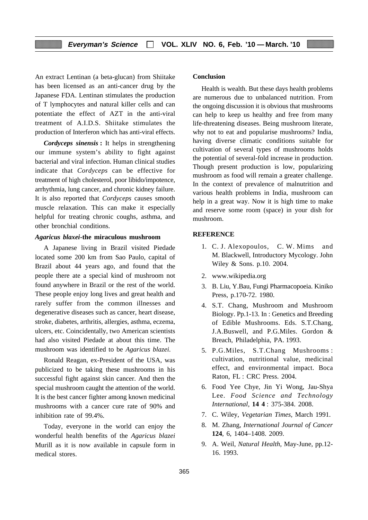An extract Lentinan (a beta-glucan) from Shiitake has been licensed as an anti-cancer drug by the Japanese FDA. Lentinan stimulates the production of T lymphocytes and natural killer cells and can potentiate the effect of AZT in the anti-viral treatment of A.I.D.S. Shiitake stimulates the production of Interferon which has anti-viral effects.

*Cordyceps sinensis* **:** It helps in strengthening our immune system's ability to fight against bacterial and viral infection. Human clinical studies indicate that *Cordyceps* can be effective for treatment of high cholesterol, poor libido/impotence, arrhythmia, lung cancer, and chronic kidney failure. It is also reported that *Cordyceps* causes smooth muscle relaxation. This can make it especially helpful for treating chronic coughs, asthma, and other bronchial conditions.

#### *Agaricus blaxei***-the miraculous mushroom**

A Japanese living in Brazil visited Piedade located some 200 km from Sao Paulo, capital of Brazil about 44 years ago, and found that the people there ate a special kind of mushroom not found anywhere in Brazil or the rest of the world. These people enjoy long lives and great health and rarely suffer from the common illnesses and degenerative diseases such as cancer, heart disease, stroke, diabetes, arthritis, allergies, asthma, eczema, ulcers, etc. Coincidentally, two American scientists had also visited Piedade at about this time. The mushroom was identified to be *Agaricus blazei*.

Ronald Reagan, ex-President of the USA, was publicized to be taking these mushrooms in his successful fight against skin cancer. And then the special mushroom caught the attention of the world. It is the best cancer fighter among known medicinal mushrooms with a cancer cure rate of 90% and inhibition rate of 99.4%.

Today, everyone in the world can enjoy the wonderful health benefits of the *Agaricus blazei* Murill as it is now available in capsule form in medical stores.

#### **Conclusion**

Health is wealth. But these days health problems are numerous due to unbalanced nutrition. From the ongoing discussion it is obvious that mushrooms can help to keep us healthy and free from many life-threatening diseases. Being mushroom literate, why not to eat and popularise mushrooms? India, having diverse climatic conditions suitable for cultivation of several types of mushrooms holds the potential of several-fold increase in production. Though present production is low, popularizing mushroom as food will remain a greater challenge. In the context of prevalence of malnutrition and various health problems in India, mushroom can help in a great way. Now it is high time to make and reserve some room (space) in your dish for mushroom.

#### **REFERENCE**

- 1. C. J. Alexopoulos, C. W. Mims and M. Blackwell, Introductory Mycology. John Wiley & Sons. p.10. 2004.
- 2. www.wikipedia.org
- 3. B. Liu, Y.Bau, Fungi Pharmacopoeia. Kiniko Press, p.170-72. 1980.
- 4. S.T. Chang, Mushroom and Mushroom Biology. Pp.1-13. In : Genetics and Breeding of Edible Mushrooms. Eds. S.T.Chang, J.A.Buswell, and P.G.Miles. Gordon & Breach, Philadelphia, PA. 1993.
- 5. P.G.Miles, S.T.Chang Mushrooms : cultivation, nutritional value, medicinal effect, and environmental impact. Boca Raton, FL : CRC Press. 2004.
- 6. Food Yee Chye, Jin Yi Wong, Jau-Shya Lee. *Food Science and Technology International,* **14 4** : 375-384. 2008.
- 7. C. Wiley, *Vegetarian Times,* March 1991.
- 8. M. Zhang, *International Journal of Cancer* **124**, 6, 1404–1408. 2009.
- 9. A. Weil, *Natural Health,* May-June, pp.12- 16. 1993.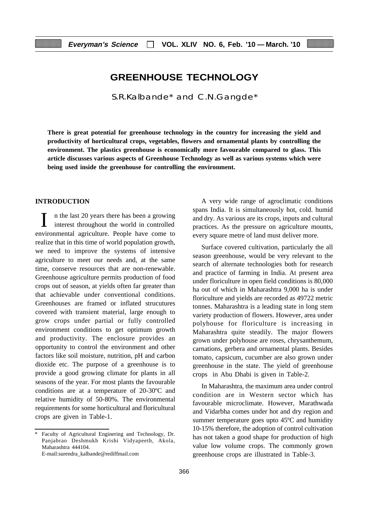# **GREENHOUSE TECHNOLOGY**

S.R.Kalbande\* and C.N.Gangde\*

**There is great potential for greenhouse technology in the country for increasing the yield and productivity of horticultural crops, vegetables, flowers and ornamental plants by controlling the environment. The plastics greenhouse is economically more favourable compared to glass. This article discusses various aspects of Greenhouse Technology as well as various systems which were being used inside the greenhouse for controlling the environment.**

#### **INTRODUCTION**

 $\sum$  in the last 20 years there has been a growing<br>interest throughout the world in controlled interest throughout the world in controlled environmental agriculture. People have come to realize that in this time of world population growth, we need to improve the systems of intensive agriculture to meet our needs and, at the same time, conserve resources that are non-renewable. Greenhouse agriculture permits production of food crops out of season, at yields often far greater than that achievable under conventional conditions. Greenhouses are framed or inflated strucutures covered with transient material, large enough to grow crops under partial or fully controlled environment conditions to get optimum growth and productivity. The enclosure provides an opportunity to control the environment and other factors like soil moisture, nutrition, pH and carbon dioxide etc. The purpose of a greenhouse is to provide a good growing climate for plants in all seasons of the year. For most plants the favourable conditions are at a temperature of 20-30ºC and relative humidity of 50-80%. The environmental requirements for some horticultural and floricultural crops are given in Table-1.

A very wide range of agroclimatic conditions spans India. It is simultaneously hot, cold. humid and dry. As various are its crops, inputs and cultural practices. As the pressure on agriculture mounts, every square metre of land must deliver more.

Surface covered cultivation, particularly the all season greenhouse, would be very relevant to the search of alternate technologies both for research and practice of farming in India. At present area under floriculture in open field conditions is 80,000 ha out of which in Maharashtra 9,000 ha is under floriculture and yields are recorded as 49722 metric tonnes. Maharashtra is a leading state in long stem variety production of flowers. However, area under polyhouse for floriculture is increasing in Maharashtra quite steadily. The major flowers grown under polyhouse are roses, chrysanthemum, carnations, gerbera and ornamental plants. Besides tomato, capsicum, cucumber are also grown under greenhouse in the state. The yield of greenhouse crops in Abu Dhabi is given in Table-2.

In Maharashtra, the maximum area under control condition are in Western sector which has favourable microclimate. However, Marathwada and Vidarbha comes under hot and dry region and summer temperature goes upto 45ºC and humidity 10-15% therefore, the adoption of control cultivation has not taken a good shape for production of high value low volume crops. The commonly grown greenhouse crops are illustrated in Table-3.

<sup>\*</sup> Faculty of Agricultural Enginering and Technology, Dr. Panjabrao Deshmukh Krishi Vidyapeeth, Akola, Maharashtra 444104.

E-mail:surendra\_kalbande@rediffmail.com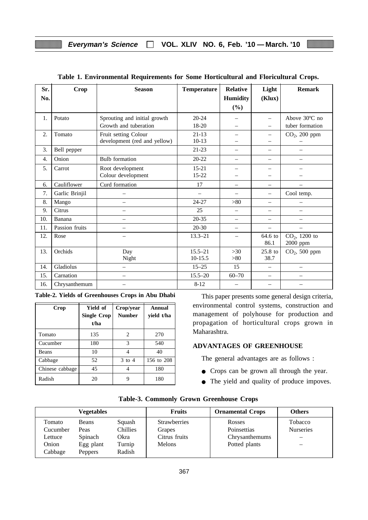| Sr.<br>No.       | <b>Crop</b>    | <b>Season</b>                | <b>Temperature</b>       | <b>Relative</b><br><b>Humidity</b><br>(%) | Light<br>(Klux)          | <b>Remark</b>            |
|------------------|----------------|------------------------------|--------------------------|-------------------------------------------|--------------------------|--------------------------|
|                  |                |                              |                          |                                           |                          |                          |
| 1.               | Potato         | Sprouting and initial growth | $20 - 24$                |                                           | $\equiv$                 | Above $30^{\circ}$ C no  |
|                  |                | Growth and tuberation        | 18-20                    |                                           | $\equiv$                 | tuber formation          |
| $\overline{2}$ . | Tomato         | Fruit setting Colour         | $21-13$                  |                                           | $\overline{\phantom{0}}$ | $CO2$ , 200 ppm          |
|                  |                | development (red and yellow) | $10-13$                  |                                           | $\overline{\phantom{0}}$ |                          |
| 3.               | Bell pepper    |                              | $21-23$                  | $\overline{\phantom{0}}$                  | —                        | $\overline{\phantom{0}}$ |
| $\overline{4}$ . | Onion          | <b>Bulb</b> formation        | $20 - 22$                | $\overline{\phantom{0}}$                  | $\equiv$                 | $\equiv$                 |
| 5.               | Carrot         | Root development             | $15 - 21$                |                                           |                          |                          |
|                  |                | Colour development           | $15 - 22$                |                                           |                          |                          |
| 6.               | Cauliflower    | Curd formation               | 17                       | $\equiv$                                  | $\overline{\phantom{0}}$ |                          |
| 7.               | Garlic Brinjil |                              | $\overline{\phantom{0}}$ |                                           | —                        | Cool temp.               |
| 8.               | Mango          | $\overline{\phantom{0}}$     | 24-27                    | > 80                                      | $\overline{\phantom{0}}$ |                          |
| 9.               | Citrus         | $\overline{\phantom{0}}$     | 25                       | $\qquad \qquad -$                         | $\overline{\phantom{0}}$ | $\overline{\phantom{0}}$ |
| 10.              | Banana         | $\overline{\phantom{0}}$     | 20-35                    | $\overline{\phantom{0}}$                  | $\overline{\phantom{0}}$ | $\overline{\phantom{0}}$ |
| 11.              | Passion fruits | $\overline{\phantom{0}}$     | $20 - 30$                | $\overline{\phantom{0}}$                  | $\overline{\phantom{0}}$ | $\overline{\phantom{0}}$ |
| 12.              | Rose           | $\overline{\phantom{0}}$     | $13.3 - 21$              | $\qquad \qquad -$                         | 64.6 to                  | $CO2$ , 1200 to          |
|                  |                |                              |                          |                                           | 86.1                     | 2000 ppm                 |
| 13.              | Orchids        | Day                          | $15.5 - 21$              | >30                                       | $25.8$ to                | $CO2$ , 500 ppm          |
|                  |                | Night                        | $10-15.5$                | >80                                       | 38.7                     |                          |
| 14.              | Gladiolus      | $\equiv$                     | $15 - 25$                | 15                                        | $=$                      | $\overline{\phantom{0}}$ |
| 15.              | Carnation      | $\overline{\phantom{0}}$     | $15.5 - 20$              | $60 - 70$                                 | $\overline{\phantom{0}}$ | $\overline{\phantom{0}}$ |
| 16.              | Chrysanthemum  |                              | $8 - 12$                 |                                           |                          |                          |

## **Table 1. Environmental Requirements for Some Horticultural and Floricultural Crops.**

|  |  |  | Table-2. Yields of Greenhouses Crops in Abu Dhabi |  |  |  |  |
|--|--|--|---------------------------------------------------|--|--|--|--|
|--|--|--|---------------------------------------------------|--|--|--|--|

| Crop            | Yield of<br><b>Single Crop</b><br>t/ha | Crop/year<br><b>Number</b> | Annual<br>yield t/ha |  |
|-----------------|----------------------------------------|----------------------------|----------------------|--|
| Tomato          | 135                                    | 2                          | 270                  |  |
| Cucumber        | 180                                    | 3                          | 540                  |  |
| <b>Beans</b>    | 10                                     | 4                          | 40                   |  |
| Cabbage         | 52                                     | $3$ to $4$                 | 156 to 208           |  |
| Chinese cabbage | 45                                     |                            | 180                  |  |
| Radish          | 20                                     |                            | 180                  |  |

This paper presents some general design criteria, environmental control systems, construction and management of polyhouse for production and propagation of horticultural crops grown in Maharashtra.

# **ADVANTAGES OF GREENHOUSE**

The general advantages are as follows :

- Crops can be grown all through the year.
- The yield and quality of produce impoves.

|          | Vegetables     |                 | <b>Fruits</b>       | <b>Ornamental Crops</b> | <b>Others</b>            |
|----------|----------------|-----------------|---------------------|-------------------------|--------------------------|
| Tomato   | Beans          | Squash          | <b>Strawberries</b> | Rosses                  | Tobacco                  |
| Cucumber | Peas           | <b>Chillies</b> | Grapes              | Poinsettias             | <b>Nurseries</b>         |
| Lettuce  | Spinach        | Okra            | Citrus fruits       | Chrysanthemums          |                          |
| Onion    | Egg plant      | Turnip          | <b>Melons</b>       | Potted plants           | $\overline{\phantom{0}}$ |
| Cabbage  | <b>Peppers</b> | Radish          |                     |                         |                          |

## **Table-3. Commonly Grown Greenhouse Crops**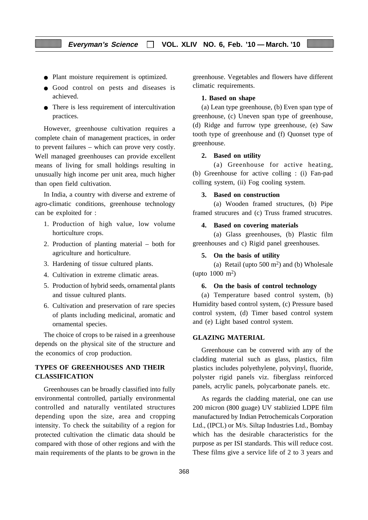- Plant moisture requirement is optimized.
- Good control on pests and diseases is achieved.
- There is less requirement of intercultivation practices.

However, greenhouse cultivation requires a complete chain of management practices, in order to prevent failures – which can prove very costly. Well managed greenhouses can provide excellent means of living for small holdings resulting in unusually high income per unit area, much higher than open field cultivation.

In India, a country with diverse and extreme of agro-climatic conditions, greenhouse technology can be exploited for :

- 1. Production of high value, low volume horticulture crops.
- 2. Production of planting material both for agriculture and horticulture.
- 3. Hardening of tissue cultured plants.
- 4. Cultivation in extreme climatic areas.
- 5. Production of hybrid seeds, ornamental plants and tissue cultured plants.
- 6. Cultivation and preservation of rare species of plants including medicinal, aromatic and ornamental species.

The choice of crops to be raised in a greenhouse depends on the physical site of the structure and the economics of crop production.

# **TYPES OF GREENHOUSES AND THEIR CLASSIFICATION**

Greenhouses can be broadly classified into fully environmental controlled, partially environmental controlled and naturally ventilated structures depending upon the size, area and cropping intensity. To check the suitability of a region for protected cultivation the climatic data should be compared with those of other regions and with the main requirements of the plants to be grown in the greenhouse. Vegetables and flowers have different climatic requirements.

#### **1. Based on shape**

(a) Lean type greenhouse, (b) Even span type of greenhouse, (c) Uneven span type of greenhouse, (d) Ridge and furrow type greenhouse, (e) Saw tooth type of greenhouse and (f) Quonset type of greenhouse.

#### **2. Based on utility**

(a) Greenhouse for active heating, (b) Greenhouse for active colling : (i) Fan-pad colling system, (ii) Fog cooling system.

#### **3. Based on construction**

(a) Wooden framed structures, (b) Pipe framed strucures and (c) Truss framed strucutres.

#### **4. Based on covering materials**

(a) Glass greenhouses, (b) Plastic film greenhouses and c) Rigid panel greenhouses.

#### **5. On the basis of utility**

(a) Retail (upto  $500 \text{ m}^2$ ) and (b) Wholesale (upto  $1000 \text{ m}^2$ )

#### **6. On the basis of control technology**

(a) Temperature based control system, (b) Humidity based control system, (c) Pressure based control system, (d) Timer based control system and (e) Light based control system.

# **GLAZING MATERIAL**

Greenhouse can be convered with any of the cladding material such as glass, plastics, film plastics includes polyethylene, polyvinyl, fluoride, polyster rigid panels viz. fiberglass reinforced panels, acrylic panels, polycarbonate panels. etc.

As regards the cladding material, one can use 200 micron (800 guage) UV stablizied LDPE film manufactured by Indian Petrochemicals Corporation Ltd., (IPCL) or M/s. Siltap Industries Ltd., Bombay which has the desirable characteristics for the purpose as per ISI standards. This will reduce cost. These films give a service life of 2 to 3 years and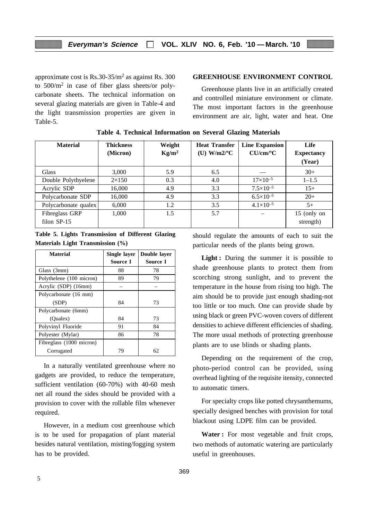approximate cost is  $Rs.30-35/m^2$  as against Rs. 300 to 500/m2 in case of fiber glass sheets/or polycarbonate sheets. The technical information on several glazing materials are given in Table-4 and the light transmission properties are given in Table-5.

# **GREENHOUSE ENVIRONMENT CONTROL**

Greenhouse plants live in an artificially created and controlled miniature environment or climate. The most important factors in the greenhouse environment are air, light, water and heat. One

| <b>Material</b>      | <b>Thickness</b><br>(Micron) | Weight<br>$Kg/m^2$ | <b>Heat Transfer</b><br>(U) $W/m2/°C$ | <b>Line Expansion</b><br>$CU/cm$ <sup>o</sup> $C$ | Life<br><b>Expectancy</b><br>(Year) |
|----------------------|------------------------------|--------------------|---------------------------------------|---------------------------------------------------|-------------------------------------|
| <b>Glass</b>         | 3,000                        | 5.9                | 6.5                                   |                                                   | $30+$                               |
| Double Polythyelene  | $2\times150$                 | 0.3                | 4.0                                   | $17\times10^{-5}$                                 | $1 - 1.5$                           |
| Acrylic SDP          | 16,000                       | 4.9                | 3.3                                   | $7.5 \times 10^{-5}$                              | $15+$                               |
| Polycarbonate SDP    | 16,000                       | 4.9                | 3.3                                   | $6.5\times10^{-5}$                                | $20+$                               |
| Polycarbonate qualex | 6.000                        | 1.2                | 3.5                                   | $4.1 \times 10^{-5}$                              | $5+$                                |
| Fibreglass GRP       | 1,000                        | 1.5                | 5.7                                   |                                                   | 15 (only on                         |
| filon SP-15          |                              |                    |                                       |                                                   | strength)                           |

**Table 4. Technical Information on Several Glazing Materials**

|  | Table 5. Lights Transmission of Different Glazing |  |  |
|--|---------------------------------------------------|--|--|
|  | Materials Light Transmission (%)                  |  |  |

| <b>Material</b>          | Single layer<br>Source I | Double layer<br>Source I |
|--------------------------|--------------------------|--------------------------|
| Glass (3mm)              | 88                       | 78                       |
|                          |                          |                          |
| Polythelene (100 micron) | 89                       | 79                       |
| Acrylic (SDP) (16mm)     |                          |                          |
| Polycarbonate (16 mm)    |                          |                          |
| (SDP)                    | 84                       | 73                       |
| Polycarbonate (6mm)      |                          |                          |
| (Oualex)                 | 84                       | 73                       |
| Polyvinyl Fluoride       | 91                       | 84                       |
| Polyester (Mylar)        | 86                       | 78                       |
| Fibreglass (1000 micron) |                          |                          |
| Corrugated               | 79                       | 62                       |

In a naturally ventilated greenhouse where no gadgets are provided, to reduce the temperature, sufficient ventilation (60-70%) with 40-60 mesh net all round the sides should be provided with a provision to cover with the rollable film whenever required.

However, in a medium cost greenhouse which is to be used for propagation of plant material besides natural ventilation, misting/fogging system has to be provided.

should regulate the amounts of each to suit the particular needs of the plants being grown.

**Light :** During the summer it is possible to shade greenhouse plants to protect them from scorching strong sunlight, and to prevent the temperature in the house from rising too high. The aim should be to provide just enough shading-not too little or too much. One can provide shade by using black or green PVC-woven covers of different densities to achieve different efficiencies of shading. The more usual methods of protecting greenhouse plants are to use blinds or shading plants.

Depending on the requirement of the crop, photo-period control can be provided, using overhead lighting of the requisite itensity, connected to automatic timers.

For specialty crops like potted chrysanthemums, specially designed benches with provision for total blackout using LDPE film can be provided.

**Water :** For most vegetable and fruit crops, two methods of automatic watering are particularly useful in greenhouses.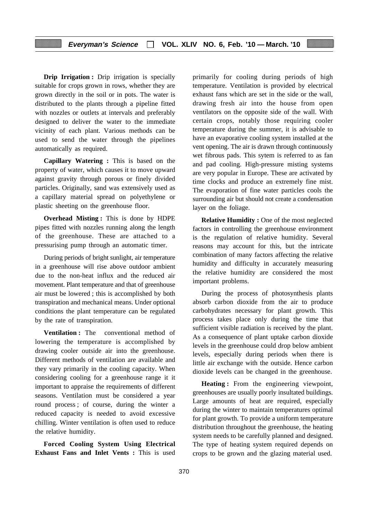**Drip Irrigation :** Drip irrigation is specially suitable for crops grown in rows, whether they are grown directly in the soil or in pots. The water is distributed to the plants through a pipeline fitted with nozzles or outlets at intervals and preferably designed to deliver the water to the immediate vicinity of each plant. Various methods can be used to send the water through the pipelines automatically as required.

**Capillary Watering :** This is based on the property of water, which causes it to move upward against gravity through porous or finely divided particles. Originally, sand was extensively used as a capillary material spread on polyethylene or plastic sheeting on the greenhouse floor.

**Overhead Misting :** This is done by HDPE pipes fitted with nozzles running along the length of the greenhouse. These are attached to a pressurising pump through an automatic timer.

During periods of bright sunlight, air temperature in a greenhouse will rise above outdoor ambient due to the non-heat influx and the reduced air movement. Plant temperature and that of greenhouse air must be lowered ; this is accomplished by both transpiration and mechanical means. Under optional conditions the plant temperature can be regulated by the rate of transpiration.

**Ventilation :** The conventional method of lowering the temperature is accomplished by drawing cooler outside air into the greenhouse. Different methods of ventilation are available and they vary primarily in the cooling capacity. When considering cooling for a greenhouse range it it important to appraise the requirements of different seasons. Ventilation must be considered a year round process ; of course, during the winter a reduced capacity is needed to avoid excessive chilling. Winter ventilation is often used to reduce the relative humidity.

**Forced Cooling System Using Electrical Exhaust Fans and Inlet Vents :** This is used primarily for cooling during periods of high temperature. Ventilation is provided by electrical exhaust fans which are set in the side or the wall, drawing fresh air into the house from open ventilators on the opposite side of the wall. With certain crops, notably those requiring cooler temperature during the summer, it is advisable to have an evaporative cooling system installed at the vent opening. The air is drawn through continuously wet fibrous pads. This sytem is referred to as fan and pad cooling. High-pressure misting systems are very popular in Europe. These are activated by time clocks and produce an extremely fine mist. The evaporation of fine water particles cools the surrounding air but should not create a condensation layer on the foliage.

**Relative Humidity :** One of the most neglected factors in controlling the greenhouse environment is the regulation of relative humidity. Several reasons may account for this, but the intricate combination of many factors affecting the relative humidity and difficulty in accurately measuring the relative humidity are considered the most important problems.

During the process of photosynthesis plants absorb carbon dioxide from the air to produce carbohydrates necessary for plant growth. This process takes place only during the time that sufficient visible radiation is received by the plant. As a consequence of plant uptake carbon dioxide levels in the greenhouse could drop below ambient levels, especially during periods when there is little air exchange with the outside. Hence carbon dioxide levels can be changed in the greenhouse.

**Heating :** From the engineering viewpoint, greenhouses are usually poorly insultated buildings. Large amounts of heat are required, especially during the winter to maintain temperatures optimal for plant growth. To provide a uniform temperature distribution throughout the greenhouse, the heating system needs to be carefully planned and designed. The type of heating system required depends on crops to be grown and the glazing material used.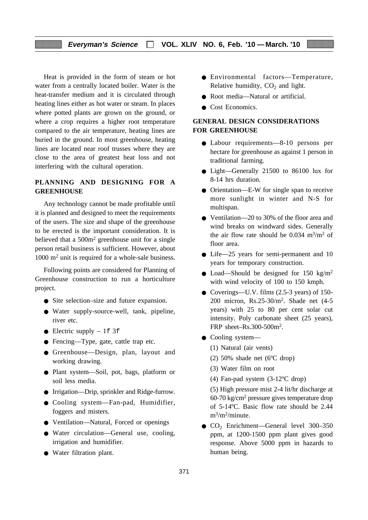Heat is provided in the form of steam or hot water from a centrally located boiler. Water is the heat-transfer medium and it is circulated through heating lines either as hot water or steam. In places where potted plants are grown on the ground, or where a crop requires a higher root temperature compared to the air temperature, heating lines are buried in the ground. In most greenhouse, heating lines are located near roof trusses where they are close to the area of greatest heat loss and not interfering with the cultural operation.

# **PLANNING AND DESIGNING FOR A GREENHOUSE**

Any technology cannot be made profitable until it is planned and designed to meet the requirements of the users. The size and shape of the greenhouse to be erected is the important consideration. It is believed that a 500m2 greenhouse unit for a single person retail business is sufficient. However, about 1000 m<sup>2</sup> unit is required for a whole-sale business.

Following points are considered for Planning of Greenhouse construction to run a horticulture project.

- Site selection–size and future expansion.
- Water supply-source-well, tank, pipeline, river etc.
- Electric supply  $-1f$  3f
- Fencing—Type, gate, cattle trap etc.
- Greenhouse—Design, plan, layout and working drawing.
- Plant system—Soil, pot, bags, platform or soil less media.
- Irrigation—Drip, sprinkler and Ridge-furrow.
- Cooling system—Fan-pad, Humidifier, foggers and misters.
- Ventilation—Natural, Forced or openings
- Water circulation—General use, cooling, irrigation and humidifier.
- Water filtration plant.
- Environmental factors—Temperature, Relative humidity,  $CO<sub>2</sub>$  and light.
- Root media—Natural or artificial.
- Cost Economics.

# **GENERAL DESIGN CONSIDERATIONS FOR GREENHOUSE**

- Labour requirements—8-10 persons per hectare for greenhouse as against 1 person in traditional farming.
- Light—Generally 21500 to 86100 lux for 8-14 hrs duration.
- Orientation—E-W for single span to receive more sunlight in winter and N-S for multispan.
- Ventilation—20 to 30% of the floor area and wind breaks on windward sides. Generally the air flow rate should be  $0.034 \text{ m}^3/\text{m}^2$  of floor area.
- Life—25 years for semi-permanent and 10 years for temporary construction.
- Load—Should be designed for 150 kg/m<sup>2</sup> with wind velocity of 100 to 150 kmph.
- Coverings—U.V. films (2.5-3 years) of 150-200 micron, Rs.25-30/m2. Shade net (4-5 years) with 25 to 80 per cent solar cut intensity. Poly carbonate sheet (25 years), FRP sheet–Rs.300-500m2.
- Cooling system—
	- (1) Natural (air vents)
	- (2) 50% shade net (6ºC drop)
	- (3) Water film on root
	- (4) Fan-pad system (3-12ºC drop)

(5) High pressure mist 2-4 lit/hr discharge at 60-70 kg/cm2 pressure gives temperature drop of 5-14ºC. Basic flow rate should be 2.44  $m^3/m^2$ /minute.

● CO2 Enrichment—General level 300–350 ppm, at 1200-1500 ppm plant gives good response. Above 5000 ppm in hazards to human being.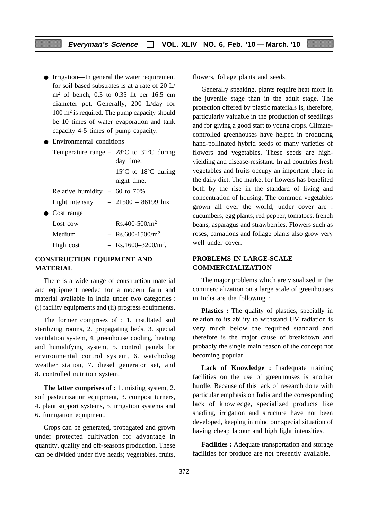● Irrigation—In general the water requirement for soil based substrates is at a rate of 20 L/  $m<sup>2</sup>$  of bench, 0.3 to 0.35 lit per 16.5 cm diameter pot. Generally, 200 L/day for 100 m2 is required. The pump capacity should be 10 times of water evaporation and tank capacity 4-5 times of pump capacity.

● Environmental conditions

Temperature range – 28ºC to 31ºC during day time.

|                                |             |  | $-15^{\circ}$ C to 18 <sup>o</sup> C during |
|--------------------------------|-------------|--|---------------------------------------------|
|                                | night time. |  |                                             |
| Relative humidity $-60$ to 70% |             |  |                                             |

- Light intensity  $-21500 86199$  lux
- Cost range

| Lost cow  | $-$ Rs.400-500/m <sup>2</sup>     |
|-----------|-----------------------------------|
| Medium    | $-$ Rs.600-1500/m <sup>2</sup>    |
| High cost | $-$ Rs.1600-3200/m <sup>2</sup> . |

# **CONSTRUCTION EQUIPMENT AND MATERIAL**

There is a wide range of construction material and equipment needed for a modern farm and material available in India under two categories : (i) facility equipments and (ii) progress equipments.

The former comprises of : 1. insultated soil sterilizing rooms, 2. propagating beds, 3. special ventilation system, 4. greenhouse cooling, heating and humidifying system, 5. control panels for environmental control system, 6. watchodog weather station, 7. diesel generator set, and 8. controlled nutrition system.

**The latter comprises of :** 1. misting system, 2. soil pasteurization equipment, 3. compost turners, 4. plant support systems, 5. irrigation systems and 6. fumigation equipment.

Crops can be generated, propagated and grown under protected cultivation for advantage in quantity, quality and off-seasons production. These can be divided under five heads; vegetables, fruits, flowers, foliage plants and seeds.

Generally speaking, plants require heat more in the juvenile stage than in the adult stage. The protection offered by plastic materials is, therefore, particularly valuable in the production of seedlings and for giving a good start to young crops. Climatecontrolled greenhouses have helped in producing hand-pollinated hybrid seeds of many varieties of flowers and vegetables. These seeds are highyielding and disease-resistant. In all countries fresh vegetables and fruits occupy an important place in the daily diet. The market for flowers has benefited both by the rise in the standard of living and concentration of housing. The common vegetables grown all over the world, under cover are : cucumbers, egg plants, red pepper, tomatoes, french beans, asparagus and strawberries. Flowers such as roses, carnations and foliage plants also grow very well under cover.

# **PROBLEMS IN LARGE-SCALE COMMERCIALIZATION**

The major problems which are visualized in the commercialization on a large scale of greenhouses in India are the following :

**Plastics :** The quality of plastics, specially in relation to its ability to withstand UV radiation is very much below the required standard and therefore is the major cause of breakdown and probably the single main reason of the concept not becoming popular.

Lack of Knowledge : Inadequate training facilities on the use of greenhouses is another hurdle. Because of this lack of research done with particular emphasis on India and the corresponding lack of knowledge, specialized products like shading, irrigation and structure have not been developed, keeping in mind our special situation of having cheap labour and high light intensities.

**Facilities :** Adequate transportation and storage facilities for produce are not presently available.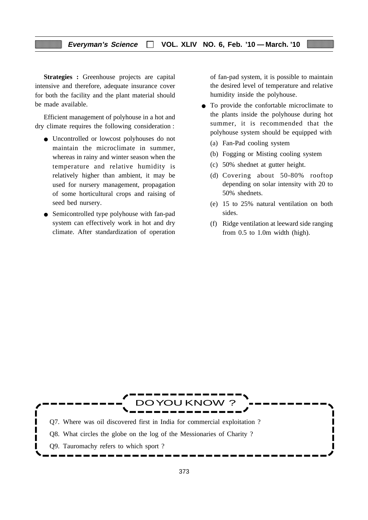**Strategies :** Greenhouse projects are capital intensive and therefore, adequate insurance cover for both the facility and the plant material should be made available.

Efficient management of polyhouse in a hot and dry climate requires the following consideration :

- Uncontrolled or lowcost polyhouses do not maintain the microclimate in summer, whereas in rainy and winter season when the temperature and relative humidity is relatively higher than ambient, it may be used for nursery management, propagation of some horticultural crops and raising of seed bed nursery.
- Semicontrolled type polyhouse with fan-pad system can effectively work in hot and dry climate. After standardization of operation

of fan-pad system, it is possible to maintain the desired level of temperature and relative humidity inside the polyhouse.

- To provide the confortable microclimate to the plants inside the polyhouse during hot summer, it is recommended that the polyhouse system should be equipped with
	- (a) Fan-Pad cooling system
	- (b) Fogging or Misting cooling system
	- (c) 50% shednet at gutter height.
	- (d) Covering about 50-80% rooftop depending on solar intensity with 20 to 50% shednets.
	- (e) 15 to 25% natural ventilation on both sides.
	- (f) Ridge ventilation at leeward side ranging from 0.5 to 1.0m width (high).

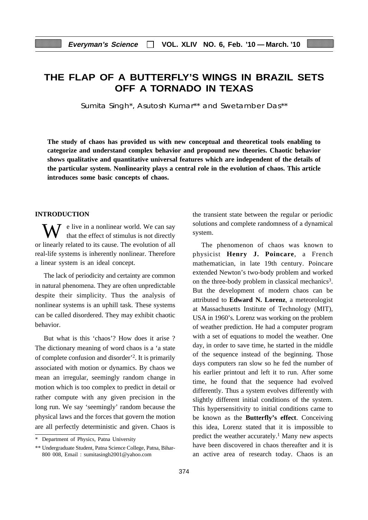# **THE FLAP OF A BUTTERFLY'S WINGS IN BRAZIL SETS OFF A TORNADO IN TEXAS**

Sumita Singh\*, Asutosh Kumar\*\* and Swetamber Das\*\*

**The study of chaos has provided us with new conceptual and theoretical tools enabling to categorize and understand complex behavior and propound new theories. Chaotic behavior shows qualitative and quantitative universal features which are independent of the details of the particular system. Nonlinearity plays a central role in the evolution of chaos. This article introduces some basic concepts of chaos.**

# **INTRODUCTION**

 $\bar{J}$  e live in a nonlinear world. We can say that the effect of stimulus is not directly or linearly related to its cause. The evolution of all real-life systems is inherently nonlinear. Therefore a linear system is an ideal concept.

The lack of periodicity and certainty are common in natural phenomena. They are often unpredictable despite their simplicity. Thus the analysis of nonlinear systems is an uphill task. These systems can be called disordered. They may exhibit chaotic behavior.

But what is this 'chaos'? How does it arise ? The dictionary meaning of word chaos is a 'a state of complete confusion and disorder'2. It is primarily associated with motion or dynamics. By chaos we mean an irregular, seemingly random change in motion which is too complex to predict in detail or rather compute with any given precision in the long run. We say 'seemingly' random because the physical laws and the forces that govern the motion are all perfectly deterministic and given. Chaos is

the transient state between the regular or periodic solutions and complete randomness of a dynamical system.

The phenomenon of chaos was known to physicist **Henry J. Poincare**, a French mathematician, in late 19th century. Poincare extended Newton's two-body problem and worked on the three-body problem in classical mechanics<sup>3</sup>. But the development of modern chaos can be attributed to **Edward N. Lorenz**, a meteorologist at Massachusetts Institute of Technology (MIT), USA in 1960's. Lorenz was working on the problem of weather prediction. He had a computer program with a set of equations to model the weather. One day, in order to save time, he started in the middle of the sequence instead of the beginning. Those days computers ran slow so he fed the number of his earlier printout and left it to run. After some time, he found that the sequence had evolved differently. Thus a system evolves differently with slightly different initial conditions of the system. This hypersensitivity to initial conditions came to be known as the **Butterfly's effect**. Conceiving this idea, Lorenz stated that it is impossible to predict the weather accurately.<sup>1</sup> Many new aspects have been discovered in chaos thereafter and it is an active area of research today. Chaos is an

<sup>\*</sup> Department of Physics, Patna University

<sup>\*\*</sup> Undergraduate Student, Patna Science College, Patna, Bihar-800 008, Email : sumitasingh2001@yahoo.com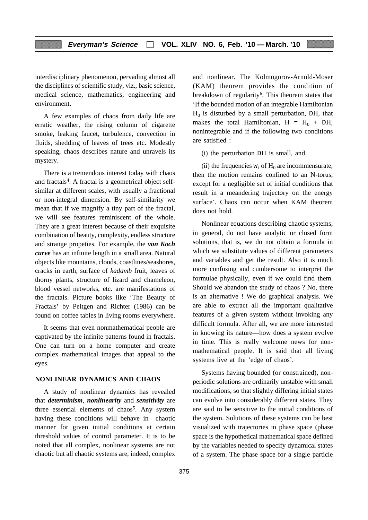interdisciplinary phenomenon, pervading almost all the disciplines of scientific study, viz., basic science, medical science, mathematics, engineering and environment.

A few examples of chaos from daily life are erratic weather, the rising column of cigarette smoke, leaking faucet, turbulence, convection in fluids, shedding of leaves of trees etc. Modestly speaking, chaos describes nature and unravels its mystery.

There is a tremendous interest today with chaos and fractals<sup>4</sup>. A fractal is a geometrical object selfsimilar at different scales, with usually a fractional or non-integral dimension. By self-similarity we mean that if we magnify a tiny part of the fractal, we will see features reminiscent of the whole. They are a great interest because of their exquisite combination of beauty, complexity, endless structure and strange propeties. For example, the *von Koch curve* has an infinite length in a small area. Natural objects like mountains, clouds, coastlines/seashores, cracks in earth, surface of *kadamb* fruit, leaves of thorny plants, structure of lizard and chameleon, blood vessel networks, etc. are manifestations of the fractals. Picture books like 'The Beauty of Fractals' by Peitgen and Richter (1986) can be found on coffee tables in living rooms everywhere.

It seems that even nonmathematical people are captivated by the infinite patterns found in fractals. One can turn on a home computer and create complex mathematical images that appeal to the eyes.

#### **NONLINEAR DYNAMICS AND CHAOS**

A study of nonlinear dynamics has revealed that *determinism*, *nonlinearity* and *sensitivity* are three essential elements of chaos<sup>5</sup>. Any system having these conditions will behave in chaotic manner for given initial conditions at certain threshold values of control parameter. It is to be noted that all complex, nonlinear systems are not chaotic but all chaotic systems are, indeed, complex and nonlinear. The Kolmogorov-Arnold-Moser (KAM) theorem provides the condition of breakdown of regularity<sup>6</sup>. This theorem states that 'If the bounded motion of an integrable Hamiltonian  $H<sub>0</sub>$  is disturbed by a small perturbation, DH, that makes the total Hamiltonian,  $H = H_0 + DH$ , nonintegrable and if the following two conditions are satisfied :

(i) the perturbation DH is small, and

(ii) the frequencies  $w_i$  of  $H_0$  are incommensurate, then the motion remains confined to an N-torus, except for a negligible set of initial conditions that result in a meandering trajectory on the energy surface'. Chaos can occur when KAM theorem does not hold.

Nonlinear equations describing chaotic systems, in general, do not have analytic or closed form solutions, that is, we do not obtain a formula in which we substitute values of different parameters and variables and get the result. Also it is much more confusing and cumbersome to interpret the formulae physically, even if we could find them. Should we abandon the study of chaos ? No, there is an alternative ! We do graphical analysis. We are able to extract all the important qualitative features of a given system without invoking any difficult formula. After all, we are more interested in knowing its nature—how does a system evolve in time. This is really welcome news for nonmathematical people. It is said that all living systems live at the 'edge of chaos'.

Systems having bounded (or constrained), nonperiodic solutions are ordinarily unstable with small modifications, so that slightly differing initial states can evolve into considerably different states. They are said to be sensitive to the initial conditions of the system. Solutions of these systems can be best visualized with trajectories in phase space (phase space is the hypothetical mathematical space defined by the variables needed to specify dynamical states of a system. The phase space for a single particle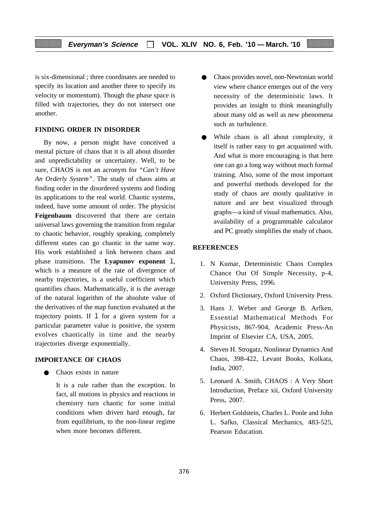is six-dimensional ; three coordinates are needed to specify its location and another three to specify its velocity or momentum). Though the phase space is filled with trajectories, they do not intersect one another.

# **FINDING ORDER IN DISORDER**

By now, a person might have conceived a mental picture of chaos that it is all about disorder and unpredictability or uncertainty. Well, to be sure, CHAOS is not an acronym for *"Can't Have An Orderly System"*. The study of chaos aims at finding order in the disordered systems and finding its applications to the real world. Chaotic systems, indeed, have some amount of order. The physicist **Feigenbaum** discovered that there are certain universal laws governing the transition from regular to chaotic behavior, roughly speaking, completely different states can go chaotic in the same way. His work established a link between chaos and phase transitions. The **Lyapunov exponent** l, which is a measure of the rate of divergence of nearby trajectories, is a useful coefficient which quantifies chaos. Mathematically, it is the average of the natural logarithm of the absolute value of the derivatives of the map function evaluated at the trajectory points. If  $1$  for a given system for a particular parameter value is positive, the system evolves chaotically in time and the nearby trajectories diverge exponentially.

## **IMPORTANCE OF CHAOS**

Chaos exists in nature

It is a rule rather than the exception. In fact, all motions in physics and reactions in chemistry turn chaotic for some initial conditions when driven hard enough, far from equilibrium, to the non-linear regime when more becomes different.

- Chaos provides novel, non-Newtonian world view where chance emerges out of the very necessity of the deterministic laws. It provides an insight to think meaningfully about many old as well as new phenomena such as turbulence.
- While chaos is all about complexity, it itself is rather easy to get acquainted with. And what is more encouraging is that here one can go a long way without much formal training. Also, some of the most important and powerful methods developed for the study of chaos are mostly qualitative in nature and are best visualized through graphs—a kind of visual mathematics. Also, availability of a programmable calculator and PC greatly simplifies the study of chaos.

#### **REFERENCES**

- 1. N Kumar, Deterministic Chaos Complex Chance Out Of Simple Necessity, p-4, University Press, 1996.
- 2. Oxford Dictionary, Oxford University Press.
- 3. Hans J. Weber and George B. Arfken, Essential Mathematical Methods For Physicists, 867-904, Academic Press-An Imprint of Elsevier CA, USA, 2005.
- 4. Steven H. Strogatz, Nonlinear Dynamics And Chaos, 398-422, Levant Books, Kolkata, India, 2007.
- 5. Leonard A. Smith, CHAOS : A Very Short Introduction, Preface xii, Oxford University Press, 2007.
- 6. Herbert Goldstein, Charles L. Poole and John L. Safko, Classical Mechanics, 483-525, Pearson Education.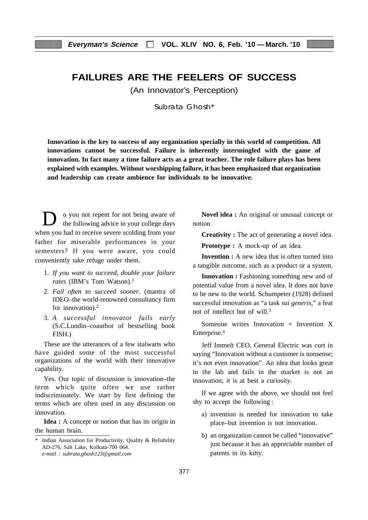# **FAILURES ARE THE FEELERS OF SUCCESS**

(An Innovator's Perception)

Subrata Ghosh\*

**Innovation is the key to success of any organization specially in this world of competition. All innovations cannot be successful. Failure is inherently intermingled with the game of innovation. In fact many a time failure acts as a great teacher. The role failure plays has been explained with examples. Without worshipping failure, it has been emphasized that organization and leadership can create ambience for individuals to be innovative.**

D o you not repent for not being aware of the following advice in your college days when you had to receive severe scolding from your father for miserable performances in your semesters? If you were aware, you could conveniently take refuge under them.

- 1. *If you want to succeed, double your failure* rates (IBM's Tom Watson).<sup>1</sup>
- 2. *Fail often to succeed sooner.* (mantra of IDEO–the world-renowned consultancy firm for innovation).<sup>2</sup>
- 3. *A successful innovator fails early* (S.C.Lundin–coauthor of bestselling book FISH.)

These are the utterances of a few stalwarts who have guided some of the most successful organizations of the world with their innovative capability.

Yes. Our topic of discussion is innovation–the term which quite often we use rather indiscriminately. We start by first defining the terms which are often used in any discussion on innovation.

**Idea :** A concept or notion that has its origin in the human brain.

**Novel idea :** An original or unusual concept or notion.

**Creativity :** The act of generating a novel idea.

**Prototype :** A mock-up of an idea.

**Invention :** A new idea that is often turned into a tangible outcome, such as a product or a system.

**Innovation :** Fashioning something new and of potential value from a novel idea. It does not have to be new to the world. Schumpeter (1928) defined successful innovation as "a task *sui generis*," a feat not of intellect but of will.3

Someone writes Innovation  $=$  Invention X Enterprise.4

Jeff Immelt CEO, General Electric was curt in saying "Innovation without a customer is nonsense; it's not even innovation". An idea that looks great in the lab and fails in the market is not an innovation; it is at best a curiosity.

If we agree with the above, we should not feel shy to accept the following :

- a) invention is needed for innovation to take place–but invention is not innovation.
- b) an organization cannot be called "innovative" just because it has an appreciable number of patents in its kitty.

<sup>\*</sup> Indian Association for Productivity, Quality & Reliability AD-276, Salt Lake, Kolkata-700 064. *e-mail : subrata.ghosh123@gmail.com*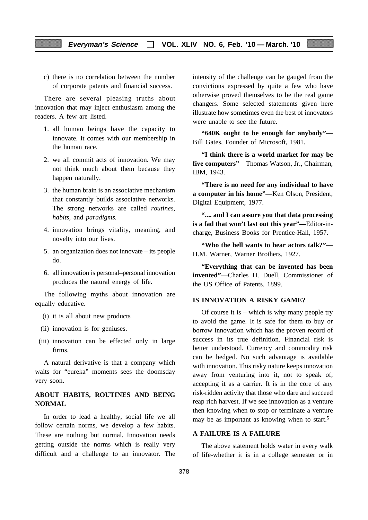c) there is no correlation between the number of corporate patents and financial success.

There are several pleasing truths about innovation that may inject enthusiasm among the readers. A few are listed.

- 1. all human beings have the capacity to innovate. It comes with our membership in the human race.
- 2. we all commit acts of innovation. We may not think much about them because they happen naturally.
- 3. the human brain is an associative mechanism that constantly builds associative networks. The strong networks are called *routines, habits,* and *paradigms.*
- 4. innovation brings vitality, meaning, and novelty into our lives.
- 5. an organization does not innovate its people do.
- 6. all innovation is personal–personal innovation produces the natural energy of life.

The following myths about innovation are equally educative.

- (i) it is all about new products
- (ii) innovation is for geniuses.
- (iii) innovation can be effected only in large firms.

A natural derivative is that a company which waits for "eureka" moments sees the doomsday very soon.

# **ABOUT HABITS, ROUTINES AND BEING NORMAL**

In order to lead a healthy, social life we all follow certain norms, we develop a few habits. These are nothing but normal. Innovation needs getting outside the norms which is really very difficult and a challenge to an innovator. The intensity of the challenge can be gauged from the convictions expressed by quite a few who have otherwise proved themselves to be the real game changers. Some selected statements given here illustrate how sometimes even the best of innovators were unable to see the future.

**"640K ought to be enough for anybody"—** Bill Gates, Founder of Microsoft, 1981.

**"I think there is a world market for may be five computers"**—Thomas Watson, Jr., Chairman, IBM, 1943.

**"There is no need for any individual to have a computer in his home"—**Ken Olson, President, Digital Equipment, 1977.

**".... and I can assure you that data processing is a fad that won't last out this year"—**Editor-incharge, Business Books for Prentice-Hall, 1957.

**"Who the hell wants to hear actors talk?"**— H.M. Warner, Warner Brothers, 1927.

**"Everything that can be invented has been invented"**—Charles H. Duell, Commissioner of the US Office of Patents. 1899.

## **IS INNOVATION A RISKY GAME?**

Of course it is  $-$  which is why many people try to avoid the game. It is safe for them to buy or borrow innovation which has the proven record of success in its true definition. Financial risk is better understood. Currency and commodity risk can be hedged. No such advantage is available with innovation. This risky nature keeps innovation away from venturing into it, not to speak of, accepting it as a carrier. It is in the core of any risk-ridden activity that those who dare and succeed reap rich harvest. If we see innovation as a venture then knowing when to stop or terminate a venture may be as important as knowing when to start.<sup>5</sup>

#### **A FAILURE IS A FAILURE**

The above statement holds water in every walk of life-whether it is in a college semester or in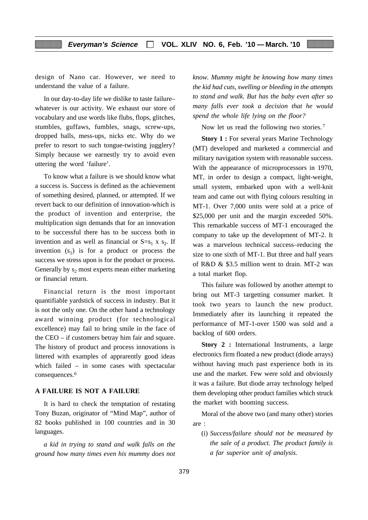design of Nano car. However, we need to understand the value of a failure.

In our day-to-day life we dislike to taste failure– whatever is our activity. We exhaust our store of vocabulary and use words like flubs, flops, glitches, stumbles, guffaws, fumbles, snags, screw-ups, dropped balls, mess-ups, nicks etc. Why do we prefer to resort to such tongue-twisting jugglery? Simply because we earnestly try to avoid even uttering the word 'failure'.

To know what a failure is we should know what a success is. Success is defined as the achievement of something desired, planned, or attempted. If we revert back to our definition of innovation-which is the product of invention and enterprise, the multiplication sign demands that for an innovation to be successful there has to be success both in invention and as well as financial or  $S=s_1 x s_2$ . If invention  $(s_1)$  is for a product or process the success we stress upon is for the product or process. Generally by  $s_2$  most experts mean either marketing or financial return.

Financial return is the most important quantifiable yardstick of success in industry. But it is not the only one. On the other hand a technology award winning product (for technological excellence) may fail to bring smile in the face of the CEO – if customers betray him fair and square. The history of product and process innovations is littered with examples of apprarently good ideas which failed – in some cases with spectacular consequences.6

#### **A FAILURE IS NOT A FAILURE**

It is hard to check the temptation of restating Tony Buzan, originator of "Mind Map", author of 82 books published in 100 countries and in 30 languages.

*a kid in trying to stand and walk falls on the ground how many times even his mummy does not*

*know. Mummy might be knowing how many times the kid had cuts, swelling or bleeding in the attempts to stand and walk. But has the baby even after so many falls ever took a decision that he would spend the whole life lying on the floor?*

Now let us read the following two stories.<sup>7</sup>

**Story 1 :** For several years Marine Technology (MT) developed and marketed a commercial and military navigation system with reasonable success. With the appearance of microprocessors in 1970, MT, in order to design a compact, light-weight, small system, embarked upon with a well-knit team and came out with flying colours resulting in MT-1. Over 7,000 units were sold at a price of \$25,000 per unit and the margin exceeded 50%. This remarkable success of MT-1 encouraged the company to take up the development of MT-2. It was a marvelous technical success–reducing the size to one sixth of MT-1. But three and half years of R&D & \$3.5 million went to drain. MT-2 was a total market flop.

This failure was followed by another attempt to bring out MT-3 targetting consumer market. It took two years to launch the new product. Immediately after its launching it repeated the performance of MT-1-over 1500 was sold and a backlog of 600 orders.

**Story 2 :** International Instruments, a large electronics firm floated a new product (diode arrays) without having much past experience both in its use and the market. Few were sold and obviously it was a failure. But diode array technology helped them developing other product families which struck the market with booming success.

Moral of the above two (and many other) stories are :

(i) *Success/failure should not be measured by the sale of a product. The product family is a far superior unit of analysis.*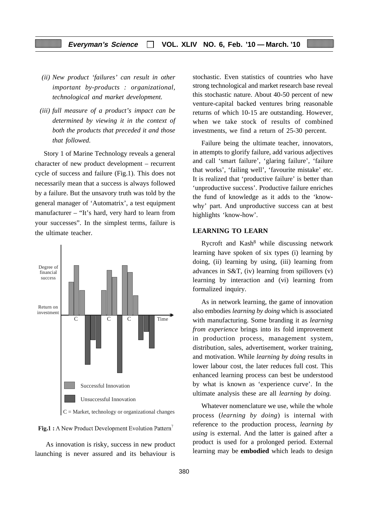- *(ii) New product 'failures' can result in other important by-products : organizational, technological and market development.*
- *(iii) full measure of a product's impact can be determined by viewing it in the context of both the products that preceded it and those that followed.*

Story 1 of Marine Technology reveals a general character of new product development – recurrent cycle of success and failure (Fig.1). This does not necessarily mean that a success is always followed by a failure. But the unsavory truth was told by the general manager of 'Automatrix', a test equipment manufacturer – "It's hard, very hard to learn from your successes". In the simplest terms, failure is the ultimate teacher.





 As innovation is risky, success in new product launching is never assured and its behaviour is

stochastic. Even statistics of countries who have strong technological and market research base reveal this stochastic nature. About 40-50 percent of new venture-capital backed ventures bring reasonable returns of which 10-15 are outstanding. However, when we take stock of results of combined investments, we find a return of 25-30 percent.

Failure being the ultimate teacher, innovators, in attempts to glorify failure, add various adjectives and call 'smart failure', 'glaring failure', 'failure that works', 'failing well', 'favourite mistake' etc. It is realized that 'productive failure' is better than 'unproductive success'. Productive failure enriches the fund of knowledge as it adds to the 'knowwhy' part. And unproductive success can at best highlights 'know-how'.

## **LEARNING TO LEARN**

Rycroft and Kash8 while discussing network learning have spoken of six types (i) learning by doing, (ii) learning by using, (iii) learning from advances in S&T, (iv) learning from spillovers (v) learning by interaction and (vi) learning from formalized inquiry.

As in network learning, the game of innovation also embodies *learning by doing* which is associated with manufacturing. Some branding it as *learning from experience* brings into its fold improvement in production process, management system, distribution, sales, advertisement, worker training, and motivation. While *learning by doing* results in lower labour cost, the later reduces full cost. This enhanced learning process can best be understood by what is known as 'experience curve'. In the ultimate analysis these are all *learning by doing.*

Whatever nomenclature we use, while the whole process (*learning by doing*) is internal with reference to the production process, *learning by using* is external. And the latter is gained after a product is used for a prolonged period. External learning may be **embodied** which leads to design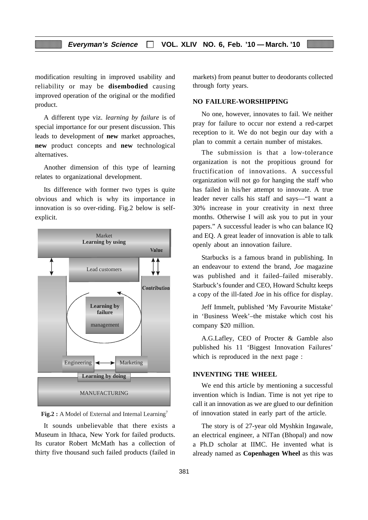modification resulting in improved usability and reliability or may be **disembodied** causing improved operation of the original or the modified product.

A different type viz. *learning by failure* is of special importance for our present discussion. This leads to development of **new** market approaches, **new** product concepts and **new** technological alternatives.

Another dimension of this type of learning relates to organizational development.

Its difference with former two types is quite obvious and which is why its importance in innovation is so over-riding. Fig.2 below is selfexplicit.



**Fig.2 :** A Model of External and Internal Learning<sup>7</sup>

It sounds unbelievable that there exists a Museum in Ithaca, New York for failed products. Its curator Robert McMath has a collection of thirty five thousand such failed products (failed in markets) from peanut butter to deodorants collected through forty years.

## **NO FAILURE-WORSHIPPING**

No one, however, innovates to fail. We neither pray for failure to occur nor extend a red-carpet reception to it. We do not begin our day with a plan to commit a certain number of mistakes.

The submission is that a low-tolerance organization is not the propitious ground for fructification of innovations. A successful organization will not go for hanging the staff who has failed in his/her attempt to innovate. A true leader never calls his staff and says—"I want a 30% increase in your creativity in next three months. Otherwise I will ask you to put in your papers." A successful leader is who can balance IQ and EQ. A great leader of innovation is able to talk openly about an innovation failure.

Starbucks is a famous brand in publishing. In an endeavour to extend the brand, *Joe* magazine was published and it failed–failed miserably. Starbuck's founder and CEO, Howard Schultz keeps a copy of the ill-fated *Joe* in his office for display.

Jeff Immelt, published 'My Favourite Mistake' in 'Business Week'–the mistake which cost his company \$20 million.

A.G.Lafley, CEO of Procter & Gamble also published his 11 'Biggest Innovation Failures' which is reproduced in the next page :

#### **INVENTING THE WHEEL**

We end this article by mentioning a successful invention which is Indian. Time is not yet ripe to call it an innovation as we are glued to our definition of innovation stated in early part of the article.

The story is of 27-year old Myshkin Ingawale, an electrical engineer, a NITan (Bhopal) and now a Ph.D scholar at IIMC. He invented what is already named as **Copenhagen Wheel** as this was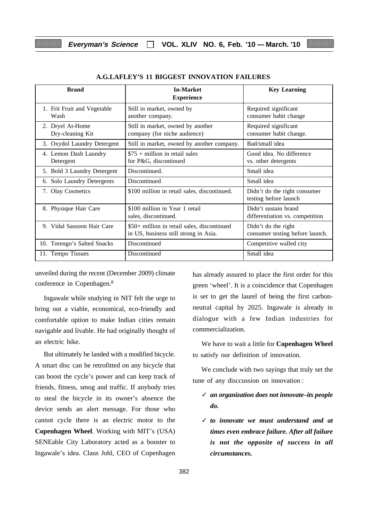| <b>Brand</b>                         | <b>In-Market</b><br><b>Experience</b>                                                | <b>Key Learning</b>                                     |
|--------------------------------------|--------------------------------------------------------------------------------------|---------------------------------------------------------|
| 1. Frit Fruit and Vegetable<br>Wash  | Still in market, owned by<br>another company.                                        | Required significant<br>consumer habit change           |
| 2. Dryel At-Home<br>Dry-cleaning Kit | Still in market, owned by another<br>company (for niche audience)                    | Required significant<br>consumer habit change.          |
| Oxydol Laundry Detergent<br>3.       | Still in market, owned by another company.                                           | Bad/small idea                                          |
| 4. Lemon Dash Laundry<br>Detergent   | $$75 + million in retail sales$<br>for P&G, discontinued                             | Good idea. No difference<br>vs. other detergents        |
| 5. Bold 3 Laundry Detergent          | Discontinued.                                                                        | Small idea                                              |
| 6. Solo Laundry Detergents           | Discontinued                                                                         | Small idea                                              |
| 7. Olay Cosmetics                    | \$100 million in retail sales, discontinued.                                         | Didn't do the right consumer<br>testing before launch   |
| 8. Physique Hair Care                | \$100 million in Year 1 retail<br>sales, discontinued.                               | Didn't sustain brand<br>differentiation vs. competition |
| 9. Vidal Sassoon Hair Care           | \$50+ million in retail sales, discontinued<br>in US, business still strong in Asia. | Didn't do the right<br>consumer testing before launch.  |
| 10. Torengo's Salted Snacks          | Discontinued                                                                         | Competitive walled city                                 |
| 11. Tempo Tissues                    | Discontinued                                                                         | Small idea                                              |

#### **A.G.LAFLEY'S 11 BIGGEST INNOVATION FAILURES**

unveiled during the recent (December 2009) climate conference in Copenhagen.8

Ingawale while studying in NIT felt the urge to bring out a viable, economical, eco-friendly and comfortable option to make Indian cities remain navigable and livable. He had originally thought of an electric bike.

But ultimately he landed with a modified bicycle. A smart disc can be retrofitted on any bicycle that can boost the cycle's power and can keep track of friends, fitness, smog and traffic. If anybody tries to steal the bicycle in its owner's absence the device sends an alert message. For those who cannot cycle there is an electric motor to the **Copenhagen Wheel**. Working with MIT's (USA) SENEable City Laboratory acted as a booster to Ingawale's idea. Claus Johl, CEO of Copenhagen has already assured to place the first order for this green 'wheel'. It is a coincidence that Copenhagen is set to get the laurel of being the first carbonneutral capital by 2025. Ingawale is already in dialogue with a few Indian industries for commercialization.

We have to wait a little for **Copenhagen Wheel** to satisfy our definition of innovation.

We conclude with two sayings that truly set the tune of any disccussion on innovation :

- ✓ *an organization does not innovate–its people do.*
- ✓ *to innovate we must understand and at times even embrace failure. After all failure is not the opposite of success in all circumstances.*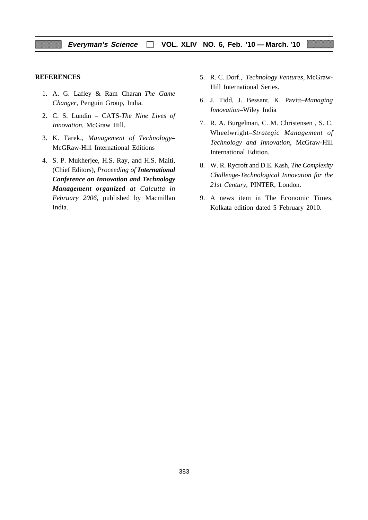#### **REFERENCES**

- 1. A. G. Lafley & Ram Charan–*The Game Changer,* Penguin Group, India.
- 2. C. S. Lundin CATS-*The Nine Lives of Innovation,* McGraw Hill.
- 3. K. Tarek., *Management of Technology–* McGRaw-Hill International Editions
- 4. S. P. Mukherjee, H.S. Ray, and H.S. Maiti, (Chief Editors), *Proceeding of International Conference on Innovation and Technology Management organized at Calcutta in February 2006,* published by Macmillan India.
- 5. R. C. Dorf., *Technology Ventures,* McGraw-Hill International Series.
- 6. J. Tidd, J. Bessant, K. Pavitt–*Managing Innovation–*Wiley India
- 7. R. A. Burgelman, C. M. Christensen , S. C. Wheelwright–*Strategic Management of Technology and Innovation*, McGraw-Hill International Edition.
- 8. W. R. Rycroft and D.E. Kash, *The Complexity Challenge-Technological Innovation for the 21st Century,* PINTER, London.
- 9. A news item in The Economic Times, Kolkata edition dated 5 February 2010.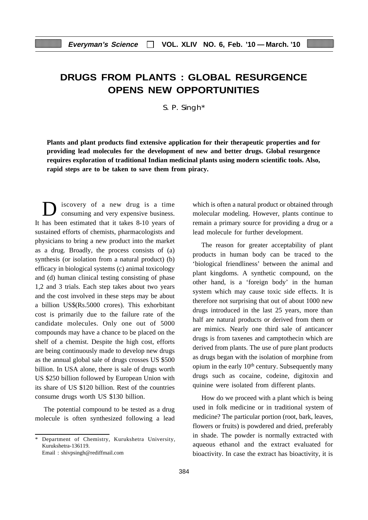# **DRUGS FROM PLANTS : GLOBAL RESURGENCE OPENS NEW OPPORTUNITIES**

S. P. Singh\*

**Plants and plant products find extensive application for their therapeutic properties and for providing lead molecules for the development of new and better drugs. Global resurgence requires exploration of traditional Indian medicinal plants using modern scientific tools. Also, rapid steps are to be taken to save them from piracy.**

D iscovery of a new drug is a time consuming and very expensive business. It has been estimated that it takes 8-10 years of sustained efforts of chemists, pharmacologists and physicians to bring a new product into the market as a drug. Broadly, the process consists of (a) synthesis (or isolation from a natural product) (b) efficacy in biological systems (c) animal toxicology and (d) human clinical testing consisting of phase 1,2 and 3 trials. Each step takes about two years and the cost involved in these steps may be about a billion US\$(Rs.5000 crores). This exhorbitant cost is primarily due to the failure rate of the candidate molecules. Only one out of 5000 compounds may have a chance to be placed on the shelf of a chemist. Despite the high cost, efforts are being continuously made to develop new drugs as the annual global sale of drugs crosses US \$500 billion. In USA alone, there is sale of drugs worth US \$250 billion followed by European Union with its share of US \$120 billion. Rest of the countries consume drugs worth US \$130 billion.

The potential compound to be tested as a drug molecule is often synthesized following a lead which is often a natural product or obtained through molecular modeling. However, plants continue to remain a primary source for providing a drug or a lead molecule for further development.

The reason for greater acceptability of plant products in human body can be traced to the 'biological friendliness' between the animal and plant kingdoms. A synthetic compound, on the other hand, is a 'foreign body' in the human system which may cause toxic side effects. It is therefore not surprising that out of about 1000 new drugs introduced in the last 25 years, more than half are natural products or derived from them or are mimics. Nearly one third sale of anticancer drugs is from taxenes and camptothecin which are derived from plants. The use of pure plant products as drugs began with the isolation of morphine from opium in the early  $10<sup>th</sup>$  century. Subsequently many drugs such as cocaine, codeine, digitoxin and quinine were isolated from different plants.

How do we proceed with a plant which is being used in folk medicine or in traditional system of medicine? The particular portion (root, bark, leaves, flowers or fruits) is powdered and dried, preferably in shade. The powder is normally extracted with aqueous ethanol and the extract evaluated for bioactivity. In case the extract has bioactivity, it is

Department of Chemistry, Kurukshetra University, Kurukshetra-136119.

Email : shivpsingh@rediffmail.com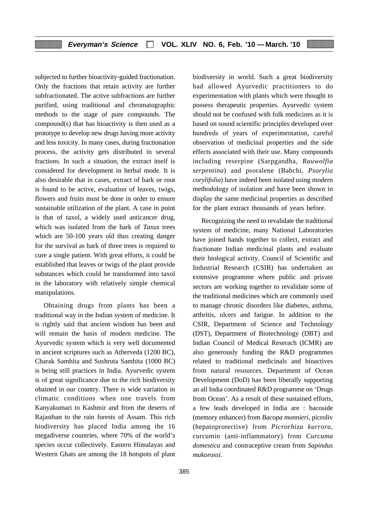subjected to further bioactivity-guided fractionation. Only the fractions that retain activity are further subfractionated. The active subfractions are further purified, using traditional and chromatographic methods to the stage of pure compounds. The compound(s) that has bioactivity is then used as a prototype to develop new drugs having more activity and less toxicity. In many cases, during fractionation process, the activity gets distributed in several fractions. In such a situation, the extract itself is considered for development in herbal mode. It is also desirable that in cases, extract of bark or root is found to be active, evaluation of leaves, twigs, flowers and fruits must be done in order to ensure sustainable utilization of the plant. A case in point is that of taxol, a widely used anticancer drug, which was isolated from the bark of *Taxus* trees which are 50-100 years old thus creating danger for the survival as bark of three trees is required to cure a single patient. With great efforts, it could be established that leaves or twigs of the plant provide substances which could be transformed into taxol in the laboratory with relatively simple chemical manipulations.

Obtaining drugs from plants has been a traditional way in the Indian system of medicine. It is rightly said that ancient wisdom has been and will remain the basis of modern medicine. The Ayurvedic system which is very well documented in ancient scriptures such as Atherveda (1200 BC), Charak Samhita and Sushruta Samhita (1000 BC) is being still practices in India. Ayurvedic system is of great significance due to the rich biodiversity obained in our country. There is wide variation in climatic conditions when one travels from Kanyakumari to Kashmir and from the deserts of Rajasthan to the rain forests of Assam. This rich biodiversity has placed India among the 16 megadiverse countries, where 70% of the world's species occur collectively. Eastern Himalayas and Western Ghats are among the 18 hotspots of plant biodiversity in world. Such a great biodiversity had allowed Ayurvedic practitioners to do experimentation with plants which were thought to possess therapeutic properties. Ayurvedic system should not be confused with folk medicines as it is based on sound scientific principles developed over hundreds of years of experimentation, careful observation of medicinal properties and the side effects associated with their use. Many compounds including reserpine (Sarpgandha, *Rauwolfia serpentina*) and psoralene (Babchi, *Psorylia corylifolia*) have indeed been isolated using modern methodology of isolation and have been shown in display the same medicinal properties as described for the plant extract thousands of years before.

Recognizing the need to revalidate the traditional system of medicine, many National Laboratories have joined hands together to collect, extract and fractionate Indian medicinal plants and evaluate their biological activity. Council of Scientific and Industrial Research (CSIR) has undertaken an extensive programme where public and private sectors are working together to revalidate some of the traditional medicines which are commonly used to manage chronic disorders like diabetes, asthma, arthritis, ulcers and fatigue. In addition to the CSIR, Department of Science and Technology (DST), Department of Biotechnology (DBT) and Indian Council of Medical Reserach (ICMR) are also generously funding the R&D programmes related to traditional medicinals and bioactives from natural resources. Department of Ocean Development (DoD) has been liberally supporting an all India coordinated R&D programme on 'Drugs from Ocean'. As a result of these sustained efforts, a few leads developed in India are : bacoside (memory enhancer) from *Bacopa monnieri*, picroliv (hepatoprotective) from *Picrorhiza kurrora*, curcumin (anti-inflammatory) from *Curcuma domestica* and contraceptive cream from *Sapindus mukorossi*.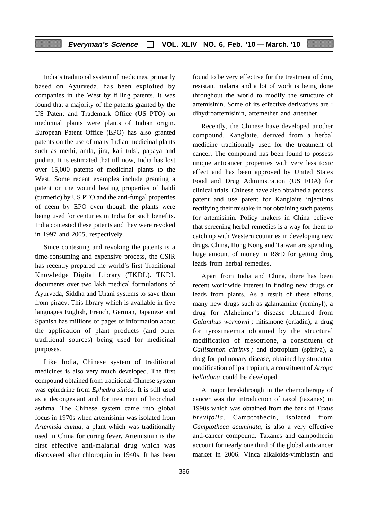India's traditional system of medicines, primarily based on Ayurveda, has been exploited by companies in the West by filling patents. It was found that a majority of the patents granted by the US Patent and Trademark Office (US PTO) on medicinal plants were plants of Indian origin. European Patent Office (EPO) has also granted patents on the use of many Indian medicinal plants such as methi, amla, jira, kali tulsi, papaya and pudina. It is estimated that till now, India has lost over 15,000 patents of medicinal plants to the West. Some recent examples include granting a patent on the wound healing properties of haldi (turmeric) by US PTO and the anti-fungal properties of neem by EPO even though the plants were being used for centuries in India for such benefits. India contested these patents and they were revoked in 1997 and 2005, respectively.

Since contesting and revoking the patents is a time-consuming and expensive process, the CSIR has recently prepared the world's first Traditional Knowledge Digital Library (TKDL). TKDL documents over two lakh medical formulations of Ayurveda, Siddha and Unani systems to save them from piracy. This library which is available in five languages English, French, German, Japanese and Spanish has millions of pages of information about the application of plant products (and other traditional sources) being used for medicinal purposes.

Like India, Chinese system of traditional medicines is also very much developed. The first compound obtained from traditional Chinese system was ephedrine from *Ephedra sinica*. It is still used as a decongestant and for treatment of bronchial asthma. The Chinese system came into global focus in 1970s when artemisinin was isolated from *Artemisia annua,* a plant which was traditionally used in China for curing fever. Artemisinin is the first effective anti-malarial drug which was discovered after chloroquin in 1940s. It has been

found to be very effective for the treatment of drug resistant malaria and a lot of work is being done throughout the world to modify the structure of artemisinin. Some of its effective derivatives are : dihydroartemisinin, artemether and arteether.

Recently, the Chinese have developed another compound, Kanglaite, derived from a herbal medicine traditionally used for the treatment of cancer. The compound has been found to possess unique anticancer properties with very less toxic effect and has been approved by United States Food and Drug Administration (US FDA) for clinical trials. Chinese have also obtained a process patent and use patent for Kanglaite injections rectifying their mistake in not obtaining such patents for artemisinin. Policy makers in China believe that screening herbal remedies is a way for them to catch up with Western countries in developing new drugs. China, Hong Kong and Taiwan are spending huge amount of money in R&D for getting drug leads from herbal remedies.

Apart from India and China, there has been recent worldwide interest in finding new drugs or leads from plants. As a result of these efforts, many new drugs such as galantamine (reminyl), a drug for Alzheimer's disease obtained from *Galanthus wornowii ;* nitisinone (orfadin), a drug for tyrosinaemia obtained by the structural modification of mesotrione, a constituent of *Callistemon citrinvs ;* and tiotropium (spiriva), a drug for pulmonary disease, obtained by strucutral modification of ipartropium, a constituent of *Atropa belladona* could be developed.

A major breakthrough in the chemotherapy of cancer was the introduction of taxol (taxanes) in 1990s which was obtained from the bark of *Taxus brevifolia*. Camptothecin, isolated from *Camptotheca acuminata,* is also a very effective anti-cancer compound. Taxanes and campothecin account for nearly one third of the global anticancer market in 2006. Vinca alkaloids-vimblastin and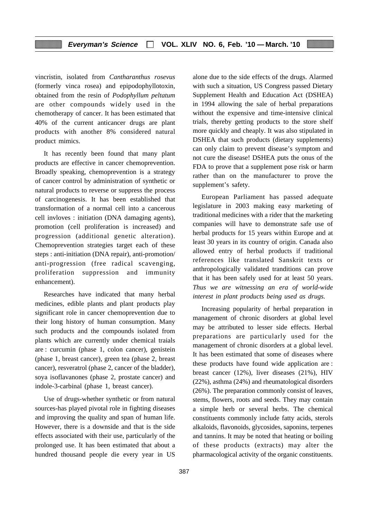vincristin, isolated from *Cantharanthus rosevus* (formerly vinca rosea) and epipodophyllotoxin, obtained from the resin of *Podophyllum peltatum* are other compounds widely used in the chemotherapy of cancer. It has been estimated that 40% of the current anticancer drugs are plant products with another 8% considered natural product mimics.

It has recently been found that many plant products are effective in cancer chemoprevention. Broadly speaking, chemoprevention is a strategy of cancer control by administration of synthetic or natural products to reverse or suppress the process of carcinogenesis. It has been established that transformation of a normal cell into a cancerous cell invloves : initiation (DNA damaging agents), promotion (cell proliferation is increased) and progression (additional genetic alteration). Chemoprevention strategies target each of these steps : anti-initiation (DNA repair), anti-promotion/ anti-progression (free radical scavenging, proliferation suppression and immunity enhancement).

Researches have indicated that many herbal medicines, edible plants and plant products play significant role in cancer chemoprevention due to their long history of human consumption. Many such products and the compounds isolated from plants which are currently under chemical traials are : curcumin (phase 1, colon cancer), genistein (phase 1, breast cancer), green tea (phase 2, breast cancer), resveratrol (phase 2, cancer of the bladder), soya isoflavanones (phase 2, prostate cancer) and indole-3-carbinal (phase 1, breast cancer).

Use of drugs-whether synthetic or from natural sources-has played pivotal role in fighting diseases and improving the quality and span of human life. However, there is a downside and that is the side effects associated with their use, particularly of the prolonged use. It has been estimated that about a hundred thousand people die every year in US

alone due to the side effects of the drugs. Alarmed with such a situation, US Congress passed Dietary Supplement Health and Education Act (DSHEA) in 1994 allowing the sale of herbal preparations without the expensive and time-intensive clinical trials, thereby getting products to the store shelf more quickly and cheaply. It was also stipulated in DSHEA that such products (dietary supplements) can only claim to prevent disease's symptom and not cure the disease! DSHEA puts the onus of the FDA to prove that a supplement pose risk or harm rather than on the manufacturer to prove the supplement's safety.

European Parliament has passed adequate legislature in 2003 making easy marketing of traditional medicines with a rider that the marketing companies will have to demonstrate safe use of herbal products for 15 years within Europe and at least 30 years in its country of origin. Canada also allowed entry of herbal products if traditional references like translated Sanskrit texts or anthropologically validated tranditions can prove that it has been safely used for at least 50 years. *Thus we are witnessing an era of world-wide interest in plant products being used as drugs.*

Increasing popularity of herbal preparation in management of chronic disorders at global level may be attributed to lesser side effects. Herbal preparations are particularly used for the management of chronic disorders at a global level. It has been estimated that some of diseases where these products have found wide application are : breast cancer (12%), liver diseases (21%), HIV (22%), asthma (24%) and rheumatological disorders (26%). The preparation commonly consist of leaves, stems, flowers, roots and seeds. They may contain a simple herb or several herbs. The chemical constituents commonly include fatty acids, sterols alkaloids, flavonoids, glycosides, saponins, terpenes and tannins. It may be noted that heating or boiling of these products (extracts) may alter the pharmacological activity of the organic constituents.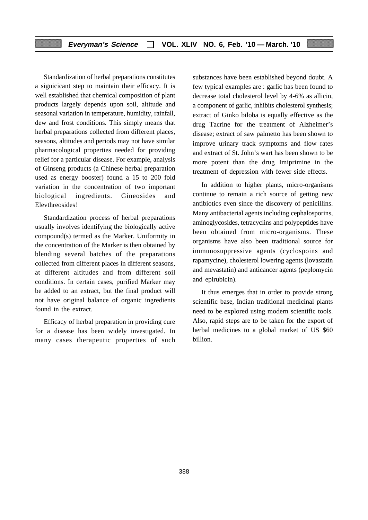Standardization of herbal preparations constitutes a signicicant step to maintain their efficacy. It is well established that chemical composition of plant products largely depends upon soil, altitude and seasonal variation in temperature, humidity, rainfall, dew and frost conditions. This simply means that herbal preparations collected from different places, seasons, altitudes and periods may not have similar pharmacological properties needed for providing relief for a particular disease. For example, analysis of Ginseng products (a Chinese herbal preparation used as energy booster) found a 15 to 200 fold variation in the concentration of two important biological ingredients. Gineosides and Elevthreosides!

Standardization process of herbal preparations usually involves identifying the biologically active compound(s) termed as the Marker. Uniformity in the concentration of the Marker is then obtained by blending several batches of the preparations collected from different places in different seasons, at different altitudes and from different soil conditions. In certain cases, purified Marker may be added to an extract, but the final product will not have original balance of organic ingredients found in the extract.

Efficacy of herbal preparation in providing cure for a disease has been widely investigated. In many cases therapeutic properties of such substances have been established beyond doubt. A few typical examples are : garlic has been found to decrease total cholesterol level by 4-6% as allicin, a component of garlic, inhibits cholesterol synthesis; extract of Ginko biloba is equally effective as the drug Tacrine for the treatment of Alzheimer's disease; extract of saw palmetto has been shown to improve urinary track symptoms and flow rates and extract of St. John's wart has been shown to be more potent than the drug Imiprimine in the treatment of depression with fewer side effects.

In addition to higher plants, micro-organisms continue to remain a rich source of getting new antibiotics even since the discovery of penicillins. Many antibacterial agents including cephalosporins, aminoglycosides, tetracyclins and polypeptides have been obtained from micro-organisms. These organisms have also been traditional source for immunosuppressive agents (cyclospoins and rapamycine), cholesterol lowering agents (lovastatin and mevastatin) and anticancer agents (peplomycin and epirubicin).

It thus emerges that in order to provide strong scientific base, Indian traditional medicinal plants need to be explored using modern scientific tools. Also, rapid steps are to be taken for the export of herbal medicines to a global market of US \$60 billion.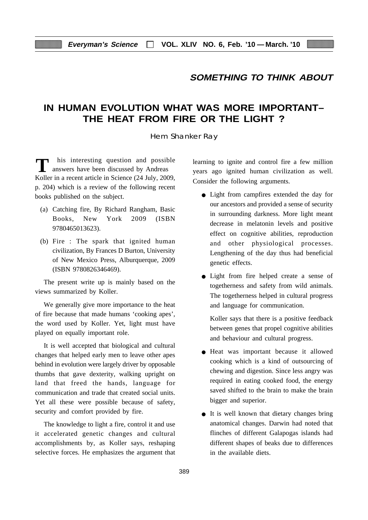# **SOMETHING TO THINK ABOUT**

# **IN HUMAN EVOLUTION WHAT WAS MORE IMPORTANT– THE HEAT FROM FIRE OR THE LIGHT ?**

Hem Shanker Ray

his interesting question and possible answers have been discussed by Andreas Koller in a recent article in Science (24 July, 2009, p. 204) which is a review of the following recent books published on the subject.

- (a) Catching fire, By Richard Rangham, Basic Books, New York 2009 (ISBN 9780465013623).
- (b) Fire : The spark that ignited human civilization, By Frances D Burton, University of New Mexico Press, Alburquerque, 2009 (ISBN 9780826346469).

The present write up is mainly based on the views summarized by Koller.

We generally give more importance to the heat of fire because that made humans 'cooking apes', the word used by Koller. Yet, light must have played on equally important role.

It is well accepted that biological and cultural changes that helped early men to leave other apes behind in evolution were largely driver by opposable thumbs that gave dexterity, walking upright on land that freed the hands, language for communication and trade that created social units. Yet all these were possible because of safety, security and comfort provided by fire.

The knowledge to light a fire, control it and use it accelerated genetic changes and cultural accomplishments by, as Koller says, reshaping selective forces. He emphasizes the argument that learning to ignite and control fire a few million years ago ignited human civilization as well. Consider the following arguments.

- Light from campfires extended the day for our ancestors and provided a sense of security in surrounding darkness. More light meant decrease in melatonin levels and positive effect on cognitive abilities, reproduction and other physiological processes. Lengthening of the day thus had beneficial genetic effects.
- Light from fire helped create a sense of togetherness and safety from wild animals. The togetherness helped in cultural progress and language for communication.

Koller says that there is a positive feedback between genes that propel cognitive abilities and behaviour and cultural progress.

- Heat was important because it allowed cooking which is a kind of outsourcing of chewing and digestion. Since less angry was required in eating cooked food, the energy saved shifted to the brain to make the brain bigger and superior.
- It is well known that dietary changes bring anatomical changes. Darwin had noted that flinches of different Galapogas islands had different shapes of beaks due to differences in the available diets.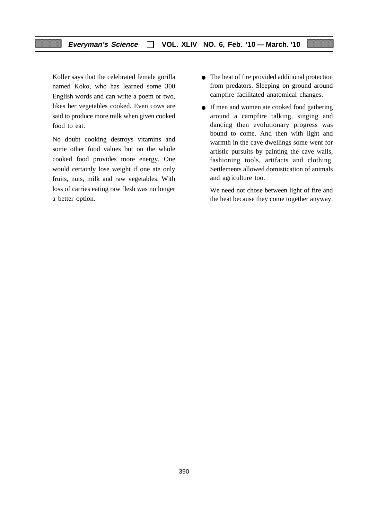Koller says that the celebrated female gorilla named Koko, who has learned some 300 English words and can write a poem or two, likes her vegetables cooked. Even cows are said to produce more milk when given cooked food to eat.

No doubt cooking destroys vitamins and some other food values but on the whole cooked food provides more energy. One would certainly lose weight if one ate only fruits, nuts, milk and raw vegetables. With loss of carries eating raw flesh was no longer a better option.

- The heat of fire provided additional protection from predators. Sleeping on ground around campfire facilitated anatomical changes.
- If men and women ate cooked food gathering around a campfire talking, singing and dancing then evolutionary progress was bound to come. And then with light and warmth in the cave dwellings some went for artistic pursuits by painting the cave walls, fashioning tools, artifacts and clothing. Settlements allowed domistication of animals and agriculture too.

We need not chose between light of fire and the heat because they come together anyway.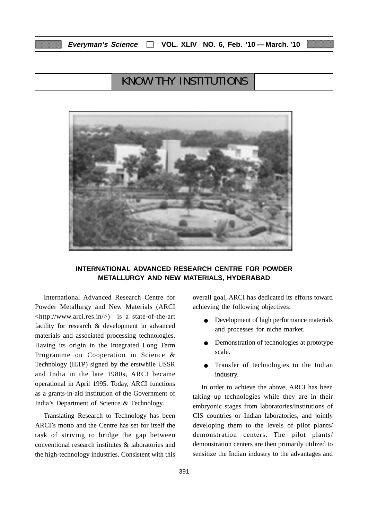| Everyman's Science |  |  | VOL. XLIV NO. 6, Feb. '10 - March. '10 |
|--------------------|--|--|----------------------------------------|
|--------------------|--|--|----------------------------------------|

# KNOW THY INSTITUTIONS



# **INTERNATIONAL ADVANCED RESEARCH CENTRE FOR POWDER METALLURGY AND NEW MATERIALS, HYDERABAD**

International Advanced Research Centre for Powder Metallurgy and New Materials (ARCI <http://www.arci.res.in/>) is a state-of-the-art facility for research & development in advanced materials and associated processing technologies. Having its origin in the Integrated Long Term Programme on Cooperation in Science & Technology (ILTP) signed by the erstwhile USSR and India in the late 1980s, ARCI became operational in April 1995. Today, ARCI functions as a grants-in-aid institution of the Government of India's Department of Science & Technology.

Translating Research to Technology has been ARCI's motto and the Centre has set for itself the task of striving to bridge the gap between conventional research institutes & laboratories and the high-technology industries. Consistent with this

overall goal, ARCI has dedicated its efforts toward achieving the following objectives:

- Development of high performance materials and processes for niche market.
- Demonstration of technologies at prototype scale.
- Transfer of technologies to the Indian industry.

In order to achieve the above, ARCI has been taking up technologies while they are in their embryonic stages from laboratories/institutions of CIS countries or Indian laboratories, and jointly developing them to the levels of pilot plants/ demonstration centers. The pilot plants/ demonstration centers are then primarily utilized to sensitize the Indian industry to the advantages and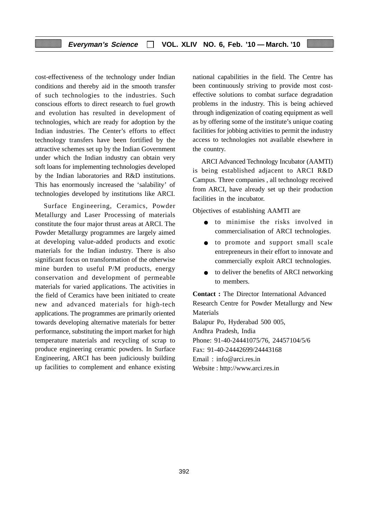cost-effectiveness of the technology under Indian conditions and thereby aid in the smooth transfer of such technologies to the industries. Such conscious efforts to direct research to fuel growth and evolution has resulted in development of technologies, which are ready for adoption by the Indian industries. The Center's efforts to effect technology transfers have been fortified by the attractive schemes set up by the Indian Government under which the Indian industry can obtain very soft loans for implementing technologies developed by the Indian laboratories and R&D institutions. This has enormously increased the 'salability' of technologies developed by institutions like ARCI.

Surface Engineering, Ceramics, Powder Metallurgy and Laser Processing of materials constitute the four major thrust areas at ARCI. The Powder Metallurgy programmes are largely aimed at developing value-added products and exotic materials for the Indian industry. There is also significant focus on transformation of the otherwise mine burden to useful P/M products, energy conservation and development of permeable materials for varied applications. The activities in the field of Ceramics have been initiated to create new and advanced materials for high-tech applications. The programmes are primarily oriented towards developing alternative materials for better performance, substituting the import market for high temperature materials and recycling of scrap to produce engineering ceramic powders. In Surface Engineering, ARCI has been judiciously building up facilities to complement and enhance existing

national capabilities in the field. The Centre has been continuously striving to provide most costeffective solutions to combat surface degradation problems in the industry. This is being achieved through indigenization of coating equipment as well as by offering some of the institute's unique coating facilities for jobbing activities to permit the industry access to technologies not available elsewhere in the country.

ARCI Advanced Technology Incubator (AAMTI) is being established adjacent to ARCI R&D Campus. Three companies , all technology received from ARCI, have already set up their production facilities in the incubator.

Objectives of establishing AAMTI are

- to minimise the risks involved in commercialisation of ARCI technologies.
- to promote and support small scale entrepreneurs in their effort to innovate and commercially exploit ARCI technologies.
- to deliver the benefits of ARCI networking to members.

**Contact :** The Director International Advanced Research Centre for Powder Metallurgy and New Materials

Balapur Po, Hyderabad 500 005, Andhra Pradesh, India Phone: 91-40-24441075/76, 24457104/5/6 Fax: 91-40-24442699/24443168 Email : info@arci.res.in Website : http://www.arci.res.in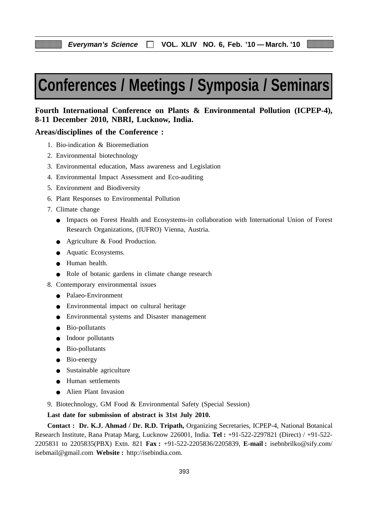# **Conferences / Meetings / Symposia / Seminars**

# **Fourth International Conference on Plants & Environmental Pollution (ICPEP-4), 8-11 December 2010, NBRI, Lucknow, India.**

# **Areas/disciplines of the Conference :**

- 1. Bio-indication & Bioremediation
- 2. Environmental biotechnology
- 3. Environmental education, Mass awareness and Legislation
- 4. Environmental Impact Assessment and Eco-auditing
- 5. Environment and Biodiversity
- 6. Plant Responses to Environmental Pollution
- 7. Climate change
	- Impacts on Forest Health and Ecosystems-in collaboration with International Union of Forest Research Organizations, (IUFRO) Vienna, Austria.
	- Agriculture & Food Production.
	- Aquatic Ecosystems.
	- Human health.
	- Role of botanic gardens in climate change research
- 8. Contemporary environmental issues
	- Palaeo-Environment
	- Environmental impact on cultural heritage
	- Environmental systems and Disaster management
	- Bio-pollutants
	- Indoor pollutants
	- Bio-pollutants
	- Bio-energy
	- Sustainable agriculture
	- Human settlements
	- Alien Plant Invasion
- 9. Biotechnology, GM Food & Environmental Safety (Special Session)

**Last date for submission of abstract is 31st July 2010.**

**Contact : Dr. K.J. Ahmad / Dr. R.D. Tripath,** Organizing Secretaries, ICPEP-4, National Botanical Research Institute, Rana Pratap Marg, Lucknow 226001, India. **Tel :** +91-522-2297821 (Direct) / +91-522- 2205831 to 2205835(PBX) Extn. 821 **Fax :** +91-522-2205836/2205839, **E-mail :** isebnbrilko@sify.com/ isebmail@gmail.com **Website :** http://isebindia.com.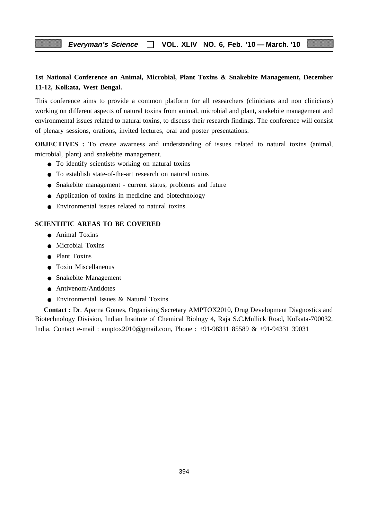# **1st National Conference on Animal, Microbial, Plant Toxins & Snakebite Management, December 11-12, Kolkata, West Bengal.**

This conference aims to provide a common platform for all researchers (clinicians and non clinicians) working on different aspects of natural toxins from animal, microbial and plant, snakebite management and environmental issues related to natural toxins, to discuss their research findings. The conference will consist of plenary sessions, orations, invited lectures, oral and poster presentations.

**OBJECTIVES** : To create awarness and understanding of issues related to natural toxins (animal, microbial, plant) and snakebite management.

- To identify scientists working on natural toxins
- To establish state-of-the-art research on natural toxins
- Snakebite management current status, problems and future
- Application of toxins in medicine and biotechnology
- Environmental issues related to natural toxins

## **SCIENTIFIC AREAS TO BE COVERED**

- Animal Toxins
- Microbial Toxins
- Plant Toxins
- Toxin Miscellaneous
- Snakebite Management
- Antivenom/Antidotes
- Environmental Issues & Natural Toxins

**Contact :** Dr. Aparna Gomes, Organising Secretary AMPTOX2010, Drug Development Diagnostics and Biotechnology Division, Indian Institute of Chemical Biology 4, Raja S.C.Mullick Road, Kolkata-700032, India. Contact e-mail : amptox2010@gmail.com, Phone : +91-98311 85589 & +91-94331 39031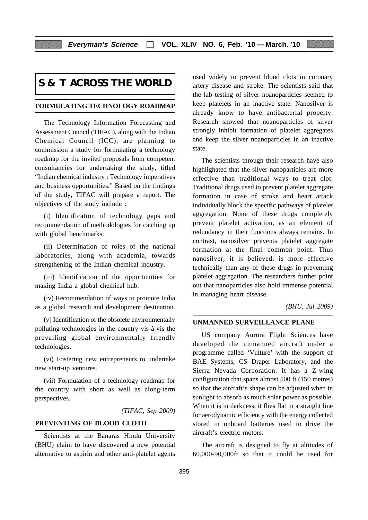# **S & T ACROSS THE WORLD**

#### **FORMULATING TECHNOLOGY ROADMAP**

The Technology Information Forecasting and Assessment Council (TIFAC), along with the Indian Chemical Council (ICC), are planning to commission a study for formulating a technology roadmap for the invited proposals from competent consultancies for undertaking the study, titled "Indian chemical industry : Technology imperatives and business opportunities." Based on the findings of the study, TIFAC will prepare a report. The objectives of the study include :

(i) Identification of technology gaps and recommendation of methodologies for catching up with global benchmarks.

(ii) Determination of roles of the national laboratories, along with academia, towards strengthening of the Indian chemical industry.

(iii) Identification of the opportunities for making India a global chemical hub.

(iv) Recommendation of ways to promote India as a global research and development destination.

(v) Identification of the obsolete environmentally polluting technologies in the country vis-a`-vis the prevailing global environmentally friendly technologies.

(vi) Fostering new entrepreneurs to undertake new start-up ventures.

(vii) Formulation of a technology roadmap for the country with short as well as along-term perspectives.

# *(TIFAC, Sep 2009)*

# **PREVENTING OF BLOOD CLOTH**

Scientists at the Banaras Hindu University (BHU) claim to have discovered a new potential alternative to aspirin and other anti-platelet agents used widely to prevent blood clots in coronary artery disease and stroke. The scientists said that the lab testing of silver noanoparticles seemed to keep platelets in an inactive state. Nanosilver is already know to have antibacterial property. Research showed that noanoparticles of silver strongly inhibit formation of platelet aggregates and keep the silver noanoparticles in an inactive state.

The scientists through their research have also highlighated that the silver nanoparticles are more effective than traditional ways to treat clot. Traditional drugs used to prevent platelet aggregate formation in case of stroke and heart attack individually block the specific pathways of platelet aggregation. None of these drugs completely prevent platelet activation, as an element of redundancy in their functions always remains. In contrast, nanosilver prevents platelet aggregate formation at the final common point. Thus nanosilver, it is believed, is more effective technically than any of these drugs in preventing platelet aggregation. The researchers further point out that nanoparticles also hold immense potential in managing heart disease.

#### *(BHU, Jul 2009)*

#### **UNMANNED SURVEILLANCE PLANE**

US company Aurora Flight Sciences have developed the unmanned aircraft under a programme called 'Vulture' with the support of BAE Systems, CS Draper Laboratory, and the Sierra Nevada Corporation. It has a Z-wing configuration that spans almost 500 ft (150 metres) so that the aircraft's shape can be adjusted when in sunlight to absorb as much solar power as possible. When it is in darkness, it flies flat in a straight line for aerodynamic efficiency with the energy collected stored in onboard batteries used to drive the aircraft's electric motors.

The aircraft is designed to fly at altitudes of 60,000-90,000ft so that it could be used for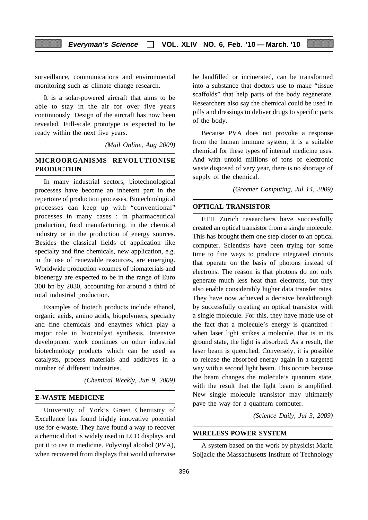surveillance, communications and environmental monitoring such as climate change research.

It is a solar-powered aircraft that aims to be able to stay in the air for over five years continuously. Design of the aircraft has now been revealed. Full-scale prototype is expected to be ready within the next five years.

*(Mail Online, Aug 2009)*

# **MICROORGANISMS REVOLUTIONISE PRODUCTION**

In many industrial sectors, biotechnological processes have become an inherent part in the repertoire of production processes. Biotechnological processes can keep up with "conventional" processes in many cases : in pharmaceutical production, food manufacturing, in the chemical industry or in the production of energy sources. Besides the classical fields of application like specialty and fine chemicals, new application, e.g. in the use of renewable resources, are emerging. Worldwide production volumes of biomaterials and bioenergy are expected to be in the range of Euro 300 bn by 2030, accounting for around a third of total industrial production.

Examples of biotech products include ethanol, organic acids, amino acids, biopolymers, specialty and fine chemicals and enzymes which play a major role in biocatalyst synthesis. Intensive development work continues on other industrial biotechnology products which can be used as catalysts, process materials and additives in a number of different industries.

*(Chemical Weekly, Jun 9, 2009)*

## **E-WASTE MEDICINE**

University of York's Green Chemistry of Excellence has found highly innovative potential use for e-waste. They have found a way to recover a chemical that is widely used in LCD displays and put it to use in medicine. Polyvinyl alcohol (PVA), when recovered from displays that would otherwise

be landfilled or incinerated, can be transformed into a substance that doctors use to make "tissue scaffolds" that help parts of the body regenerate. Researchers also say the chemical could be used in pills and dressings to deliver drugs to specific parts of the body.

Because PVA does not provoke a response from the human immune system, it is a suitable chemical for these types of internal medicine uses. And with untold millions of tons of electronic waste disposed of very year, there is no shortage of supply of the chemical.

*(Greener Computing, Jul 14, 2009)*

#### **OPTICAL TRANSISTOR**

ETH Zurich researchers have successfully created an optical transistor from a single molecule. This has brought them one step closer to an optical computer. Scientists have been trying for some time to fine ways to produce integrated circuits that operate on the basis of photons instead of electrons. The reason is that photons do not only generate much less heat than electrons, but they also enable considerably higher data transfer rates. They have now achieved a decisive breakthrough by successfully creating an optical transistor with a single molecule. For this, they have made use of the fact that a molecule's energy is quantized : when laser light strikes a molecule, that is in its ground state, the light is absorbed. As a result, the laser beam is quenched. Conversely, it is possible to release the absorbed energy again in a targeted way with a second light beam. This occurs because the beam changes the molecule's quantum state, with the result that the light beam is amplified. New single molecule transistor may ultimately pave the way for a quantum computer.

*(Science Daily, Jul 3, 2009)*

#### **WIRELESS POWER SYSTEM**

A system based on the work by physicist Marin Soljacic the Massachusetts Institute of Technology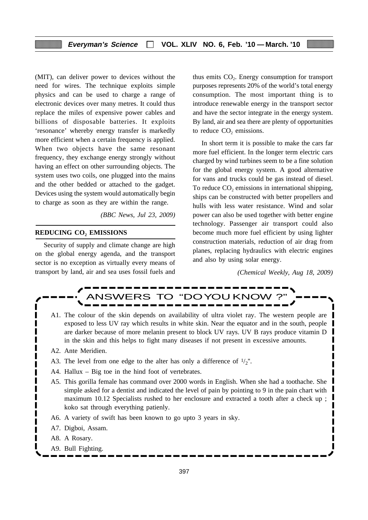(MIT), can deliver power to devices without the need for wires. The technique exploits simple physics and can be used to charge a range of electronic devices over many metres. It could thus replace the miles of expensive power cables and billions of disposable batteries. It exploits 'resonance' whereby energy transfer is markedly more efficient when a certain frequency is applied. When two objects have the same resonant frequency, they exchange energy strongly without having an effect on other surrounding objects. The system uses two coils, one plugged into the mains and the other bedded or attached to the gadget. Devices using the system would automatically begin to charge as soon as they are within the range.

*(BBC News, Jul 23, 2009)*

# **REDUCING CO<sub>2</sub> EMISSIONS**

Security of supply and climate change are high on the global energy agenda, and the transport sector is no exception as virtually every means of transport by land, air and sea uses fossil fuels and

thus emits  $CO<sub>2</sub>$ . Energy consumption for transport purposes represents 20% of the world's total energy consumption. The most important thing is to introduce renewable energy in the transport sector and have the sector integrate in the energy system. By land, air and sea there are plenty of opportunities to reduce CO<sub>2</sub> emissions.

In short term it is possible to make the cars far more fuel efficient. In the longer term electric cars charged by wind turbines seem to be a fine solution for the global energy system. A good alternative for vans and trucks could be gas instead of diesel. To reduce  $CO<sub>2</sub>$  emissions in international shipping, ships can be constructed with better propellers and hulls with less water resistance. Wind and solar power can also be used together with better engine technology. Passenger air transport could also become much more fuel efficient by using lighter construction materials, reduction of air drag from planes, replacing hydraulics with electric engines and also by using solar energy.

*(Chemical Weekly, Aug 18, 2009)*

Π



- A1. The colour of the skin depends on availability of ultra violet ray. The western people are exposed to less UV ray which results in white skin. Near the equator and in the south, people are darker because of more melanin present to block UV rays. UV B rays produce vitamin D in the skin and this helps to fight many diseases if not present in excessive amounts.
- A2. Ante Meridien.
- A3. The level from one edge to the alter has only a difference of  $1/2$ ".
- A4. Hallux Big toe in the hind foot of vertebrates.
- A5. This gorilla female has command over 2000 words in English. When she had a toothache. She simple asked for a dentist and indicated the level of pain by pointing to 9 in the pain chart with maximum 10.12 Specialists rushed to her enclosure and extracted a tooth after a check up ; koko sat through everything patienly.
- A6. A variety of swift has been known to go upto 3 years in sky.
- A7. Digboi, Assam.
- A8. A Rosary.
- A9. Bull Fighting.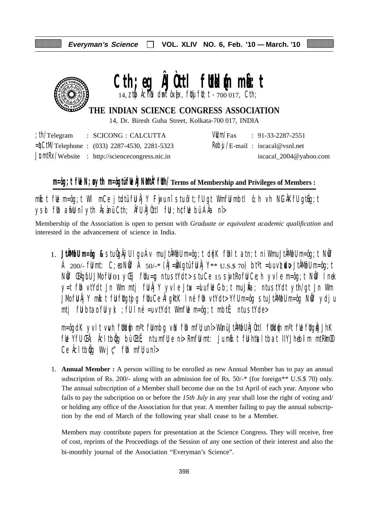

# Cth;eg **AJOttl futkl**{m mk}: t  $14$ , ztp  $\lambda$  chink dumt ôx[ex, ftluj ftl; t - 700 017, Cth;

**THE INDIAN SCIENCE CONGRESS ASSOCIATION**

14, Dr. Biresh Guha Street, Kolkata-700 017, INDIA

|  | $\therefore$ th/Telegram $\therefore$ SCICONG $\therefore$ CALCUTTA |  | $VU/m/Fax$ : 91-33-2287-2551            |
|--|---------------------------------------------------------------------|--|-----------------------------------------|
|  | $=\n\frac{1}{2}$ CtM/Telephone : (033) 2287-4530, 2281-5323         |  | $R\theta$ bij /E-mail: iscacal@vsnl.net |
|  | $JcmłRx/Website$ : http://sciencecongress.nic.in                    |  | iscacal_2004@yahoo.com                  |

# **m=ôg;t fUe N;uø ytih m=ôgtü fUe ÂJNuMtÂ"fUth/Terms of Membership and Privileges of Members :**

 $m$ b:t fue m=ôg;t WI mCe jtudtü fu Âj Y Fuju nî stu ôlt;fu gt Wmfu mbtl ô;h vh NiGÂKfu gtueg;t ysd fih arfli nî yth Âsànü Cth; Âfli ÂJùttl fii ; h¢fli bü ÁÂa nî>

Membership of the Association is open to person with *Graduate or equivalent academic qualification* and interested in the advancement of science in India.

1. **JtÂMøfU m=ôg &** stu ÔgÂÿU lgu Áv mu JtÂMøfU m=ôg;t d{nK fUhlt atn;t ni Wmu JtÂMøfU m=ôg;t NwÖf Á 200/- fümt: C;eo Nöf Á 50/-\* (ÂJ=åNgtü fü Âj Y\*\*  $U.S.S.$  70) bt<sup>o</sup>t =ulu v $\nabla$ udu+ JtÂMofu m=ôg;t Nif ŒAgifU JMo fiJ 01 yŒij fUtu=¤ ntu stYdt> stu Ce 15 swjtRo fiJ Ce;h yvle m=ôg;t Nif I nek y=t füh vtYdt Jn Wm mtj fü $\hat{A}$ jY yvle Jtux =ulu fül Gb;t mu J $\hat{A}a$ ; ntu stYdt yth/gt Jn Wm JMo fü Âj Y mbi:t fü füqtojq füu Ce ÂlgktK I né füh vtYdt> Yfü m=ôg stu JtÂMofü m=ôg Nöf ydju mtj fülbta $\delta$  fülyk; ; fülné =u vtYdt WmfWe m=ôg;t mbtË; ntu stYde>

m=ôgdK yvlt vwh füldin m°t fülmbg vin füh mfü;unî> Wànü JtÂMofü ÂJÒttl füldin m°t füe fügiÅJhK ful Yfu Ch; Acltbig bü Cti; ntu mfl; e ni> Rmfu mt: Ju mb:t fu htusltbat IIYJhebilm mtRkmOO Ce  $\hat{A}$ cltb $\hat{q}$ g Wvj $\hat{c}$ " f $\hat{b}$ h mf $\hat{b}$ u nî >

1. **Annual Member :** A person willing to be enrolled as new Annual Member has to pay an annual subscription of Rs. 200/- along with an admission fee of Rs. 50/-\* (for foreign\*\* U.S.\$ 70) only. The annual subscription of a Member shall become due on the 1st April of each year. Anyone who fails to pay the subcription on or before the *15th July* in any year shall lose the right of voting and/ or holding any office of the Association for that year. A member failing to pay the annual subscription by the end of March of the following year shall cease to be a Member.

Members may contribute papers for presentation at the Science Congress. They will receive, free of cost, reprints of the Proceedings of the Session of any one section of their interest and also the bi-monthly journal of the Association "Everyman's Science".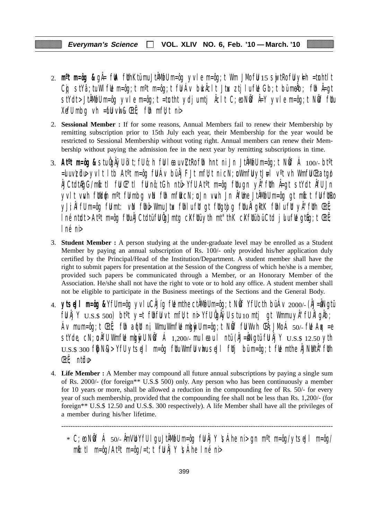- 2. **m<sup>o</sup>t m=ôg &** gÅ= fWA fUthKtümu JtÅMwfU m=ôg yvle m=ôg;t Wm JMo fU 15 swjtRo fU yk=h =tunhtlt Cg stYâ;tu WlfUe m=ôg;t m<sup>o</sup>t m=ôg;t fU Áv buk Âclt Jtux ztjlu fUe Gb;t bü meÂb; fUn Â=gt stYdt>JtÂM@Um=ôg yvle m=ôg;t =tœtht ydjumtj Åclt C;eo NÖf Å=Y yvle m=ôg;t NÖf fUu XefU mbg vh =  $\mathbf{f}$ U vwl &  $\mathbf{E}$ t $\ddot{\mathbf{f}}$ ; fUh mfU; t ni
- 2. **Sessional Member :** If for some reasons, Annual Members fail to renew their Membership by remitting subscription prior to 15th July each year, their Membership for the year would be restricted to Sessional Membership without voting right. Annual members can renew their Membership without paying the admission fee in the next year by remitting subscriptions in time.
- 3. **Atºt m=ôg &** stu ÔgÂÿU ôlt;fU ô;h fuU leau v\ZtRo fUh hnt ni Jn JtÂMøfU m=ôg;t NwÖf Á 100/- btºt  $=$ uvzül $\triangleright$  yvlt ltb At<sup>o</sup>t m=ôg fü Áv bü Âj FJt mfU;t ni cN;u Wmfü ytJ $\pm$ l v<sup>o</sup>t vh Wmfü Ctatgø ÂJCtdtÆgG/mkô:tl fuU Œ"tl fuU nô;tGh ntü> YfU Atºt m=ôg fUtu gn yÂ"fUth Â=gt stYdt ÂfU Jn yvlt vwh futkum m<sup>o</sup>t fulmbg vin fuh mfut cN;u Jn vwh Jn Âfume JtÂMofu m=ôg gt mbit ful futro yJi;ÂlfU m=ôg fümt: vin fühü> Wmu Jtux fühlu füt gt fütgtojg fütu ÂlgktK fühlu füt yÂ"füth ŒtË;  $\ln$ é ntudt > At<sup>o</sup>t m=ôg futu $\hat{A}$ JCtdtü fu $\hat{Q}$ Jmtg c $X$ futü yth mt"thK c $X$ futü bü Ctd julu fue gtúg;t Œtë; lné ni>
- 3. **Student Member :** A person studying at the under-graduate level may be enrolled as a Student Member by paying an annual subscription of Rs. 100/- only provided his/her application duly certified by the Principal/Head of the Institution/Department. A student member shall have the right to submit papers for presentation at the Session of the Congress of which he/she is a member, provided such papers be communicated through a Member, or an Honorary Member of the Association. He/she shall not have the right to vote or to hold any office. A student member shall not be eligible to participate in the Business meetings of the Sections and the General Body.
- 4. **ytseJl m=ôg &** YfU m=ôg yvlu CÂJíg fUe mthe ctÂMøfU m=ôg;t NwÖf YfU cth bü Áv 2000/- (ÂJ=uÂNgtü  $f \llbracket \mathbf{U} \rrbracket$   $\llbracket \mathbf{Y} \rrbracket$   $\cup$   $\llbracket \mathbf{S} \rrbracket$   $\llbracket \mathbf{S} \rrbracket$  bt<sup>o</sup>t  $\lor$   $\llbracket \mathbf{U} \rrbracket$   $\llbracket \mathbf{U} \rrbracket$   $\llbracket \mathbf{U} \rrbracket$   $\llbracket \mathbf{U} \rrbracket$   $\llbracket \mathbf{U} \rrbracket$   $\llbracket \mathbf{U} \rrbracket$   $\llbracket \mathbf{U} \rrbracket$   $\llbracket \mathbf{U} \rrbracket$ Áv mu m=ôg;t ŒtË; fUh aqfut ni, Wmu WmfLe mkgnivU m=ôg;t NÖff fU W $\vee$ h ŒÂ;JMo Á 50/- fLe Aqx =e stYde, cN;  $\mathfrak a$  ÂfU WmfUe mku vull N $\mathfrak b$ f Á 1,200/- mu leau l ntü (ÂJ=ÂNgtü fU Âj Y  $\mathop{\rm U.S.}\nolimits$  12.50 yth  $U.S.S.$  300 f $|bN\&>$  YfU ytseJI m=ôg fUtu WmfU vhu seJI fUtj bü m=ôg;t fUe mthe ÅJNMtÅ''fUth ŒtË; ntüdu>
- 4. **Life Member :** A Member may compound all future annual subscriptions by paying a single sum of Rs. 2000/- (for foreign\*\* U.S.\$ 500) only. Any person who has been continuously a member for 10 years or more, shall be allowed a reduction in the compounding fee of Rs. 50/- for every year of such membership, provided that the compounding fee shall not be less than Rs. 1,200/- (for foreign\*\* U.S.\$ 12.50 and U.S.\$. 300 respectively). A life Member shall have all the privileges of a member during his/her lifetime.

-----------------------------------------------------------------------------------------------------------------------

 $*$  C;eo NÖf Á 50/- ÂmVLO YfU I gu JtÂMufU m=ôg fU Âj Y  $\mathfrak{S}$ Áhe ni > gn m $\mathfrak{m}$  m=ôg/ytseJl m=ôg/  $m\ddot{\bm{\delta}}$ :tl m=ôg/At<sup>o</sup>t m=ôg/=t;t fül Âj Y \sáhe Iné ni>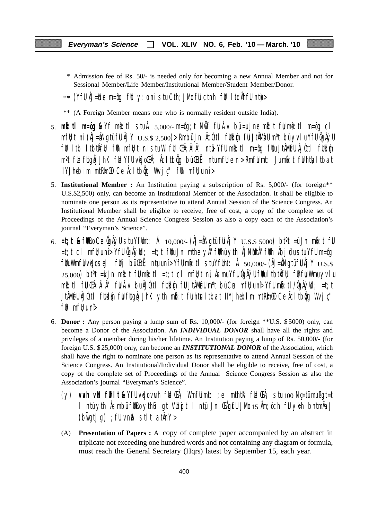- \* Admission fee of Rs. 50/- is needed only for becoming a new Annual Member and not for Sessional Member/Life Member/Institutional Member/Student Member/Donor.
- $**$  (YfU ÅJ=Ne m=ôg fUt y:o ni stu Cth;JMo fU ctnh fUt ItdÄhfU ntu $>$
- \*\* (A Foreign Member means one who is normally resident outside India).
- 5. **mkô:tl m=ôg &** Yf mkô:tl stu Á 5,000/- m=ôg;t NwÖf fuU Áv bü =u Jne mkô:t fuU mkô:tl m=ôg cl  $mf$ u;t ni (ÂJ=ÂNgtü fu Âj Y  $_{\rm U.S.S.}$   $_{\rm 2,500}$ )> Rmbü Jn Âcùttl futkum fu JtÂMofu m°t bü yvlu Yfu ÔgÂÿu fut ltb ltbtkÎfu); fuh mfujt ni stu Wlfut Chi; ÂlÂ'' ntë Yfu mbi:tl m=ôg futu JtÂMøfu ÂJÒttl futklýn m<sup>o</sup>t fl**e** fltgåJJhK fle YfU vKoCh; Åcltbig bü Ctt; ntumfl;e ni> RmfU mt: Jumb:t fU htlsltbat  $I$ IYJhebilm mtRm $\omega$  Ce  $\hat{A}$ cltb $\hat{q}$ q Wvj $\psi$ " fuh mf $\psi$ u nî >
- 5. **Institutional Member :** An Institution paying a subscription of Rs. 5,000/- (for foreign\*\* U.S.\$2,500) only, can become an Institutional Member of the Association. It shall be eligible to nominate one person as its representative to attend Annual Session of the Science Congress. An Institutional Member shall be eligible to receive, free of cost, a copy of the complete set of Proceedings of the Annual Science Congress Session as also a copy each of the Association's journal "Everyman's Science".
- 6.  $=t$ ;**t &** futro Ce ÔgÂÿU stu YfUmt: Á 10,000/- (ÂJ=ÂNgtü fu Âj Y  $U.S.S.5000$ ) bt<sup>o</sup>t =ü Jn mbi: t fu =t;t cl mfU;u nî> YfU ÔgÂÿUd; =t;t fUtu Jn mthe yÂ"fUthü ytih ÂJNuMtÂ"fUth Âbjüdu stu YfU m=ôg  $f$ UuWmfU vKo seJl futj bü $F$ utj; ntu;u nî> YfU mb: tl stu YfUmt: Á 50,000/- (ÂJ=ÂNgtü fU Åj Y  $_{\rm U.S.S.}$  $25,000$ ) bt $\textdegree t$  =ku Jn mbot fulmbot liet;t cl mfl $t$ t ni, Âsmu YfU ÔgÂÿU fltu ltbtkÎfl $t$  flhfu Wmu yvlu mkô:tl fuU ŒÂ;ÂlÂ" fuU Áv bü ÂJÒttl fUtkd{um fuU JtÂMøfU mºt bü Cus mfU;u nî> YfU mkô:tl/ÔgÂÿUd; =t;t JtÂM@U ÂJÒttl füld@n fül füqåJJhK yth mb:t fühtisltbat IIYJhebilm mtRimOO Ce Åcltbög Wvjç'' f $\mathfrak h$  mf $\mathfrak l$  uni $\mathfrak d$
- 6. **Donor :** Any person paying a lump sum of Rs. 10,000/- (for foreign \*\*U.S. \$ 5000) only, can become a Donor of the Association. An *INDIVIDUAL DONOR* shall have all the rights and privileges of a member during his/her lifetime. An Institution paying a lump of Rs. 50,000/- (for foreign U.S. \$ 25,000) only, can become an *INSTITUTIONAL DONOR* of the Association, which shall have the right to nominate one person as its representative to attend Annual Session of the Science Congress. An Institutional/Individual Donor shall be eligible to receive, free of cost, a copy of the complete set of Proceedings of the Annual Science Congress Session as also the Association's journal "Everyman's Science".
	- (y) **vuvh vuN fUhlt &** YfU vqKo vuvh fUe ŒÂ; WmfuU mt: ;el mthtkN fUe ŒÂ; stu 100 Nç=tü mu ßgt=t l ntü yth Âsmbü fut the gt Vubojt l ntü Jn Chgufu JMo 15 Âm; öch ful ykh bntmÂa J  $(b$ wigtig) ; fU vnm $a$  stlt at  $AnY >$
	- (A) **Presentation of Papers :** A copy of complete paper accompanied by an abstract in triplicate not exceeding one hundred words and not containing any diagram or formula, must reach the General Secretary (Hqrs) latest by September 15, each year.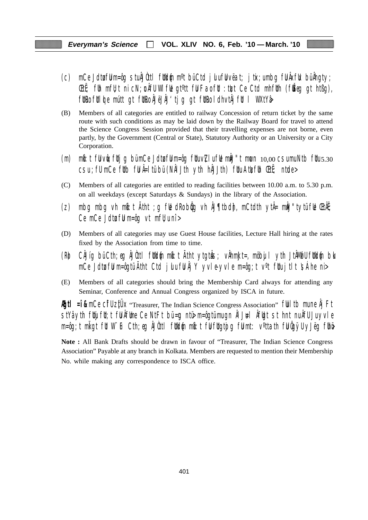- (c) mCe Jdtufuu m=ôg stu ÂJÒttl futkum m<sup>o</sup>t bü Ctd julu fuu vëat; jtix;u mbg fu Âxfuk bü Âhgty; **EtË**; fuh mfU; t ni cN; un AfU WI ful gt<sup>o</sup>tt ful Fao ful : tuzt Ce Ctd mhfuth (fu $\check{E}$ eg gt htßg), fütro fülde mútt gt fütro ÁJëJÄJ'tjg gt fütro ldhvtÅjfül l WXtYå
- (B) Members of all categories are entitled to railway Concession of return ticket by the same route with such conditions as may be laid down by the Railway Board for travel to attend the Science Congress Session provided that their travelling expenses are not borne, even partly, by the Government (Central or State), Statutory Authority or an University or a City Corporation.
- (m) mb: t fu vue; futjg bü mCe Jdtu fu m=ôg fuu v $Z$ lu fue můJ"t mucn  $10,00$  csu mu Ntb fuu  $5.30$  $\overline{c}$ su ; fU mCe futb fu Â=ltü bü (NÂI Jth yth hÂJJth) fuu Atu $\overline{c}$ fuh ŒtË; ntude>
- (C) Members of all categories are entitled to reading facilities between 10.00 a.m. to 5.30 p.m. on all weekdays (except Saturdays & Sundays) in the library of the Association.
- (z) mbg mbg vh m $\mathfrak{b}:$ t Atht ;g f $\mathfrak{b}$  dRo b $\mathfrak{g}$ g vh ÅJ¶tbd $\mathfrak{h}$ , mCtdth ytÅ= m $\mathfrak{h}$ J"tytü f $\mathfrak{b}$  ŒtÃE; Ce mCe Jdtu ful m=ôg vt mfl $\nu$ u nî >
- (D) Members of all categories may use Guest House facilities, Lecture Hall hiring at the rates fixed by the Association from time to time.
- (R) CÂJíg bü Cth;eg ÂJÒttl füld{n mb:t Ätht ytgtuŝ; vÅhmkJt=, möbujl yth JtÂMøfU füld{n blo mCe Jdtu fuu m=ôgtü Ãtht Ctd julu fu Âj Y yvle-yvle m=ôg;t v<sup>o</sup>t fuu jtlt  $\sinh$ e ni>
- (E) Members of all categories should bring the Membership Card always for attending any Seminar, Conference and Annual Congress organized by ISCA in future.

**Egtl = î &** mCe CifU ztUX "Treasurer, The Indian Science Congress Association" full tb mune Âj Ft  $\frac{1}{10}$ stYâ yth fuijfut;t fu Âfume Ce NtFt bü=ug ntü $\frac{1}{10}$  m=ôgtü mu gn ÂlJ $\frac{1}{10}$ l  $\frac{1}{10}$ t st hnt nu ÂfU Ju yvle m=ôg;t mligt fit W¨iF Cth;eg ÂJûttl fitkl{n mb}t fijfligtojg fijmt: v°ttath fijûgÿU yJëg fihë

**Note :** All Bank Drafts should be drawn in favour of "Treasurer, The Indian Science Congress Association" Payable at any branch in Kolkata. Members are requested to mention their Membership No. while making any correspondence to ISCA office.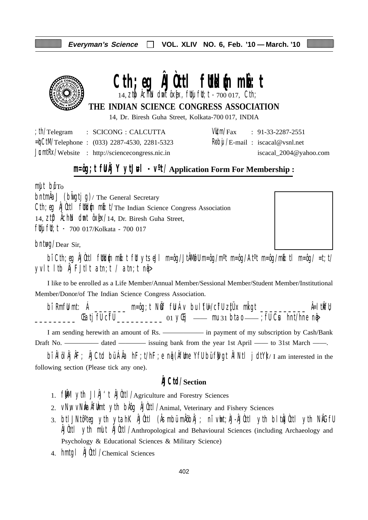

# **Cth; eg AJOttl futbl{n mk^: t**

14, **ztp) Achtn dw**nt ôxex, futyifut;t - 700 017, Cth;

# **THE INDIAN SCIENCE CONGRESS ASSOCIATION**

14, Dr. Biresh Guha Street, Kolkata-700 017, INDIA

| th/Telegram | : SCICONG : CALCUTTA                                    |  | $VU/m/Fax$ : 91-33-2287-2551                 |
|-------------|---------------------------------------------------------|--|----------------------------------------------|
|             | $=\n\frac{1}{2}$ Telephone : (033) 2287-4530, 2281-5323 |  | $\frac{1}{2}$ Reby /E-mail: iscacal@vsnl.net |
|             | $JcmłRx/Website$ : http://sciencecongress.nic.in        |  | iscacal_2004@yahoo.com                       |

# **m=ôg;t fUÂj Y ytJ#l** -  $V^0t/A$ pplication Form For Membership :

 $m$ ult bu $T<sub>O</sub>$ 

 $\Delta J$  (build ig)/ The General Secretary Cth; eg ÂJÙttl futblin milit/The Indian Science Congress Association 14,  $Zt\mathbf{D}$   $\hat{\theta}$ ch $\hat{\theta}$  dmt  $\hat{\theta}$ x $\hat{\theta}$ x $/14$ , Dr. Biresh Guha Street, fluj flu; t - 700 017/Kolkata - 700 017

 $b$ nt $\text{HQ}/\text{Dear Sir}$ 

bî Cth;eg ÂJÒttl füldin mið:t füt ytseJl m=ôg/JtÂMøfU m=ôg/m<sup>o</sup>t m=ôg/At<sup>o</sup>t m=ôg/mið:tl m=ôg/ =t;t/ yvlt ltb  $\hat{A}$ j FJtlt atn;t / atn;t n $\hat{q}$ 

I like to be enrolled as a Life Member/Annual Member/Sessional Member/Student Member/Institutional Member/Donor/of The Indian Science Congress Association.

bî RmfU mt: Á \_\_\_\_\_\_\_ m=ôg;t NÖf fU Áv bu lYEl/cifU zitÜx miligt \_\_\_\_\_\_\_\_\_\_ Â=ltikfU; \_\_\_\_\_\_\_\_\_ ŒatjfU cîfU \_\_\_\_\_\_\_\_\_\_ 01 yŒij —— mu 31 btao —— ;fU Cus hnt/hne nqâ>

I am sending herewith an amount of Rs. ——————— in payment of my subscription by Cash/Bank Draft No. ————— dated — issuing bank from the year 1st April — to 31st March — .

bî ÂlölÂjÂF; ÂJCtd bü ÂÂa hF;t/hF;e ng (ÂfUme YfU bü fWgt ÂlNtl jdtY)/I am interested in the following section (Please tick any one).

# **ÂJCtd/Section**

- 1.  $f \mathbf{M}$  yth  $J \mathbf{M}'$ t  $\mathbf{M}$ Utl/Agriculture and Forestry Sciences
- 2. VNW VNIa Aflint yth bAog AJOttl/Animal, Veterinary and Fishery Sciences
- 3. btlJNtô°teg yth ytahK ÂJÒttl (Âsmbü mÂöbÂj ; nî vht;ÀJ-ÂJÒttl yth bltÂJÒttl yth NÂGfU ÂJÒttl ytih mult ÂJÒttl/Anthropological and Behavioural Sciences (including Archaeology and Psychology & Educational Sciences & Military Science)
- 4. hmtgl ÂJÒttl/Chemical Sciences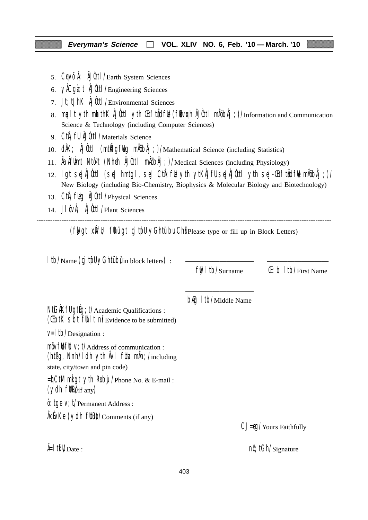- 5. CqVÕÅ; ÅJÙttl/Earth System Sciences
- 6. yÂCgà;t ÂJÒttl/Engineering Sciences
- 7. Jt;tJhK ÂJÒttl/Environmental Sciences
- 8. mualt yth mkathK ÂJÙttl yth Chi'tuÂdful (fubvoch ÂJÙttl mÅöbÂj;)/Information and Communication Science & Technology (including Computer Sciences)
- 9. CtiÂ;fU ÂJÒttl/Materials Science
- 10. dÂK; ÂJÙttl (mtÑigfug mÂöbÂj;)/Mathematical Science (including Statistics)
- 11. ÂaÂfUÀmt Ntôºt (Nheh ÂJÒttl mÂöbÂj;)/Medical Sciences (including Physiology)
- 12. lgt seJÂJÒttl (seJ hmtgl, seJ CtiÂ;fUe ytih ytKÂJfU seJÂJÒttl ytih seJ-Œti'tuÂdfUe mÂöbÂj;)/ New Biology (including Bio-Chemistry, Biophysics & Molecular Biology and Biotechnology)
- 13. Cth; fulg AJUttl / Physical Sciences
- 14. J $\int \hat{\theta} \vee \hat{\theta}$ ;  $\hat{\theta}$ Uutt $\int$ Plant Sciences

--------------------------------------------------------------------------------------------------------------------------------- (fwgt xift); fuhui gt cj tuful yGhtu bu Chu Please type or fill up in Block Letters)

| Itb/Name (cj tfll yGhtübilin block letters) :                                                                                                                              |                                        |                                 |
|----------------------------------------------------------------------------------------------------------------------------------------------------------------------------|----------------------------------------|---------------------------------|
|                                                                                                                                                                            | $\frac{f}{f}$   tb/Surname             | $(E: b   t )/$ First Name       |
| NtGAKfU gtug; t/Academic Qualifications :<br>(Cibil Sbi fill I ni/Evidence to be submitted)                                                                                | <b>b<sub>f</sub>g</b> I tb/Middle Name |                                 |
| $V=$   tb/Designation :                                                                                                                                                    |                                        |                                 |
| $m\ddot{o}v$ full $v$ ; $t/A$ ddress of communication :<br>(ht $\beta$ g, Nnh/I dh yth $\hat{A}$ vI flt $\chi$ m $\hat{A}$ n; /including<br>state, city/town and pin code) |                                        |                                 |
| $=\n{\text{d}}$ CtM mligt yth Roby / Phone No. & E-mail:<br>$(ydh$ fltko $f$ any)                                                                                          |                                        |                                 |
| $\hat{\theta}$ : tge V; t/Permanent Address :                                                                                                                              |                                        |                                 |
| $\frac{1}{2}$ AxEvKe (ydh fltRe)/Comments (if any)                                                                                                                         |                                        | CJ=eq/Yours Faithfully          |
| $\frac{1}{2}$ if $\mathsf{W}_{\mathrm{Date}}$ :                                                                                                                            |                                        | $n\hat{\theta}$ ; tGh/Signature |